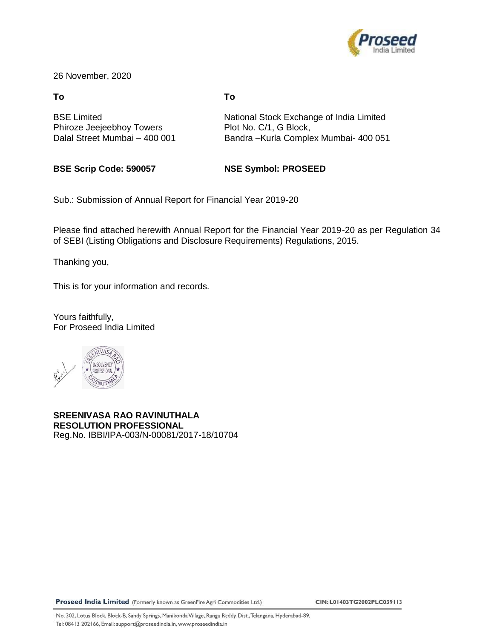

26 November, 2020

#### **To To**

Phiroze Jeejeebhoy Towers Plot No. C/1, G Block,

BSE Limited **National Stock Exchange of India Limited** Dalal Street Mumbai – 400 001 Bandra –Kurla Complex Mumbai- 400 051

**BSE Scrip Code: 590057 NSE Symbol: PROSEED**

Sub.: Submission of Annual Report for Financial Year 2019-20

Please find attached herewith Annual Report for the Financial Year 2019-20 as per Regulation 34 of SEBI (Listing Obligations and Disclosure Requirements) Regulations, 2015.

Thanking you,

This is for your information and records.

Yours faithfully, For Proseed India Limited



**SREENIVASA RAO RAVINUTHALA RESOLUTION PROFESSIONAL** Reg.No. IBBI/IPA-003/N-00081/2017-18/10704

Proseed India Limited (Formerly known as GreenFire Agri Commodities Ltd.)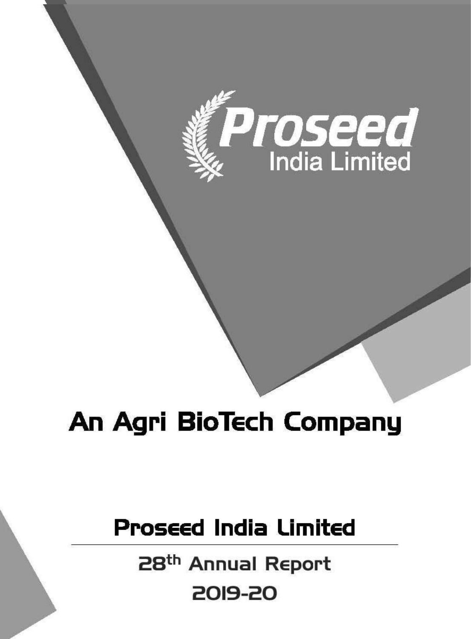

# An Agri BioTech Company

# **Proseed India Limited**

**RESOLUTION PROFESSIONAL** Sreenivasa Rao Ravinuthala2019-20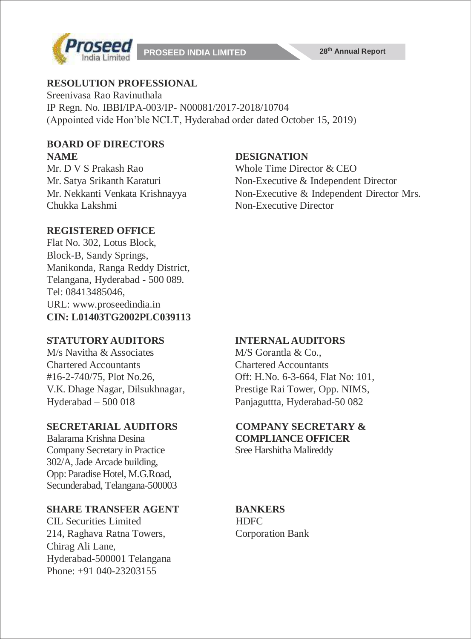

#### **RESOLUTION PROFESSIONAL**

Sreenivasa Rao Ravinuthala IP Regn. No. IBBI/IPA-003/IP- N00081/2017-2018/10704 (Appointed vide Hon'ble NCLT, Hyderabad order dated October 15, 2019)

#### **BOARD OF DIRECTORS NAME DESIGNATION**

Mr. D V S Prakash Rao Whole Time Director & CEO Chukka Lakshmi Non-Executive Director

Mr. Satya Srikanth Karaturi Non-Executive & Independent Director Mr. Nekkanti Venkata Krishnayya Non-Executive & Independent Director Mrs.

#### **REGISTERED OFFICE**

Flat No. 302, Lotus Block, Block-B, Sandy Springs, Manikonda, Ranga Reddy District, Telangana, Hyderabad - 500 089. Tel: 08413485046, URL: [www.proseedindia.in](http://www.proseedindia.in/) **CIN: L01403TG2002PLC039113**

#### **STATUTORYAUDITORS INTERNAL AUDITORS**

 $M/s$  Navitha & Associates M/S Gorantla & Co. Chartered Accountants Chartered Accountants V.K. Dhage Nagar, Dilsukhnagar, Prestige Rai Tower, Opp. NIMS, Hyderabad – 500 018 Panjaguttta, Hyderabad-50 082

#### **SECRETARIAL AUDITORS COMPANY SECRETARY &**

Balarama Krishna Desina **COMPLIANCE OFFICER** Company Secretary in Practice Sree Harshitha Malireddy 302/A, Jade Arcade building, Opp: Paradise Hotel, M.G.Road, Secunderabad, Telangana-500003

#### **SHARE TRANSFER AGENT BANKERS**

CIL Securities Limited HDFC 214, Raghava Ratna Towers, Corporation Bank Chirag Ali Lane, Hyderabad-500001 Telangana Phone: +91 040-23203155

#16-2-740/75, Plot No.26, Off: H.No. 6-3-664, Flat No: 101,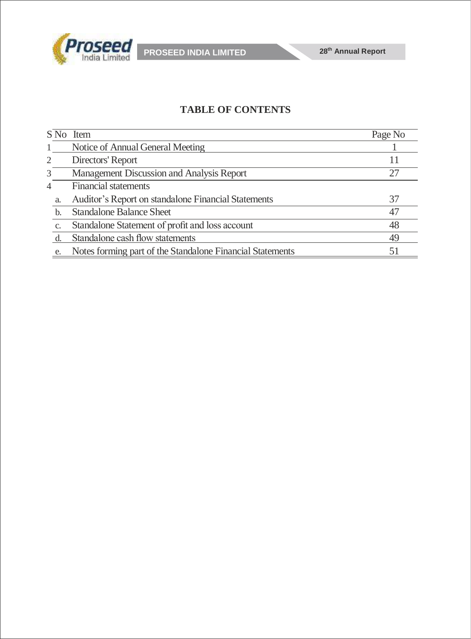

### **TABLE OF CONTENTS**

|                | S No Item                                                 | Page No |
|----------------|-----------------------------------------------------------|---------|
|                | Notice of Annual General Meeting                          |         |
| 2              | Directors' Report                                         | 11      |
| 3              | Management Discussion and Analysis Report                 | 27      |
| $\overline{4}$ | <b>Financial statements</b>                               |         |
| a.             | Auditor's Report on standalone Financial Statements       | 37      |
| b.             | <b>Standalone Balance Sheet</b>                           | 47      |
| C.             | Standalone Statement of profit and loss account           | 48      |
|                | Standalone cash flow statements                           | 49      |
| e.             | Notes forming part of the Standalone Financial Statements | 51      |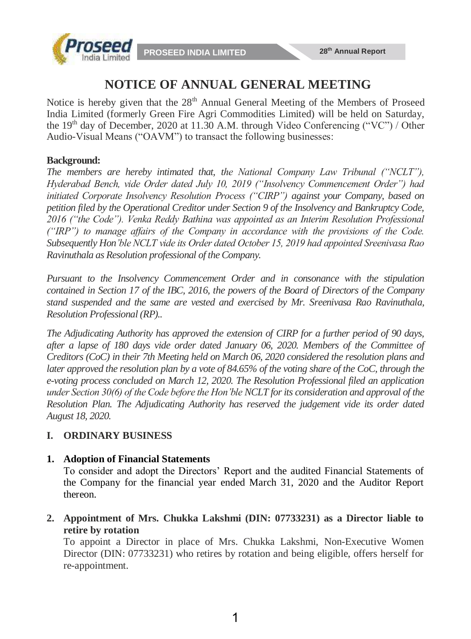



# **NOTICE OF ANNUAL GENERAL MEETING**

Notice is hereby given that the 28<sup>th</sup> Annual General Meeting of the Members of Proseed India Limited (formerly Green Fire Agri Commodities Limited) will be held on Saturday, the  $19<sup>th</sup>$  day of December, 2020 at 11.30 A.M. through Video Conferencing ("VC") / Other Audio-Visual Means ("OAVM") to transact the following businesses:

#### **Background:**

*The members are hereby intimated that, the National Company Law Tribunal ("NCLT"), Hyderabad Bench, vide Order dated July 10, 2019 ("Insolvency Commencement Order") had initiated Corporate Insolvency Resolution Process ("CIRP") against your Company, based on petition filed by the Operational Creditor under Section 9 of the Insolvency and Bankruptcy Code, 2016 ("the Code"). Venka Reddy Bathina was appointed as an Interim Resolution Professional ("IRP") to manage affairs of the Company in accordance with the provisions of the Code. Subsequently Hon'ble NCLT vide its Order dated October 15, 2019 had appointed Sreenivasa Rao Ravinuthala as Resolution professional of the Company.*

*Pursuant to the Insolvency Commencement Order and in consonance with the stipulation contained in Section 17 of the IBC, 2016, the powers of the Board of Directors of the Company stand suspended and the same are vested and exercised by Mr. Sreenivasa Rao Ravinuthala, Resolution Professional (RP)..*

*The Adjudicating Authority has approved the extension of CIRP for a further period of 90 days, after a lapse of 180 days vide order dated January 06, 2020. Members of the Committee of Creditors (CoC) in their 7th Meeting held on March 06, 2020 considered the resolution plans and later approved the resolution plan by a vote of 84.65% of the voting share of the CoC, through the e-voting process concluded on March 12, 2020. The Resolution Professional filed an application under Section 30(6) of the Code before the Hon'ble NCLT for its consideration and approval of the Resolution Plan. The Adjudicating Authority has reserved the judgement vide its order dated August 18, 2020.*

### **I. ORDINARY BUSINESS**

#### **1. Adoption of Financial Statements**

To consider and adopt the Directors' Report and the audited Financial Statements of the Company for the financial year ended March 31, 2020 and the Auditor Report thereon.

**2. Appointment of Mrs. Chukka Lakshmi (DIN: 07733231) as a Director liable to retire by rotation**

To appoint a Director in place of Mrs. Chukka Lakshmi, Non-Executive Women Director (DIN: 07733231) who retires by rotation and being eligible, offers herself for re-appointment.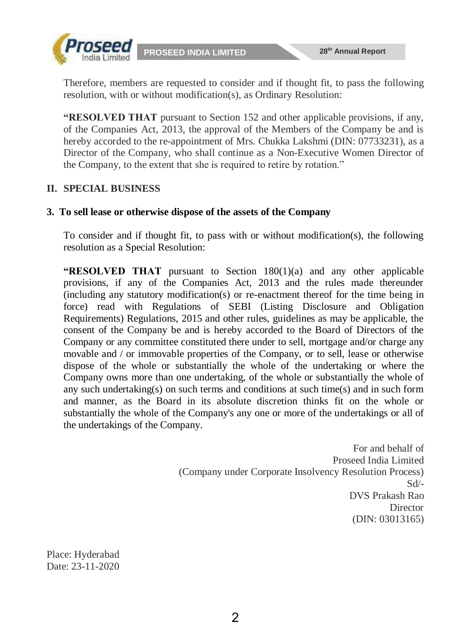



Therefore, members are requested to consider and if thought fit, to pass the following resolution, with or without modification(s), as Ordinary Resolution:

**"RESOLVED THAT** pursuant to Section 152 and other applicable provisions, if any, of the Companies Act, 2013, the approval of the Members of the Company be and is hereby accorded to the re-appointment of Mrs. Chukka Lakshmi (DIN: 07733231), as a Director of the Company, who shall continue as a Non-Executive Women Director of the Company, to the extent that she is required to retire by rotation."

#### **II. SPECIAL BUSINESS**

#### **3. To sell lease or otherwise dispose of the assets of the Company**

To consider and if thought fit, to pass with or without modification(s), the following resolution as a Special Resolution:

**"RESOLVED THAT** pursuant to Section 180(1)(a) and any other applicable provisions, if any of the Companies Act, 2013 and the rules made thereunder (including any statutory modification(s) or re-enactment thereof for the time being in force) read with Regulations of SEBI (Listing Disclosure and Obligation Requirements) Regulations, 2015 and other rules, guidelines as may be applicable, the consent of the Company be and is hereby accorded to the Board of Directors of the Company or any committee constituted there under to sell, mortgage and/or charge any movable and / or immovable properties of the Company, or to sell, lease or otherwise dispose of the whole or substantially the whole of the undertaking or where the Company owns more than one undertaking, of the whole or substantially the whole of any such undertaking(s) on such terms and conditions at such time(s) and in such form and manner, as the Board in its absolute discretion thinks fit on the whole or substantially the whole of the Company's any one or more of the undertakings or all of the undertakings of the Company.

> For and behalf of Proseed India Limited (Company under Corporate Insolvency Resolution Process) Sd/- DVS Prakash Rao **Director** (DIN: 03013165)

Place: Hyderabad Date: 23-11-2020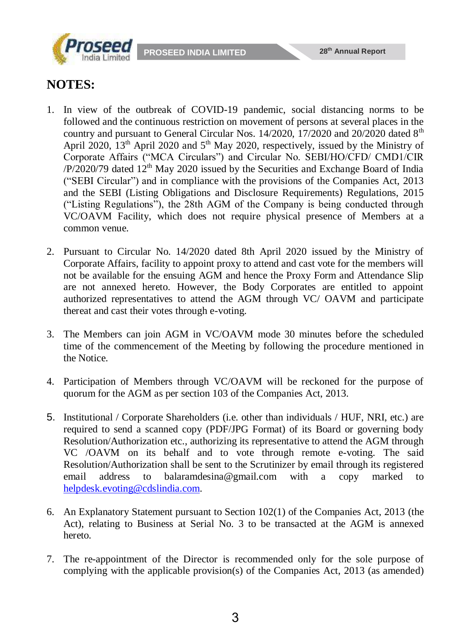



# **NOTES:**

- 1. In view of the outbreak of COVID-19 pandemic, social distancing norms to be followed and the continuous restriction on movement of persons at several places in the country and pursuant to General Circular Nos.  $14/2020$ ,  $17/2020$  and  $20/2020$  dated  $8<sup>th</sup>$ April 2020,  $13<sup>th</sup>$  April 2020 and  $5<sup>th</sup>$  May 2020, respectively, issued by the Ministry of Corporate Affairs ("MCA Circulars") and Circular No. SEBI/HO/CFD/ CMD1/CIR  $\frac{P}{2020/79}$  dated  $12<sup>th</sup>$  May 2020 issued by the Securities and Exchange Board of India ("SEBI Circular") and in compliance with the provisions of the Companies Act, 2013 and the SEBI (Listing Obligations and Disclosure Requirements) Regulations, 2015 ("Listing Regulations"), the 28th AGM of the Company is being conducted through VC/OAVM Facility, which does not require physical presence of Members at a common venue.
- 2. Pursuant to Circular No. 14/2020 dated 8th April 2020 issued by the Ministry of Corporate Affairs, facility to appoint proxy to attend and cast vote for the members will not be available for the ensuing AGM and hence the Proxy Form and Attendance Slip are not annexed hereto. However, the Body Corporates are entitled to appoint authorized representatives to attend the AGM through VC/ OAVM and participate thereat and cast their votes through e-voting.
- 3. The Members can join AGM in VC/OAVM mode 30 minutes before the scheduled time of the commencement of the Meeting by following the procedure mentioned in the Notice.
- 4. Participation of Members through VC/OAVM will be reckoned for the purpose of quorum for the AGM as per section 103 of the Companies Act, 2013.
- 5. Institutional / Corporate Shareholders (i.e. other than individuals / HUF, NRI, etc.) are required to send a scanned copy (PDF/JPG Format) of its Board or governing body Resolution/Authorization etc., authorizing its representative to attend the AGM through VC /OAVM on its behalf and to vote through remote e-voting. The said Resolution/Authorization shall be sent to the Scrutinizer by email through its registered email address to [balaramdesina@gmail.com](mailto:balaramdesina@gmail.com) with a copy marked to [helpdesk.evoting@cdslindia.com.](mailto:helpdesk.evoting@cdslindia.com)
- 6. An Explanatory Statement pursuant to Section 102(1) of the Companies Act, 2013 (the Act), relating to Business at Serial No. 3 to be transacted at the AGM is annexed hereto.
- 7. The re-appointment of the Director is recommended only for the sole purpose of complying with the applicable provision(s) of the Companies Act, 2013 (as amended)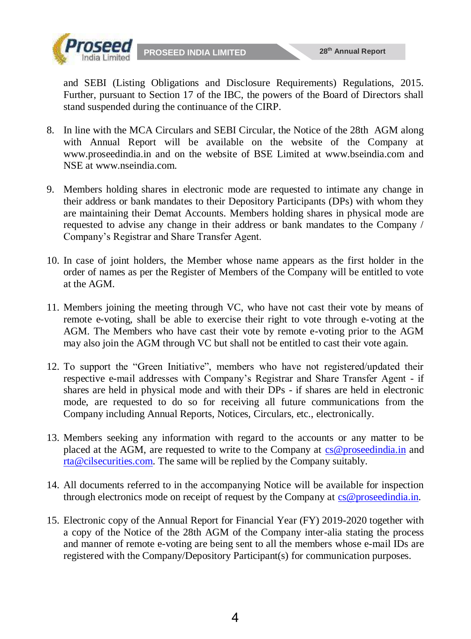

and SEBI (Listing Obligations and Disclosure Requirements) Regulations, 2015. Further, pursuant to Section 17 of the IBC, the powers of the Board of Directors shall stand suspended during the continuance of the CIRP.

- 8. In line with the MCA Circulars and SEBI Circular, the Notice of the 28th AGM along with Annual Report will be available on the website of the Company at [www.proseedindia.in](http://www.proseedindia.in/) and on the website of BSE Limited at www.bseindia.com and NSE at [www.nseindia.com.](http://www.nseindia.com/)
- 9. Members holding shares in electronic mode are requested to intimate any change in their address or bank mandates to their Depository Participants (DPs) with whom they are maintaining their Demat Accounts. Members holding shares in physical mode are requested to advise any change in their address or bank mandates to the Company / Company's Registrar and Share Transfer Agent.
- 10. In case of joint holders, the Member whose name appears as the first holder in the order of names as per the Register of Members of the Company will be entitled to vote at the AGM.
- 11. Members joining the meeting through VC, who have not cast their vote by means of remote e-voting, shall be able to exercise their right to vote through e-voting at the AGM. The Members who have cast their vote by remote e-voting prior to the AGM may also join the AGM through VC but shall not be entitled to cast their vote again.
- 12. To support the "Green Initiative", members who have not registered/updated their respective e-mail addresses with Company's Registrar and Share Transfer Agent - if shares are held in physical mode and with their DPs - if shares are held in electronic mode, are requested to do so for receiving all future communications from the Company including Annual Reports, Notices, Circulars, etc., electronically.
- 13. Members seeking any information with regard to the accounts or any matter to be placed at the AGM, are requested to write to the Company at cs@proseedindia.in and rta@cilsecurities.com. The same will be replied by the Company suitably.
- 14. All documents referred to in the accompanying Notice will be available for inspection through electronics mode on receipt of request by the Company at cs@proseedindia.in.
- 15. Electronic copy of the Annual Report for Financial Year (FY) 2019-2020 together with a copy of the Notice of the 28th AGM of the Company inter-alia stating the process and manner of remote e-voting are being sent to all the members whose e-mail IDs are registered with the Company/Depository Participant(s) for communication purposes.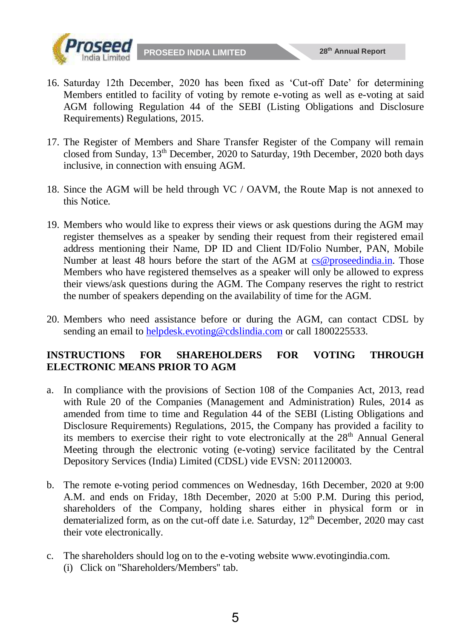

- 16. Saturday 12th December, 2020 has been fixed as 'Cut-off Date' for determining Members entitled to facility of voting by remote e-voting as well as e-voting at said AGM following Regulation 44 of the SEBI (Listing Obligations and Disclosure Requirements) Regulations, 2015.
- 17. The Register of Members and Share Transfer Register of the Company will remain closed from Sunday, 13th December, 2020 to Saturday, 19th December, 2020 both days inclusive, in connection with ensuing AGM.
- 18. Since the AGM will be held through VC / OAVM, the Route Map is not annexed to this Notice.
- 19. Members who would like to express their views or ask questions during the AGM may register themselves as a speaker by sending their request from their registered email address mentioning their Name, DP ID and Client ID/Folio Number, PAN, Mobile Number at least 48 hours before the start of the AGM at cs@proseedindia.in. Those Members who have registered themselves as a speaker will only be allowed to express their views/ask questions during the AGM. The Company reserves the right to restrict the number of speakers depending on the availability of time for the AGM.
- 20. Members who need assistance before or during the AGM, can contact CDSL by sending an email to helpdesk.evoting@cdslindia.com or call 1800225533.

#### **INSTRUCTIONS FOR SHAREHOLDERS FOR VOTING THROUGH ELECTRONIC MEANS PRIOR TO AGM**

- a. In compliance with the provisions of Section 108 of the Companies Act, 2013, read with Rule 20 of the Companies (Management and Administration) Rules, 2014 as amended from time to time and Regulation 44 of the SEBI (Listing Obligations and Disclosure Requirements) Regulations, 2015, the Company has provided a facility to its members to exercise their right to vote electronically at the  $28<sup>th</sup>$  Annual General Meeting through the electronic voting (e-voting) service facilitated by the Central Depository Services (India) Limited (CDSL) vide EVSN: 201120003.
- b. The remote e-voting period commences on Wednesday, 16th December, 2020 at 9:00 A.M. and ends on Friday, 18th December, 2020 at 5:00 P.M. During this period, shareholders of the Company, holding shares either in physical form or in dematerialized form, as on the cut-off date i.e. Saturday, 12<sup>th</sup> December, 2020 may cast their vote electronically.
- c. The shareholders should log on to the e-voting website www.evotingindia.com. (i) Click on ''Shareholders/Members'' tab.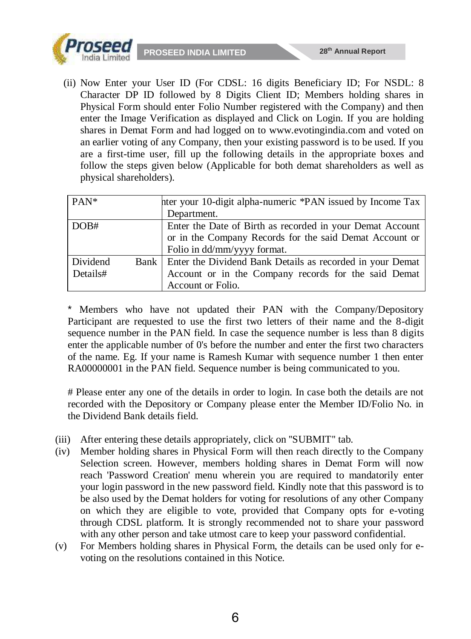

(ii) Now Enter your User ID (For CDSL: 16 digits Beneficiary ID; For NSDL: 8 Character DP ID followed by 8 Digits Client ID; Members holding shares in Physical Form should enter Folio Number registered with the Company) and then enter the Image Verification as displayed and Click on Login. If you are holding shares in Demat Form and had logged on to www.evotingindia.com and voted on an earlier voting of any Company, then your existing password is to be used. If you are a first-time user, fill up the following details in the appropriate boxes and follow the steps given below (Applicable for both demat shareholders as well as physical shareholders).

| $PAN^*$  | hter your 10-digit alpha-numeric *PAN issued by Income Tax       |  |  |  |  |  |
|----------|------------------------------------------------------------------|--|--|--|--|--|
|          | Department.                                                      |  |  |  |  |  |
| DOB#     | Enter the Date of Birth as recorded in your Demat Account        |  |  |  |  |  |
|          | or in the Company Records for the said Demat Account or          |  |  |  |  |  |
|          | Folio in dd/mm/yyyy format.                                      |  |  |  |  |  |
| Dividend | Bank   Enter the Dividend Bank Details as recorded in your Demat |  |  |  |  |  |
| Details# | Account or in the Company records for the said Demat             |  |  |  |  |  |
|          | Account or Folio.                                                |  |  |  |  |  |

Members who have not updated their PAN with the Company/Depository Participant are requested to use the first two letters of their name and the 8-digit sequence number in the PAN field. In case the sequence number is less than 8 digits enter the applicable number of 0's before the number and enter the first two characters of the name. Eg. If your name is Ramesh Kumar with sequence number 1 then enter RA00000001 in the PAN field. Sequence number is being communicated to you.

# Please enter any one of the details in order to login. In case both the details are not recorded with the Depository or Company please enter the Member ID/Folio No. in the Dividend Bank details field.

- (iii) After entering these details appropriately, click on ''SUBMIT'' tab.
- (iv) Member holding shares in Physical Form will then reach directly to the Company Selection screen. However, members holding shares in Demat Form will now reach 'Password Creation' menu wherein you are required to mandatorily enter your login password in the new password field. Kindly note that this password is to be also used by the Demat holders for voting for resolutions of any other Company on which they are eligible to vote, provided that Company opts for e-voting through CDSL platform. It is strongly recommended not to share your password with any other person and take utmost care to keep your password confidential.
- (v) For Members holding shares in Physical Form, the details can be used only for evoting on the resolutions contained in this Notice.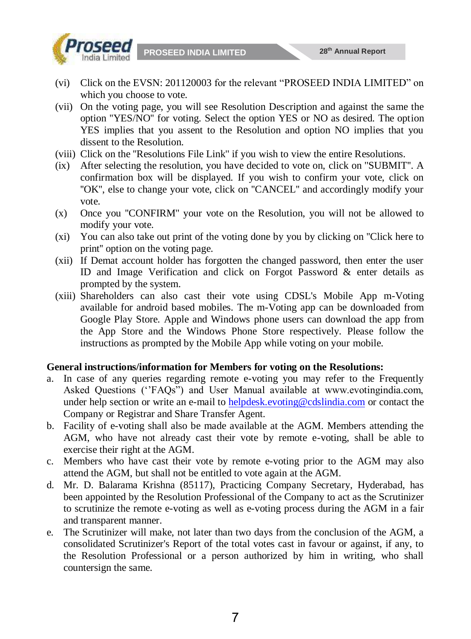

- (vi) Click on the EVSN: 201120003 for the relevant "PROSEED INDIA LIMITED" on which you choose to vote.
- (vii) On the voting page, you will see Resolution Description and against the same the option ''YES/NO'' for voting. Select the option YES or NO as desired. The option YES implies that you assent to the Resolution and option NO implies that you dissent to the Resolution.
- (viii) Click on the ''Resolutions File Link'' if you wish to view the entire Resolutions.
- (ix) After selecting the resolution, you have decided to vote on, click on ''SUBMIT''. A confirmation box will be displayed. If you wish to confirm your vote, click on "OK", else to change your vote, click on "CANCEL" and accordingly modify your vote.
- (x) Once you ''CONFIRM'' your vote on the Resolution, you will not be allowed to modify your vote.
- (xi) You can also take out print of the voting done by you by clicking on ''Click here to print'' option on the voting page.
- (xii) If Demat account holder has forgotten the changed password, then enter the user ID and Image Verification and click on Forgot Password & enter details as prompted by the system.
- (xiii) Shareholders can also cast their vote using CDSL's Mobile App m-Voting available for android based mobiles. The m-Voting app can be downloaded from Google Play Store. Apple and Windows phone users can download the app from the App Store and the Windows Phone Store respectively. Please follow the instructions as prompted by the Mobile App while voting on your mobile.

#### **General instructions/information for Members for voting on the Resolutions:**

- a. In case of any queries regarding remote e-voting you may refer to the Frequently Asked Questions (''FAQs") and User Manual available at www.evotingindia.com, under help section or write an e-mail to helpdesk.evoting@cdslindia.com or contact the Company or Registrar and Share Transfer Agent.
- b. Facility of e-voting shall also be made available at the AGM. Members attending the AGM, who have not already cast their vote by remote e-voting, shall be able to exercise their right at the AGM.
- c. Members who have cast their vote by remote e-voting prior to the AGM may also attend the AGM, but shall not be entitled to vote again at the AGM.
- d. Mr. D. Balarama Krishna (85117), Practicing Company Secretary, Hyderabad, has been appointed by the Resolution Professional of the Company to act as the Scrutinizer to scrutinize the remote e-voting as well as e-voting process during the AGM in a fair and transparent manner.
- e. The Scrutinizer will make, not later than two days from the conclusion of the AGM, a consolidated Scrutinizer's Report of the total votes cast in favour or against, if any, to the Resolution Professional or a person authorized by him in writing, who shall countersign the same.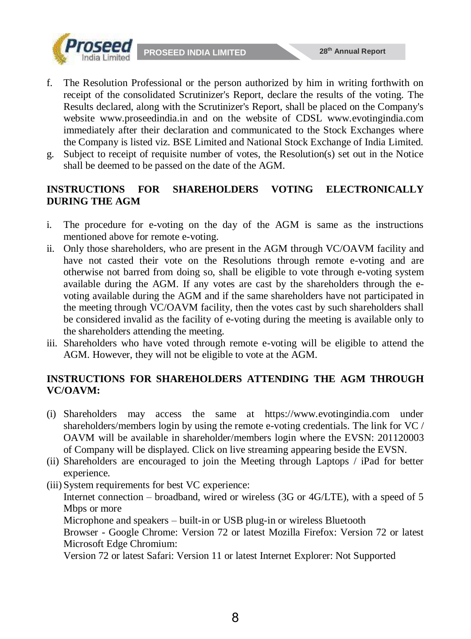

- f. The Resolution Professional or the person authorized by him in writing forthwith on receipt of the consolidated Scrutinizer's Report, declare the results of the voting. The Results declared, along with the Scrutinizer's Report, shall be placed on the Company's website www.proseedindia.in and on the website of CDSL www.evotingindia.com immediately after their declaration and communicated to the Stock Exchanges where the Company is listed viz. BSE Limited and National Stock Exchange of India Limited.
- g. Subject to receipt of requisite number of votes, the Resolution(s) set out in the Notice shall be deemed to be passed on the date of the AGM.

#### **INSTRUCTIONS FOR SHAREHOLDERS VOTING ELECTRONICALLY DURING THE AGM**

- i. The procedure for e-voting on the day of the AGM is same as the instructions mentioned above for remote e-voting.
- ii. Only those shareholders, who are present in the AGM through VC/OAVM facility and have not casted their vote on the Resolutions through remote e-voting and are otherwise not barred from doing so, shall be eligible to vote through e-voting system available during the AGM. If any votes are cast by the shareholders through the evoting available during the AGM and if the same shareholders have not participated in the meeting through VC/OAVM facility, then the votes cast by such shareholders shall be considered invalid as the facility of e-voting during the meeting is available only to the shareholders attending the meeting.
- iii. Shareholders who have voted through remote e-voting will be eligible to attend the AGM. However, they will not be eligible to vote at the AGM.

#### **INSTRUCTIONS FOR SHAREHOLDERS ATTENDING THE AGM THROUGH VC/OAVM:**

- (i) Shareholders may access the same at https://www.evotingindia.com under shareholders/members login by using the remote e-voting credentials. The link for VC / OAVM will be available in shareholder/members login where the EVSN: 201120003 of Company will be displayed. Click on live streaming appearing beside the EVSN.
- (ii) Shareholders are encouraged to join the Meeting through Laptops / iPad for better experience.
- (iii) System requirements for best VC experience:

Internet connection – broadband, wired or wireless (3G or 4G/LTE), with a speed of 5 Mbps or more

Microphone and speakers – built-in or USB plug-in or wireless Bluetooth

Browser - Google Chrome: Version 72 or latest Mozilla Firefox: Version 72 or latest Microsoft Edge Chromium:

Version 72 or latest Safari: Version 11 or latest Internet Explorer: Not Supported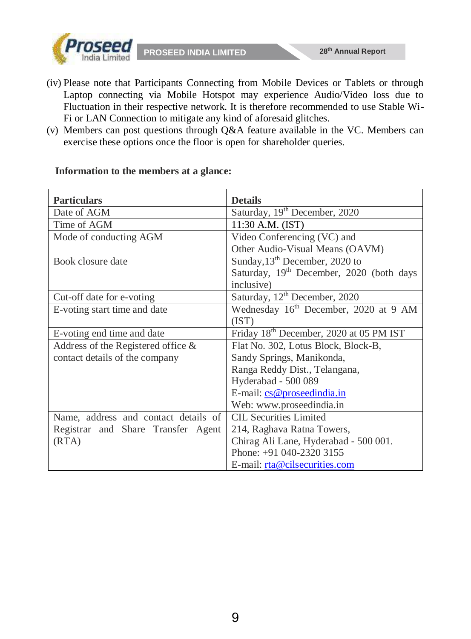

- (iv) Please note that Participants Connecting from Mobile Devices or Tablets or through Laptop connecting via Mobile Hotspot may experience Audio/Video loss due to Fluctuation in their respective network. It is therefore recommended to use Stable Wi-Fi or LAN Connection to mitigate any kind of aforesaid glitches.
- (v) Members can post questions through Q&A feature available in the VC. Members can exercise these options once the floor is open for shareholder queries.

| <b>Particulars</b>                    | <b>Details</b>                                       |
|---------------------------------------|------------------------------------------------------|
| Date of AGM                           | Saturday, 19 <sup>th</sup> December, 2020            |
| Time of AGM                           | 11:30 A.M. (IST)                                     |
| Mode of conducting AGM                | Video Conferencing (VC) and                          |
|                                       | Other Audio-Visual Means (OAVM)                      |
| Book closure date                     | Sunday, $13th$ December, 2020 to                     |
|                                       | Saturday, 19 <sup>th</sup> December, 2020 (both days |
|                                       | inclusive)                                           |
| Cut-off date for e-voting             | Saturday, 12 <sup>th</sup> December, 2020            |
| E-voting start time and date          | Wednesday 16 <sup>th</sup> December, 2020 at 9 AM    |
|                                       | (IST)                                                |
| E-voting end time and date            | Friday 18 <sup>th</sup> December, 2020 at 05 PM IST  |
| Address of the Registered office $\&$ | Flat No. 302, Lotus Block, Block-B,                  |
| contact details of the company        | Sandy Springs, Manikonda,                            |
|                                       | Ranga Reddy Dist., Telangana,                        |
|                                       | Hyderabad - 500 089                                  |
|                                       | E-mail: cs@proseedindia.in                           |
|                                       | Web: www.proseedindia.in                             |
| Name, address and contact details of  | <b>CIL Securities Limited</b>                        |
| Registrar and Share Transfer Agent    | 214, Raghava Ratna Towers,                           |
| (RTA)                                 | Chirag Ali Lane, Hyderabad - 500 001.                |
|                                       | Phone: +91 040-2320 3155                             |
|                                       | E-mail: rta@cilsecurities.com                        |

#### **Information to the members at a glance:**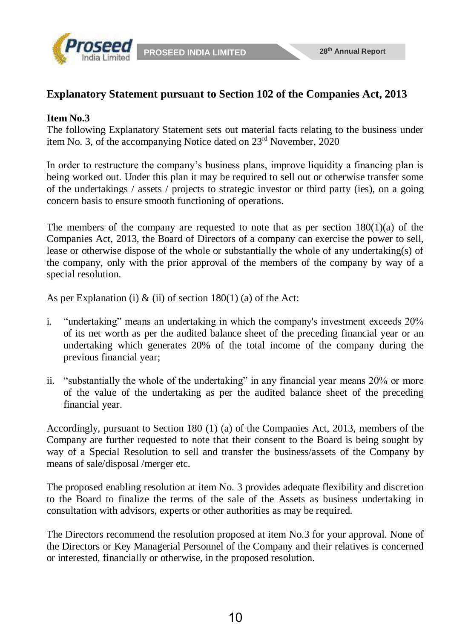

#### **Explanatory Statement pursuant to Section 102 of the Companies Act, 2013**

#### **Item No.3**

The following Explanatory Statement sets out material facts relating to the business under item No. 3, of the accompanying Notice dated on 23rd November, 2020

In order to restructure the company's business plans, improve liquidity a financing plan is being worked out. Under this plan it may be required to sell out or otherwise transfer some of the undertakings  $\ell$  assets  $\ell$  projects to strategic investor or third party (ies), on a going concern basis to ensure smooth functioning of operations.

The members of the company are requested to note that as per section  $180(1)(a)$  of the Companies Act, 2013, the Board of Directors of a company can exercise the power to sell, lease or otherwise dispose of the whole or substantially the whole of any undertaking(s) of the company, only with the prior approval of the members of the company by way of a special resolution.

As per Explanation (i)  $\&$  (ii) of section 180(1) (a) of the Act:

- i. "undertaking" means an undertaking in which the company's investment exceeds 20% of its net worth as per the audited balance sheet of the preceding financial year or an undertaking which generates 20% of the total income of the company during the previous financial year;
- ii. "substantially the whole of the undertaking" in any financial year means 20% or more of the value of the undertaking as per the audited balance sheet of the preceding financial year.

Accordingly, pursuant to Section 180 (1) (a) of the Companies Act, 2013, members of the Company are further requested to note that their consent to the Board is being sought by way of a Special Resolution to sell and transfer the business/assets of the Company by means of sale/disposal /merger etc.

The proposed enabling resolution at item No. 3 provides adequate flexibility and discretion to the Board to finalize the terms of the sale of the Assets as business undertaking in consultation with advisors, experts or other authorities as may be required.

The Directors recommend the resolution proposed at item No.3 for your approval. None of the Directors or Key Managerial Personnel of the Company and their relatives is concerned or interested, financially or otherwise, in the proposed resolution.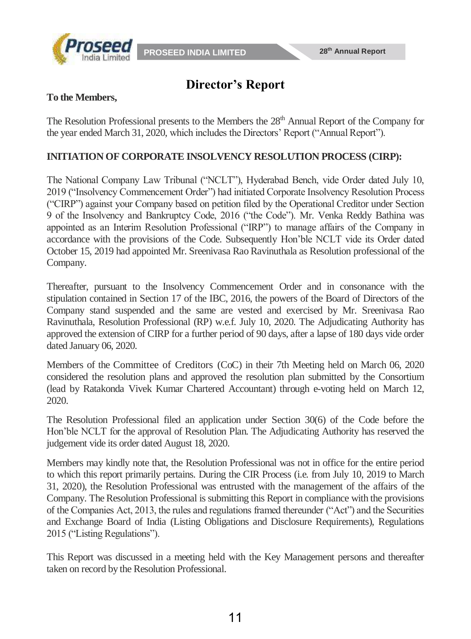



# **Director's Report**

#### **To the Members,**

The Resolution Professional presents to the Members the 28<sup>th</sup> Annual Report of the Company for the year ended March 31, 2020, which includes the Directors' Report ("Annual Report").

#### **INITIATION OF CORPORATE INSOLVENCY RESOLUTION PROCESS (CIRP):**

The National Company Law Tribunal ("NCLT"), Hyderabad Bench, vide Order dated July 10, 2019 ("Insolvency Commencement Order") had initiated Corporate Insolvency Resolution Process ("CIRP") against your Company based on petition filed by the Operational Creditor under Section 9 of the Insolvency and Bankruptcy Code, 2016 ("the Code"). Mr. Venka Reddy Bathina was appointed as an Interim Resolution Professional ("IRP") to manage affairs of the Company in accordance with the provisions of the Code. Subsequently Hon'ble NCLT vide its Order dated October 15, 2019 had appointed Mr. Sreenivasa Rao Ravinuthala as Resolution professional of the Company.

Thereafter, pursuant to the Insolvency Commencement Order and in consonance with the stipulation contained in Section 17 of the IBC, 2016, the powers of the Board of Directors of the Company stand suspended and the same are vested and exercised by Mr. Sreenivasa Rao Ravinuthala, Resolution Professional (RP) w.e.f. July 10, 2020. The Adjudicating Authority has approved the extension of CIRP for a further period of 90 days, after a lapse of 180 days vide order dated January 06, 2020.

Members of the Committee of Creditors (CoC) in their 7th Meeting held on March 06, 2020 considered the resolution plans and approved the resolution plan submitted by the Consortium (lead by Ratakonda Vivek Kumar Chartered Accountant) through e-voting held on March 12, 2020.

The Resolution Professional filed an application under Section 30(6) of the Code before the Hon'ble NCLT for the approval of Resolution Plan. The Adjudicating Authority has reserved the judgement vide its order dated August 18, 2020.

Members may kindly note that, the Resolution Professional was not in office for the entire period to which this report primarily pertains. During the CIR Process (i.e. from July 10, 2019 to March 31, 2020), the Resolution Professional was entrusted with the management of the affairs of the Company. The Resolution Professional is submitting this Report in compliance with the provisions of the Companies Act, 2013, the rules and regulations framed thereunder ("Act") and the Securities and Exchange Board of India (Listing Obligations and Disclosure Requirements), Regulations 2015 ("Listing Regulations").

This Report was discussed in a meeting held with the Key Management persons and thereafter taken on record by the Resolution Professional.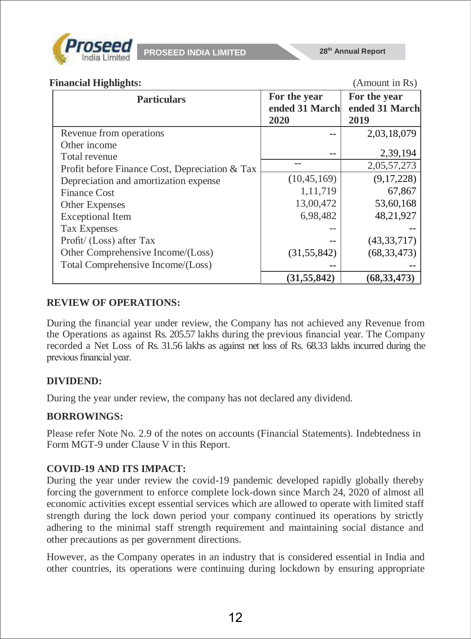

#### **Financial Highlights:** (Amount in Rs)

| <b>Particulars</b>                             | For the year<br>ended 31 March<br>2020 | For the year<br>ended 31 March<br>2019 |
|------------------------------------------------|----------------------------------------|----------------------------------------|
| Revenue from operations                        |                                        | 2,03,18,079                            |
| Other income                                   |                                        |                                        |
| Total revenue                                  |                                        | 2,39,194                               |
| Profit before Finance Cost, Depreciation & Tax | --                                     | 2,05,57,273                            |
| Depreciation and amortization expense          | (10, 45, 169)                          | (9,17,228)                             |
| <b>Finance Cost</b>                            | 1,11,719                               | 67,867                                 |
| Other Expenses                                 | 13,00,472                              | 53,60,168                              |
| <b>Exceptional Item</b>                        | 6,98,482                               | 48,21,927                              |
| <b>Tax Expenses</b>                            |                                        |                                        |
| Profit/ (Loss) after Tax                       |                                        | (43, 33, 717)                          |
| Other Comprehensive Income/(Loss)              | (31, 55, 842)                          | (68, 33, 473)                          |
| Total Comprehensive Income/(Loss)              |                                        |                                        |
|                                                | (31, 55, 842)                          | (68, 33, 473)                          |

#### **REVIEW OF OPERATIONS:**

During the financial year under review, the Company has not achieved any Revenue from the Operations as against Rs. 205.57 lakhs during the previous financial year. The Company recorded a Net Loss of Rs. 31.56 lakhs as against net loss of Rs. 68.33 lakhs incurred during the previous financial year.

#### **DIVIDEND:**

During the year under review, the company has not declared any dividend.

#### **BORROWINGS:**

Please refer Note No. 2.9 of the notes on accounts (Financial Statements). Indebtedness in Form MGT-9 under Clause V in this Report.

#### **COVID-19 AND ITS IMPACT:**

During the year under review the covid-19 pandemic developed rapidly globally thereby forcing the government to enforce complete lock-down since March 24, 2020 of almost all economic activities except essential services which are allowed to operate with limited staff strength during the lock down period your company continued its operations by strictly adhering to the minimal staff strength requirement and maintaining social distance and other precautions as per government directions.

However, as the Company operates in an industry that is considered essential in India and other countries, its operations were continuing during lockdown by ensuring appropriate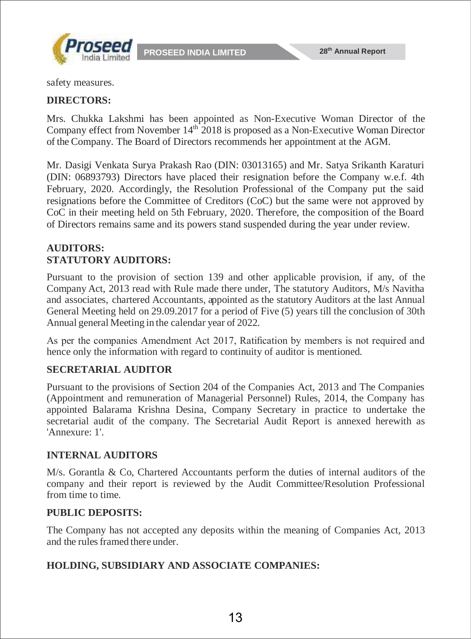

safety measures.

#### **DIRECTORS:**

Mrs. Chukka Lakshmi has been appointed as Non-Executive Woman Director of the Company effect from November 14<sup>th 2018</sup> is proposed as a Non-Executive Woman Director of the Company. The Board of Directors recommends her appointment at the AGM.

Mr. Dasigi Venkata Surya Prakash Rao (DIN: 03013165) and Mr. Satya Srikanth Karaturi (DIN: 06893793) Directors have placed their resignation before the Company w.e.f. 4th February, 2020. Accordingly, the Resolution Professional of the Company put the said resignations before the Committee of Creditors (CoC) but the same were not approved by CoC in their meeting held on 5th February, 2020. Therefore, the composition of the Board of Directors remains same and its powers stand suspended during the year under review.

#### **AUDITORS: STATUTORY AUDITORS:**

Pursuant to the provision of section 139 and other applicable provision, if any, of the Company Act, 2013 read with Rule made there under, The statutory Auditors, M/s Navitha and associates, chartered Accountants, appointed as the statutory Auditors at the last Annual General Meeting held on 29.09.2017 for a period of Five (5) years till the conclusion of 30th Annual general Meeting in the calendar year of 2022.

As per the companies Amendment Act 2017, Ratification by members is not required and hence only the information with regard to continuity of auditor is mentioned.

#### **SECRETARIAL AUDITOR**

Pursuant to the provisions of Section 204 of the Companies Act, 2013 and The Companies (Appointment and remuneration of Managerial Personnel) Rules, 2014, the Company has appointed Balarama Krishna Desina, Company Secretary in practice to undertake the secretarial audit of the company. The Secretarial Audit Report is annexed herewith as 'Annexure: 1'.

#### **INTERNAL AUDITORS**

M/s. Gorantla & Co, Chartered Accountants perform the duties of internal auditors of the company and their report is reviewed by the Audit Committee/Resolution Professional from time to time.

#### **PUBLIC DEPOSITS:**

The Company has not accepted any deposits within the meaning of Companies Act, 2013 and the rules framed there under.

#### **HOLDING, SUBSIDIARY AND ASSOCIATE COMPANIES:**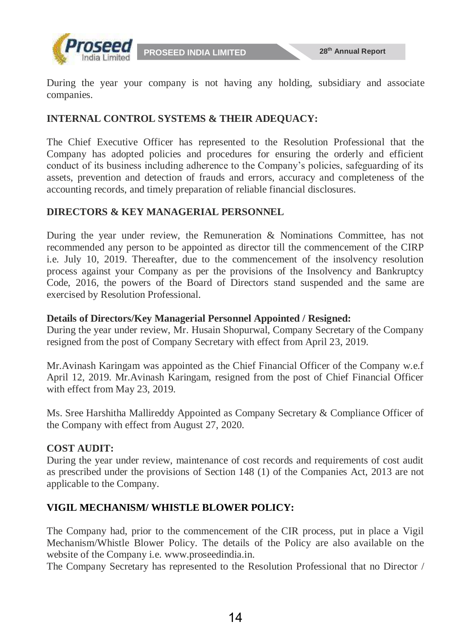

During the year your company is not having any holding, subsidiary and associate companies.

#### **INTERNAL CONTROL SYSTEMS & THEIR ADEQUACY:**

The Chief Executive Officer has represented to the Resolution Professional that the Company has adopted policies and procedures for ensuring the orderly and efficient conduct of its business including adherence to the Company's policies, safeguarding of its assets, prevention and detection of frauds and errors, accuracy and completeness of the accounting records, and timely preparation of reliable financial disclosures.

#### **DIRECTORS & KEY MANAGERIAL PERSONNEL**

During the year under review, the Remuneration & Nominations Committee, has not recommended any person to be appointed as director till the commencement of the CIRP i.e. July 10, 2019. Thereafter, due to the commencement of the insolvency resolution process against your Company as per the provisions of the Insolvency and Bankruptcy Code, 2016, the powers of the Board of Directors stand suspended and the same are exercised by Resolution Professional.

#### **Details of Directors/Key Managerial Personnel Appointed / Resigned:**

During the year under review, Mr. Husain Shopurwal, Company Secretary of the Company resigned from the post of Company Secretary with effect from April 23, 2019.

Mr.Avinash Karingam was appointed as the Chief Financial Officer of the Company w.e.f April 12, 2019. Mr.Avinash Karingam, resigned from the post of Chief Financial Officer with effect from May 23, 2019.

Ms. Sree Harshitha Mallireddy Appointed as Company Secretary & Compliance Officer of the Company with effect from August 27, 2020.

#### **COST AUDIT:**

During the year under review, maintenance of cost records and requirements of cost audit as prescribed under the provisions of Section 148 (1) of the Companies Act, 2013 are not applicable to the Company.

#### **VIGIL MECHANISM/ WHISTLE BLOWER POLICY:**

The Company had, prior to the commencement of the CIR process, put in place a Vigil Mechanism/Whistle Blower Policy. The details of the Policy are also available on the website of the Company i.e. [www.proseedindia.in.](http://www.proseedindia.in/)

The Company Secretary has represented to the Resolution Professional that no Director /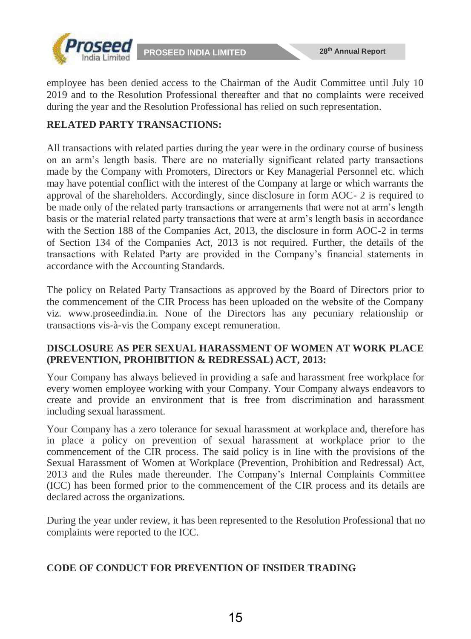

employee has been denied access to the Chairman of the Audit Committee until July 10 2019 and to the Resolution Professional thereafter and that no complaints were received during the year and the Resolution Professional has relied on such representation.

#### **RELATED PARTY TRANSACTIONS:**

All transactions with related parties during the year were in the ordinary course of business on an arm's length basis. There are no materially significant related party transactions made by the Company with Promoters, Directors or Key Managerial Personnel etc. which may have potential conflict with the interest of the Company at large or which warrants the approval of the shareholders. Accordingly, since disclosure in form AOC- 2 is required to be made only of the related party transactions or arrangements that were not at arm's length basis or the material related party transactions that were at arm's length basis in accordance with the Section 188 of the Companies Act, 2013, the disclosure in form AOC-2 in terms of Section 134 of the Companies Act, 2013 is not required. Further, the details of the transactions with Related Party are provided in the Company's financial statements in accordance with the Accounting Standards.

The policy on Related Party Transactions as approved by the Board of Directors prior to the commencement of the CIR Process has been uploaded on the website of the Company viz. www.proseedindia.in. None of the Directors has any pecuniary relationship or transactions vis-à-vis the Company except remuneration.

#### **DISCLOSURE AS PER SEXUAL HARASSMENT OF WOMEN AT WORK PLACE (PREVENTION, PROHIBITION & REDRESSAL) ACT, 2013:**

Your Company has always believed in providing a safe and harassment free workplace for every women employee working with your Company. Your Company always endeavors to create and provide an environment that is free from discrimination and harassment including sexual harassment.

Your Company has a zero tolerance for sexual harassment at workplace and, therefore has in place a policy on prevention of sexual harassment at workplace prior to the commencement of the CIR process. The said policy is in line with the provisions of the Sexual Harassment of Women at Workplace (Prevention, Prohibition and Redressal) Act, 2013 and the Rules made thereunder. The Company's Internal Complaints Committee (ICC) has been formed prior to the commencement of the CIR process and its details are declared across the organizations.

During the year under review, it has been represented to the Resolution Professional that no complaints were reported to the ICC.

#### **CODE OF CONDUCT FOR PREVENTION OF INSIDER TRADING**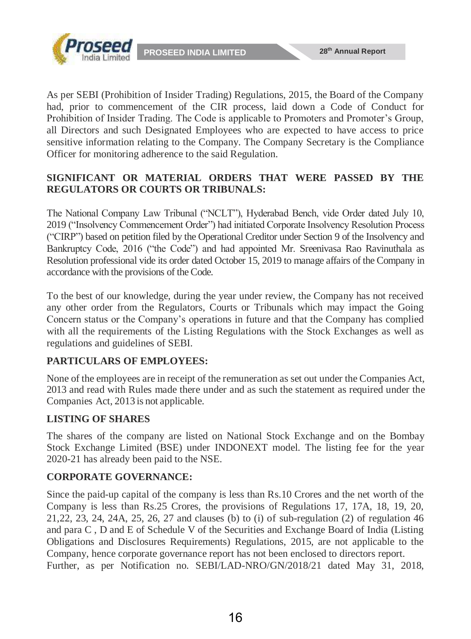

As per SEBI (Prohibition of Insider Trading) Regulations, 2015, the Board of the Company had, prior to commencement of the CIR process, laid down a Code of Conduct for Prohibition of Insider Trading. The Code is applicable to Promoters and Promoter's Group, all Directors and such Designated Employees who are expected to have access to price sensitive information relating to the Company. The Company Secretary is the Compliance Officer for monitoring adherence to the said Regulation.

#### **SIGNIFICANT OR MATERIAL ORDERS THAT WERE PASSED BY THE REGULATORS OR COURTS OR TRIBUNALS:**

The National Company Law Tribunal ("NCLT"), Hyderabad Bench, vide Order dated July 10, 2019 ("Insolvency Commencement Order") had initiated Corporate Insolvency Resolution Process ("CIRP") based on petition filed by the Operational Creditor under Section 9 of the Insolvency and Bankruptcy Code, 2016 ("the Code") and had appointed Mr. Sreenivasa Rao Ravinuthala as Resolution professional vide its order dated October 15, 2019 to manage affairs of the Company in accordance with the provisions of the Code.

To the best of our knowledge, during the year under review, the Company has not received any other order from the Regulators, Courts or Tribunals which may impact the Going Concern status or the Company's operations in future and that the Company has complied with all the requirements of the Listing Regulations with the Stock Exchanges as well as regulations and guidelines of SEBI.

#### **PARTICULARS OF EMPLOYEES:**

None of the employees are in receipt of the remuneration as set out under the Companies Act, 2013 and read with Rules made there under and as such the statement as required under the Companies Act, 2013 is not applicable.

### **LISTING OF SHARES**

The shares of the company are listed on National Stock Exchange and on the Bombay Stock Exchange Limited (BSE) under INDONEXT model. The listing fee for the year 2020-21 has already been paid to the NSE.

#### **CORPORATE GOVERNANCE:**

Since the paid-up capital of the company is less than Rs.10 Crores and the net worth of the Company is less than Rs.25 Crores, the provisions of Regulations 17, 17A, 18, 19, 20, 21,22, 23, 24, 24A, 25, 26, 27 and clauses (b) to (i) of sub-regulation (2) of regulation 46 and para C , D and E of Schedule V of the Securities and Exchange Board of India (Listing Obligations and Disclosures Requirements) Regulations, 2015, are not applicable to the Company, hence corporate governance report has not been enclosed to directors report. Further, as per Notification no. SEBI/LAD-NRO/GN/2018/21 dated May 31, 2018,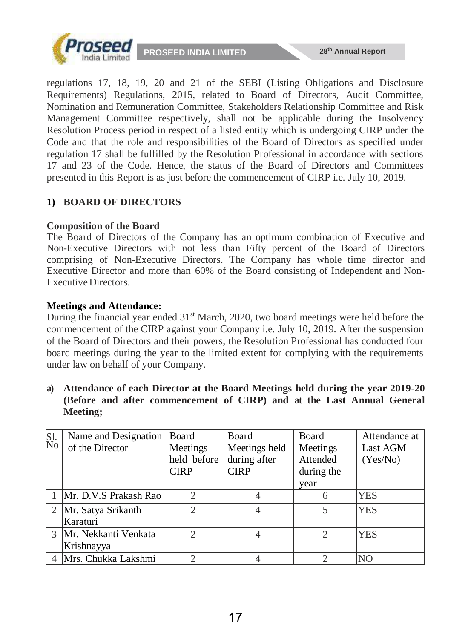

regulations 17, 18, 19, 20 and 21 of the SEBI (Listing Obligations and Disclosure Requirements) Regulations, 2015, related to Board of Directors, Audit Committee, Nomination and Remuneration Committee, Stakeholders Relationship Committee and Risk Management Committee respectively, shall not be applicable during the Insolvency Resolution Process period in respect of a listed entity which is undergoing CIRP under the Code and that the role and responsibilities of the Board of Directors as specified under regulation 17 shall be fulfilled by the Resolution Professional in accordance with sections 17 and 23 of the Code. Hence, the status of the Board of Directors and Committees presented in this Report is as just before the commencement of CIRP i.e. July 10, 2019.

#### **1) BOARD OF DIRECTORS**

#### **Composition of the Board**

The Board of Directors of the Company has an optimum combination of Executive and Non-Executive Directors with not less than Fifty percent of the Board of Directors comprising of Non-Executive Directors. The Company has whole time director and Executive Director and more than 60% of the Board consisting of Independent and Non-Executive Directors.

#### **Meetings and Attendance:**

During the financial year ended  $31<sup>st</sup>$  March, 2020, two board meetings were held before the commencement of the CIRP against your Company i.e. July 10, 2019. After the suspension of the Board of Directors and their powers, the Resolution Professional has conducted four board meetings during the year to the limited extent for complying with the requirements under law on behalf of your Company.

**a) Attendance of each Director at the Board Meetings held during the year 2019-20 (Before and after commencement of CIRP) and at the Last Annual General Meeting;**

| Sl.<br>No | Name and Designation    | Board                       | <b>Board</b>  | Board      | Attendance at  |
|-----------|-------------------------|-----------------------------|---------------|------------|----------------|
|           | of the Director         | Meetings                    | Meetings held | Meetings   | Last AGM       |
|           |                         | held before                 | during after  | Attended   | (Yes/No)       |
|           |                         | <b>CIRP</b>                 | <b>CIRP</b>   | during the |                |
|           |                         |                             |               | year       |                |
|           | 1 Mr. D.V.S Prakash Rao | $\mathcal{D}$               |               |            | YES            |
|           | 2   Mr. Satya Srikanth  | $\mathcal{D}$               |               |            | <b>YES</b>     |
|           | Karaturi                |                             |               |            |                |
|           | 3 Mr. Nekkanti Venkata  | $\mathcal{D}_{\mathcal{A}}$ |               |            | <b>YES</b>     |
|           | Krishnayya              |                             |               |            |                |
|           | Mrs. Chukka Lakshmi     | 2                           |               |            | N <sub>O</sub> |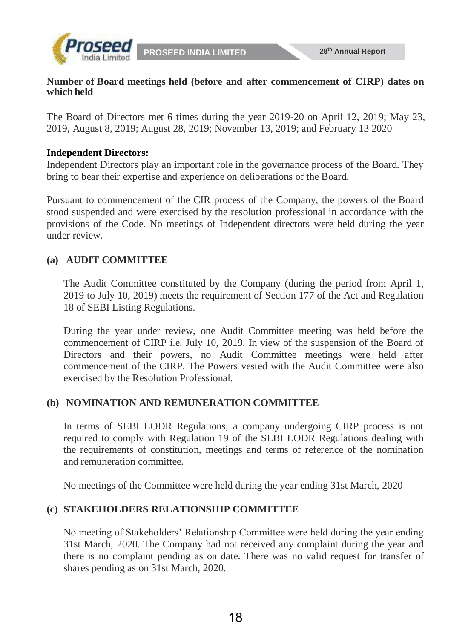

#### **Number of Board meetings held (before and after commencement of CIRP) dates on which held**

The Board of Directors met 6 times during the year 2019-20 on April 12, 2019; May 23, 2019, August 8, 2019; August 28, 2019; November 13, 2019; and February 13 2020

#### **Independent Directors:**

Independent Directors play an important role in the governance process of the Board. They bring to bear their expertise and experience on deliberations of the Board.

Pursuant to commencement of the CIR process of the Company, the powers of the Board stood suspended and were exercised by the resolution professional in accordance with the provisions of the Code. No meetings of Independent directors were held during the year under review.

#### **(a) AUDIT COMMITTEE**

The Audit Committee constituted by the Company (during the period from April 1, 2019 to July 10, 2019) meets the requirement of Section 177 of the Act and Regulation 18 of SEBI Listing Regulations.

During the year under review, one Audit Committee meeting was held before the commencement of CIRP i.e. July 10, 2019. In view of the suspension of the Board of Directors and their powers, no Audit Committee meetings were held after commencement of the CIRP. The Powers vested with the Audit Committee were also exercised by the Resolution Professional.

#### **(b) NOMINATION AND REMUNERATION COMMITTEE**

In terms of SEBI LODR Regulations, a company undergoing CIRP process is not required to comply with Regulation 19 of the SEBI LODR Regulations dealing with the requirements of constitution, meetings and terms of reference of the nomination and remuneration committee.

No meetings of the Committee were held during the year ending 31st March, 2020

#### **(c) STAKEHOLDERS RELATIONSHIP COMMITTEE**

No meeting of Stakeholders' Relationship Committee were held during the year ending 31st March, 2020. The Company had not received any complaint during the year and there is no complaint pending as on date. There was no valid request for transfer of shares pending as on 31st March, 2020.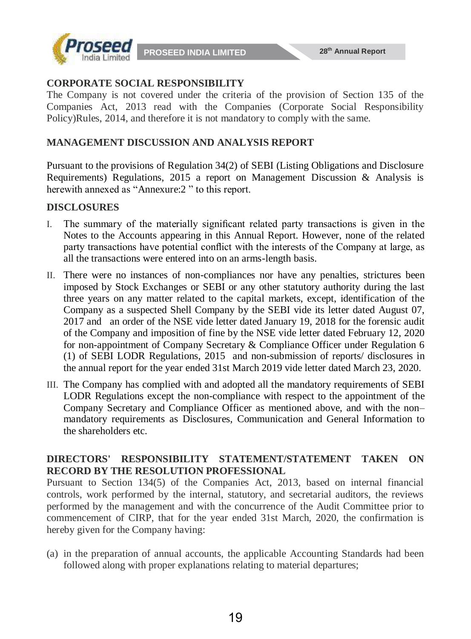

#### **CORPORATE SOCIAL RESPONSIBILITY**

The Company is not covered under the criteria of the provision of Section 135 of the Companies Act, 2013 read with the Companies (Corporate Social Responsibility Policy)Rules, 2014, and therefore it is not mandatory to comply with the same.

#### **MANAGEMENT DISCUSSION AND ANALYSIS REPORT**

Pursuant to the provisions of Regulation 34(2) of SEBI (Listing Obligations and Disclosure Requirements) Regulations, 2015 a report on Management Discussion & Analysis is herewith annexed as "Annexure:2 " to this report.

#### **DISCLOSURES**

- I. The summary of the materially significant related party transactions is given in the Notes to the Accounts appearing in this Annual Report. However, none of the related party transactions have potential conflict with the interests of the Company at large, as all the transactions were entered into on an arms-length basis.
- II. There were no instances of non-compliances nor have any penalties, strictures been imposed by Stock Exchanges or SEBI or any other statutory authority during the last three years on any matter related to the capital markets, except, identification of the Company as a suspected Shell Company by the SEBI vide its letter dated August 07, 2017 and an order of the NSE vide letter dated January 19, 2018 for the forensic audit of the Company and imposition of fine by the NSE vide letter dated February 12, 2020 for non-appointment of Company Secretary & Compliance Officer under Regulation 6 (1) of SEBI LODR Regulations, 2015 and non-submission of reports/ disclosures in the annual report for the year ended 31st March 2019 vide letter dated March 23, 2020.
- III. The Company has complied with and adopted all the mandatory requirements of SEBI LODR Regulations except the non-compliance with respect to the appointment of the Company Secretary and Compliance Officer as mentioned above, and with the non– mandatory requirements as Disclosures, Communication and General Information to the shareholders etc.

#### **DIRECTORS' RESPONSIBILITY STATEMENT/STATEMENT TAKEN ON RECORD BY THE RESOLUTION PROFESSIONAL**

Pursuant to Section 134(5) of the Companies Act, 2013, based on internal financial controls, work performed by the internal, statutory, and secretarial auditors, the reviews performed by the management and with the concurrence of the Audit Committee prior to commencement of CIRP, that for the year ended 31st March, 2020, the confirmation is hereby given for the Company having:

(a) in the preparation of annual accounts, the applicable Accounting Standards had been followed along with proper explanations relating to material departures;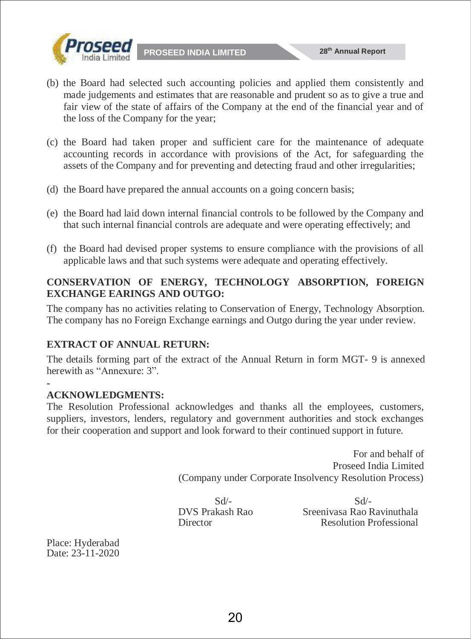

- (b) the Board had selected such accounting policies and applied them consistently and made judgements and estimates that are reasonable and prudent so as to give a true and fair view of the state of affairs of the Company at the end of the financial year and of the loss of the Company for the year;
- (c) the Board had taken proper and sufficient care for the maintenance of adequate accounting records in accordance with provisions of the Act, for safeguarding the assets of the Company and for preventing and detecting fraud and other irregularities;
- (d) the Board have prepared the annual accounts on a going concern basis;
- (e) the Board had laid down internal financial controls to be followed by the Company and that such internal financial controls are adequate and were operating effectively; and
- (f) the Board had devised proper systems to ensure compliance with the provisions of all applicable laws and that such systems were adequate and operating effectively.

#### **CONSERVATION OF ENERGY, TECHNOLOGY ABSORPTION, FOREIGN EXCHANGE EARINGS AND OUTGO:**

The company has no activities relating to Conservation of Energy, Technology Absorption. The company has no Foreign Exchange earnings and Outgo during the year under review.

### **EXTRACT OF ANNUAL RETURN:**

The details forming part of the extract of the Annual Return in form MGT- 9 is annexed herewith as "Annexure: 3".

#### - **ACKNOWLEDGMENTS:**

The Resolution Professional acknowledges and thanks all the employees, customers, suppliers, investors, lenders, regulatory and government authorities and stock exchanges for their cooperation and support and look forward to their continued support in future.

> For and behalf of Proseed India Limited (Company under Corporate Insolvency Resolution Process)

 $Sd$ - $Sd$ - DVS Prakash Rao Sreenivasa Rao Ravinuthala Director Resolution Professional

Place: Hyderabad Date: 23-11-2020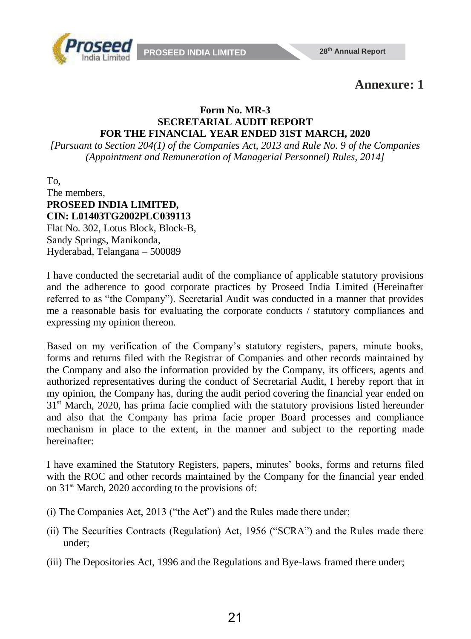

# **Annexure: 1**

#### **Form No. MR-3 SECRETARIAL AUDIT REPORT FOR THE FINANCIAL YEAR ENDED 31ST MARCH, 2020**

*[Pursuant to Section 204(1) of the Companies Act, 2013 and Rule No. 9 of the Companies (Appointment and Remuneration of Managerial Personnel) Rules, 2014]*

To, The members, **PROSEED INDIA LIMITED, CIN: L01403TG2002PLC039113** Flat No. 302, Lotus Block, Block-B, Sandy Springs, Manikonda, Hyderabad, Telangana – 500089

I have conducted the secretarial audit of the compliance of applicable statutory provisions and the adherence to good corporate practices by Proseed India Limited (Hereinafter referred to as "the Company"). Secretarial Audit was conducted in a manner that provides me a reasonable basis for evaluating the corporate conducts / statutory compliances and expressing my opinion thereon.

Based on my verification of the Company's statutory registers, papers, minute books, forms and returns filed with the Registrar of Companies and other records maintained by the Company and also the information provided by the Company, its officers, agents and authorized representatives during the conduct of Secretarial Audit, I hereby report that in my opinion, the Company has, during the audit period covering the financial year ended on  $31<sup>st</sup>$  March, 2020, has prima facie complied with the statutory provisions listed hereunder and also that the Company has prima facie proper Board processes and compliance mechanism in place to the extent, in the manner and subject to the reporting made hereinafter:

I have examined the Statutory Registers, papers, minutes' books, forms and returns filed with the ROC and other records maintained by the Company for the financial year ended on  $31<sup>st</sup>$  March, 2020 according to the provisions of:

- (i) The Companies Act, 2013 ("the Act") and the Rules made there under;
- (ii) The Securities Contracts (Regulation) Act, 1956 ("SCRA") and the Rules made there under;
- (iii) The Depositories Act, 1996 and the Regulations and Bye-laws framed there under;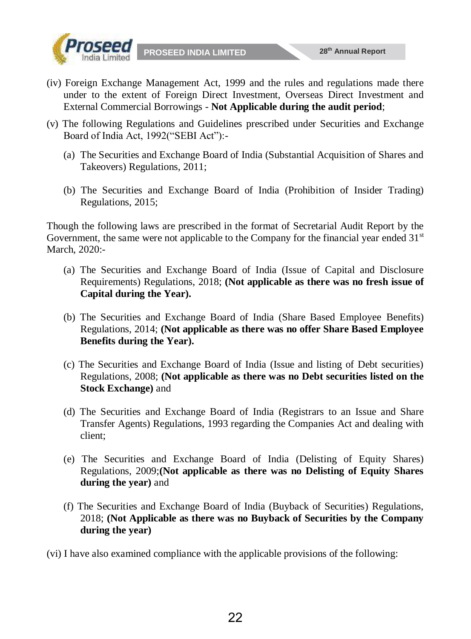



- (iv) Foreign Exchange Management Act, 1999 and the rules and regulations made there under to the extent of Foreign Direct Investment, Overseas Direct Investment and External Commercial Borrowings - **Not Applicable during the audit period**;
- (v) The following Regulations and Guidelines prescribed under Securities and Exchange Board of India Act, 1992("SEBI Act"):-
	- (a) The Securities and Exchange Board of India (Substantial Acquisition of Shares and Takeovers) Regulations, 2011;
	- (b) The Securities and Exchange Board of India (Prohibition of Insider Trading) Regulations, 2015;

Though the following laws are prescribed in the format of Secretarial Audit Report by the Government, the same were not applicable to the Company for the financial year ended  $31<sup>st</sup>$ March, 2020:-

- (a) The Securities and Exchange Board of India (Issue of Capital and Disclosure Requirements) Regulations, 2018; **(Not applicable as there was no fresh issue of Capital during the Year).**
- (b) The Securities and Exchange Board of India (Share Based Employee Benefits) Regulations, 2014; **(Not applicable as there was no offer Share Based Employee Benefits during the Year).**
- (c) The Securities and Exchange Board of India (Issue and listing of Debt securities) Regulations, 2008; **(Not applicable as there was no Debt securities listed on the Stock Exchange)** and
- (d) The Securities and Exchange Board of India (Registrars to an Issue and Share Transfer Agents) Regulations, 1993 regarding the Companies Act and dealing with client;
- (e) The Securities and Exchange Board of India (Delisting of Equity Shares) Regulations, 2009;**(Not applicable as there was no Delisting of Equity Shares during the year)** and
- (f) The Securities and Exchange Board of India (Buyback of Securities) Regulations, 2018; **(Not Applicable as there was no Buyback of Securities by the Company during the year)**

(vi) I have also examined compliance with the applicable provisions of the following: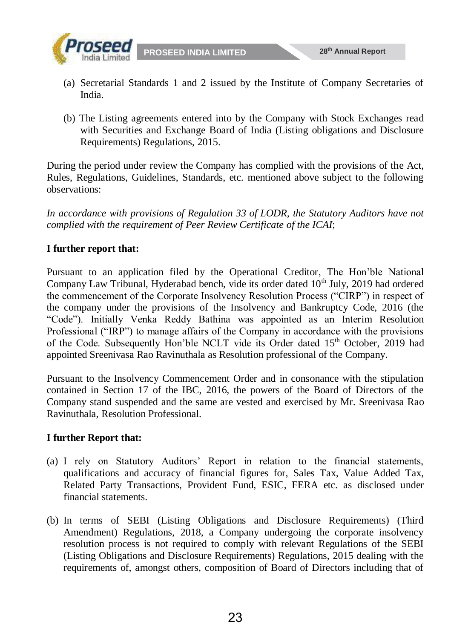



- (a) Secretarial Standards 1 and 2 issued by the Institute of Company Secretaries of India.
- (b) The Listing agreements entered into by the Company with Stock Exchanges read with Securities and Exchange Board of India (Listing obligations and Disclosure Requirements) Regulations, 2015.

During the period under review the Company has complied with the provisions of the Act, Rules, Regulations, Guidelines, Standards, etc. mentioned above subject to the following observations:

*In accordance with provisions of Regulation 33 of LODR, the Statutory Auditors have not complied with the requirement of Peer Review Certificate of the ICAI*;

#### **I further report that:**

Pursuant to an application filed by the Operational Creditor, The Hon'ble National Company Law Tribunal, Hyderabad bench, vide its order dated 10<sup>th</sup> July, 2019 had ordered the commencement of the Corporate Insolvency Resolution Process ("CIRP") in respect of the company under the provisions of the Insolvency and Bankruptcy Code, 2016 (the "Code"). Initially Venka Reddy Bathina was appointed as an Interim Resolution Professional ("IRP") to manage affairs of the Company in accordance with the provisions of the Code. Subsequently Hon'ble NCLT vide its Order dated 15<sup>th</sup> October, 2019 had appointed Sreenivasa Rao Ravinuthala as Resolution professional of the Company.

Pursuant to the Insolvency Commencement Order and in consonance with the stipulation contained in Section 17 of the IBC, 2016, the powers of the Board of Directors of the Company stand suspended and the same are vested and exercised by Mr. Sreenivasa Rao Ravinuthala, Resolution Professional.

#### **I further Report that:**

- (a) I rely on Statutory Auditors' Report in relation to the financial statements, qualifications and accuracy of financial figures for, Sales Tax, Value Added Tax, Related Party Transactions, Provident Fund, ESIC, FERA etc. as disclosed under financial statements.
- (b) In terms of SEBI (Listing Obligations and Disclosure Requirements) (Third Amendment) Regulations, 2018, a Company undergoing the corporate insolvency resolution process is not required to comply with relevant Regulations of the SEBI (Listing Obligations and Disclosure Requirements) Regulations, 2015 dealing with the requirements of, amongst others, composition of Board of Directors including that of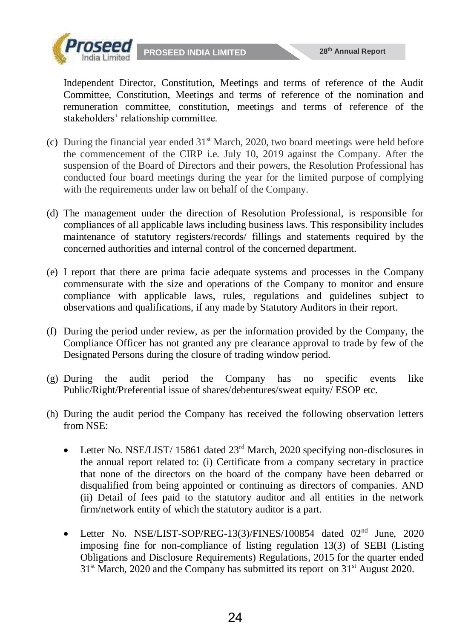

Independent Director, Constitution, Meetings and terms of reference of the Audit Committee, Constitution, Meetings and terms of reference of the nomination and remuneration committee, constitution, meetings and terms of reference of the stakeholders' relationship committee.

- (c) During the financial year ended  $31<sup>st</sup>$  March, 2020, two board meetings were held before the commencement of the CIRP i.e. July 10, 2019 against the Company. After the suspension of the Board of Directors and their powers, the Resolution Professional has conducted four board meetings during the year for the limited purpose of complying with the requirements under law on behalf of the Company.
- (d) The management under the direction of Resolution Professional, is responsible for compliances of all applicable laws including business laws. This responsibility includes maintenance of statutory registers/records/ fillings and statements required by the concerned authorities and internal control of the concerned department.
- (e) I report that there are prima facie adequate systems and processes in the Company commensurate with the size and operations of the Company to monitor and ensure compliance with applicable laws, rules, regulations and guidelines subject to observations and qualifications, if any made by Statutory Auditors in their report.
- (f) During the period under review, as per the information provided by the Company, the Compliance Officer has not granted any pre clearance approval to trade by few of the Designated Persons during the closure of trading window period.
- (g) During the audit period the Company has no specific events like Public/Right/Preferential issue of shares/debentures/sweat equity/ ESOP etc.
- (h) During the audit period the Company has received the following observation letters from NSE:
	- Eletter No. NSE/LIST/ 15861 dated  $23<sup>rd</sup>$  March, 2020 specifying non-disclosures in the annual report related to: (i) Certificate from a company secretary in practice that none of the directors on the board of the company have been debarred or disqualified from being appointed or continuing as directors of companies. AND (ii) Detail of fees paid to the statutory auditor and all entities in the network firm/network entity of which the statutory auditor is a part.
	- Letter No. NSE/LIST-SOP/REG-13(3)/FINES/100854 dated 02<sup>nd</sup> June, 2020 imposing fine for non-compliance of listing regulation 13(3) of SEBI (Listing Obligations and Disclosure Requirements) Regulations, 2015 for the quarter ended  $31<sup>st</sup> March, 2020$  and the Company has submitted its report on  $31<sup>st</sup>$  August 2020.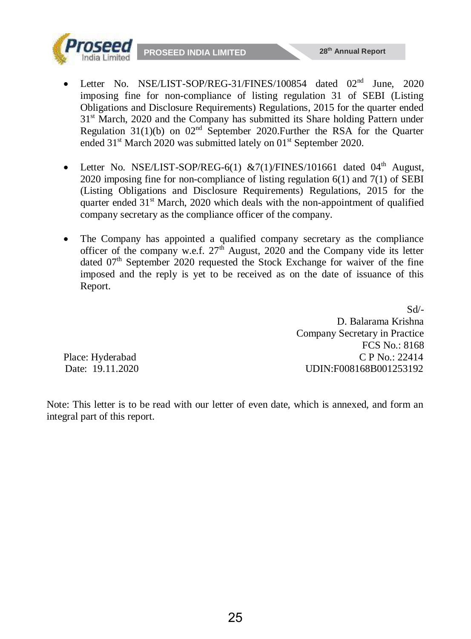



- Letter No. NSE/LIST-SOP/REG-6(1)  $&7(1)/\text{FINES}/101661$  dated  $04<sup>th</sup>$  August, 2020 imposing fine for non-compliance of listing regulation 6(1) and 7(1) of SEBI (Listing Obligations and Disclosure Requirements) Regulations, 2015 for the quarter ended  $31<sup>st</sup>$  March, 2020 which deals with the non-appointment of qualified company secretary as the compliance officer of the company.
- The Company has appointed a qualified company secretary as the compliance officer of the company w.e.f.  $27<sup>th</sup>$  August, 2020 and the Company vide its letter dated  $07<sup>th</sup>$  September 2020 requested the Stock Exchange for waiver of the fine imposed and the reply is yet to be received as on the date of issuance of this Report.

 $Sd$ <sup>-</sup> D. Balarama Krishna Company Secretary in Practice FCS No.: 8168 Place: Hyderabad C P No.: 22414 Date: 19.11.2020 UDIN:F008168B001253192

Note: This letter is to be read with our letter of even date, which is annexed, and form an integral part of this report.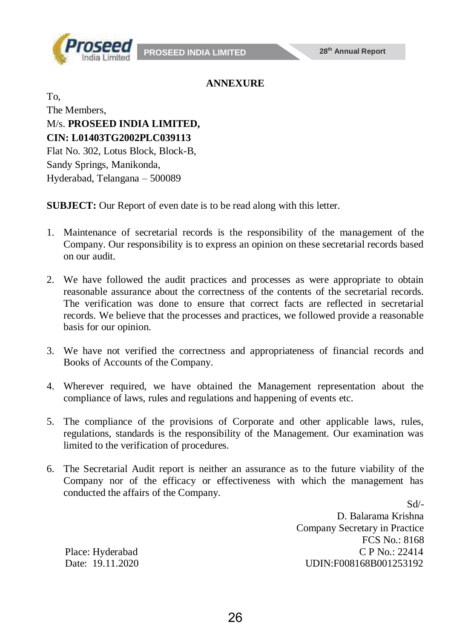

#### **ANNEXURE**

To, The Members, M/s. **PROSEED INDIA LIMITED, CIN: L01403TG2002PLC039113** Flat No. 302, Lotus Block, Block-B, Sandy Springs, Manikonda, Hyderabad, Telangana – 500089

**SUBJECT:** Our Report of even date is to be read along with this letter.

- 1. Maintenance of secretarial records is the responsibility of the management of the Company. Our responsibility is to express an opinion on these secretarial records based on our audit.
- 2. We have followed the audit practices and processes as were appropriate to obtain reasonable assurance about the correctness of the contents of the secretarial records. The verification was done to ensure that correct facts are reflected in secretarial records. We believe that the processes and practices, we followed provide a reasonable basis for our opinion.
- 3. We have not verified the correctness and appropriateness of financial records and Books of Accounts of the Company.
- 4. Wherever required, we have obtained the Management representation about the compliance of laws, rules and regulations and happening of events etc.
- 5. The compliance of the provisions of Corporate and other applicable laws, rules, regulations, standards is the responsibility of the Management. Our examination was limited to the verification of procedures.
- 6. The Secretarial Audit report is neither an assurance as to the future viability of the Company nor of the efficacy or effectiveness with which the management has conducted the affairs of the Company.

Sd/- D. Balarama Krishna Company Secretary in Practice FCS No.: 8168 Place: Hyderabad C P No.: 22414 Date: 19.11.2020 UDIN:F008168B001253192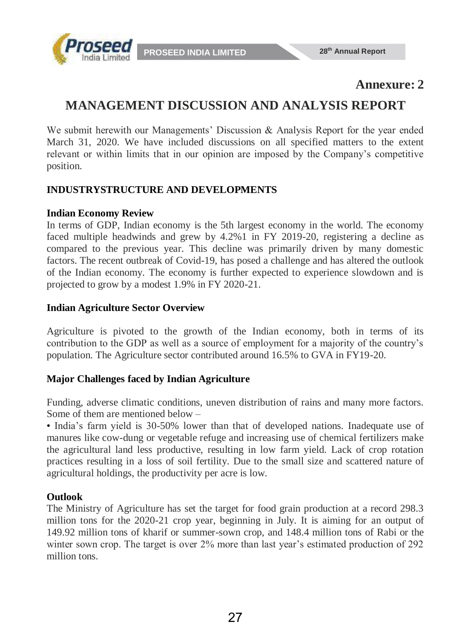

## **Annexure: 2**

# **MANAGEMENT DISCUSSION AND ANALYSIS REPORT**

We submit herewith our Managements' Discussion & Analysis Report for the year ended March 31, 2020. We have included discussions on all specified matters to the extent relevant or within limits that in our opinion are imposed by the Company's competitive position.

#### **INDUSTRYSTRUCTURE AND DEVELOPMENTS**

#### **Indian Economy Review**

In terms of GDP, Indian economy is the 5th largest economy in the world. The economy faced multiple headwinds and grew by 4.2%1 in FY 2019-20, registering a decline as compared to the previous year. This decline was primarily driven by many domestic factors. The recent outbreak of Covid-19, has posed a challenge and has altered the outlook of the Indian economy. The economy is further expected to experience slowdown and is projected to grow by a modest 1.9% in FY 2020-21.

#### **Indian Agriculture Sector Overview**

Agriculture is pivoted to the growth of the Indian economy, both in terms of its contribution to the GDP as well as a source of employment for a majority of the country's population. The Agriculture sector contributed around 16.5% to GVA in FY19-20.

#### **Major Challenges faced by Indian Agriculture**

Funding, adverse climatic conditions, uneven distribution of rains and many more factors. Some of them are mentioned below –

• India's farm yield is 30-50% lower than that of developed nations. Inadequate use of manures like cow-dung or vegetable refuge and increasing use of chemical fertilizers make the agricultural land less productive, resulting in low farm yield. Lack of crop rotation practices resulting in a loss of soil fertility. Due to the small size and scattered nature of agricultural holdings, the productivity per acre is low.

#### **Outlook**

The Ministry of Agriculture has set the target for food grain production at a record 298.3 million tons for the 2020-21 crop year, beginning in July. It is aiming for an output of 149.92 million tons of kharif or summer-sown crop, and 148.4 million tons of Rabi or the winter sown crop. The target is over 2% more than last year's estimated production of 292 million tons.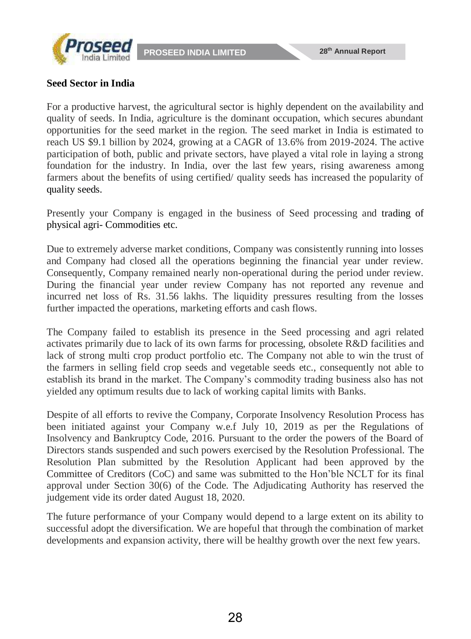



#### **Seed Sector in India**

For a productive harvest, the agricultural sector is highly dependent on the availability and quality of seeds. In India, agriculture is the dominant occupation, which secures abundant opportunities for the seed market in the region. The seed market in India is estimated to reach US \$9.1 billion by 2024, growing at a CAGR of 13.6% from 2019-2024. The active participation of both, public and private sectors, have played a vital role in laying a strong foundation for the industry. In India, over the last few years, rising awareness among farmers about the benefits of using certified/ quality seeds has increased the popularity of quality seeds.

Presently your Company is engaged in the business of Seed processing and trading of physical agri- Commodities etc.

Due to extremely adverse market conditions, Company was consistently running into losses and Company had closed all the operations beginning the financial year under review. Consequently, Company remained nearly non-operational during the period under review. During the financial year under review Company has not reported any revenue and incurred net loss of Rs. 31.56 lakhs. The liquidity pressures resulting from the losses further impacted the operations, marketing efforts and cash flows.

The Company failed to establish its presence in the Seed processing and agri related activates primarily due to lack of its own farms for processing, obsolete R&D facilities and lack of strong multi crop product portfolio etc. The Company not able to win the trust of the farmers in selling field crop seeds and vegetable seeds etc., consequently not able to establish its brand in the market. The Company's commodity trading business also has not yielded any optimum results due to lack of working capital limits with Banks.

Despite of all efforts to revive the Company, Corporate Insolvency Resolution Process has been initiated against your Company w.e.f July 10, 2019 as per the Regulations of Insolvency and Bankruptcy Code, 2016. Pursuant to the order the powers of the Board of Directors stands suspended and such powers exercised by the Resolution Professional. The Resolution Plan submitted by the Resolution Applicant had been approved by the Committee of Creditors (CoC) and same was submitted to the Hon'ble NCLT for its final approval under Section 30(6) of the Code. The Adjudicating Authority has reserved the judgement vide its order dated August 18, 2020.

The future performance of your Company would depend to a large extent on its ability to successful adopt the diversification. We are hopeful that through the combination of market developments and expansion activity, there will be healthy growth over the next few years.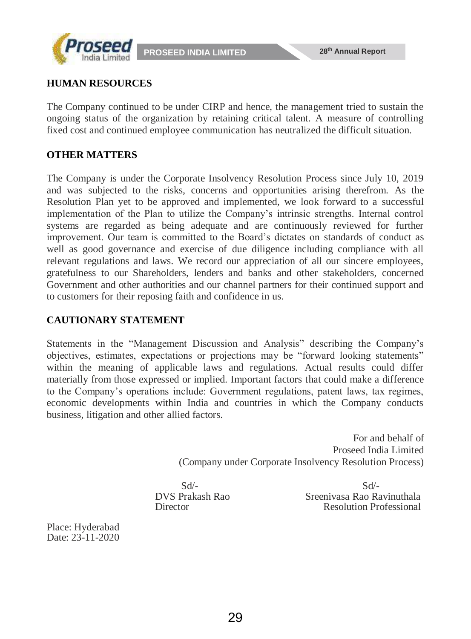



#### **HUMAN RESOURCES**

The Company continued to be under CIRP and hence, the management tried to sustain the ongoing status of the organization by retaining critical talent. A measure of controlling fixed cost and continued employee communication has neutralized the difficult situation.

#### **OTHER MATTERS**

The Company is under the Corporate Insolvency Resolution Process since July 10, 2019 and was subjected to the risks, concerns and opportunities arising therefrom. As the Resolution Plan yet to be approved and implemented, we look forward to a successful implementation of the Plan to utilize the Company's intrinsic strengths. Internal control systems are regarded as being adequate and are continuously reviewed for further improvement. Our team is committed to the Board's dictates on standards of conduct as well as good governance and exercise of due diligence including compliance with all relevant regulations and laws. We record our appreciation of all our sincere employees, gratefulness to our Shareholders, lenders and banks and other stakeholders, concerned Government and other authorities and our channel partners for their continued support and to customers for their reposing faith and confidence in us.

#### **CAUTIONARY STATEMENT**

Statements in the "Management Discussion and Analysis" describing the Company's objectives, estimates, expectations or projections may be "forward looking statements" within the meaning of applicable laws and regulations. Actual results could differ materially from those expressed or implied. Important factors that could make a difference to the Company's operations include: Government regulations, patent laws, tax regimes, economic developments within India and countries in which the Company conducts business, litigation and other allied factors.

> For and behalf of Proseed India Limited (Company under Corporate Insolvency Resolution Process)

 $Sd$ - $Sd$ - DVS Prakash Rao Sreenivasa Rao Ravinuthala Director Resolution Professional

Place: Hyderabad Date: 23-11-2020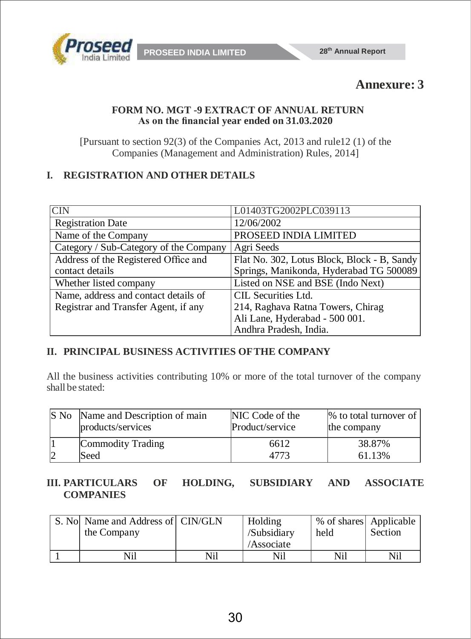

# **Annexure: 3**

#### **FORM NO. MGT -9 EXTRACT OF ANNUAL RETURN As on the financial year ended on 31.03.2020**

[Pursuant to section 92(3) of the Companies Act, 2013 and rule12 (1) of the Companies (Management and Administration) Rules, 2014]

### **I. REGISTRATION AND OTHER DETAILS**

| $\overline{\text{C}}$ IN               | L01403TG2002PLC039113                       |
|----------------------------------------|---------------------------------------------|
| <b>Registration Date</b>               | 12/06/2002                                  |
| Name of the Company                    | PROSEED INDIA LIMITED                       |
| Category / Sub-Category of the Company | Agri Seeds                                  |
| Address of the Registered Office and   | Flat No. 302, Lotus Block, Block - B, Sandy |
| contact details                        | Springs, Manikonda, Hyderabad TG 500089     |
| Whether listed company                 | Listed on NSE and BSE (Indo Next)           |
| Name, address and contact details of   | CIL Securities Ltd.                         |
| Registrar and Transfer Agent, if any   | 214, Raghava Ratna Towers, Chirag           |
|                                        | Ali Lane, Hyderabad - 500 001.              |
|                                        | Andhra Pradesh, India.                      |

#### **II. PRINCIPAL BUSINESS ACTIVITIES OFTHE COMPANY**

All the business activities contributing 10% or more of the total turnover of the company shall be stated:

| IS No | Name and Description of main<br>products/services | NIC Code of the<br>Product/service | $\%$ to total turnover of<br>the company |
|-------|---------------------------------------------------|------------------------------------|------------------------------------------|
|       | Commodity Trading                                 | 6612                               | 38.87%                                   |
|       | 'Seed                                             |                                    | 61.13%                                   |

#### **III. PARTICULARS OF HOLDING, SUBSIDIARY AND ASSOCIATE COMPANIES**

| S. No Name and Address of CIN/GLN<br>the Company |     | Holding<br>/Subsidiary<br>/Associate | % of shares Applicable<br>held | Section |
|--------------------------------------------------|-----|--------------------------------------|--------------------------------|---------|
| Nil                                              | Nil | Nil                                  | Nil                            | Nil     |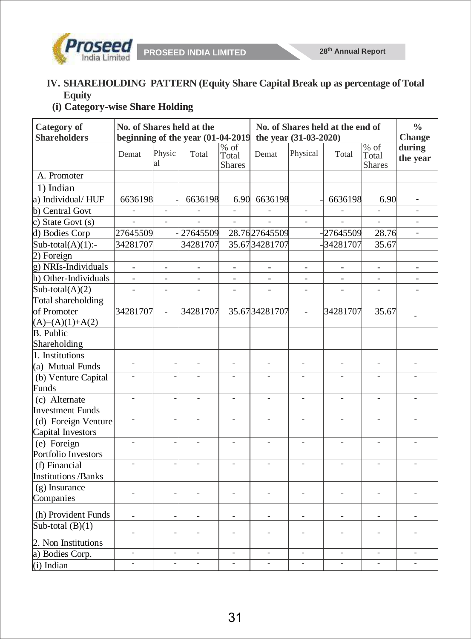

### **IV. SHAREHOLDING PATTERN (Equity Share Capital Break up as percentage of Total Equity**

**(i) Category-wise Share Holding**

| <b>Category</b> of<br><b>Shareholders</b>  |                          | No. of Shares held at the<br>beginning of the year (01-04-2019 |                          | No. of Shares held at the end of<br>the year (31-03-2020) | $\frac{0}{0}$<br><b>Change</b> |                          |                          |                                  |                          |
|--------------------------------------------|--------------------------|----------------------------------------------------------------|--------------------------|-----------------------------------------------------------|--------------------------------|--------------------------|--------------------------|----------------------------------|--------------------------|
|                                            | Demat                    | Physic<br>al                                                   | Total                    | $\overline{\%$ of<br>Total<br><b>Shares</b>               | Demat                          | Physical                 | Total                    | $%$ of<br>Total<br><b>Shares</b> | during<br>the year       |
| A. Promoter                                |                          |                                                                |                          |                                                           |                                |                          |                          |                                  |                          |
| 1) Indian                                  |                          |                                                                |                          |                                                           |                                |                          |                          |                                  |                          |
| a) Individual/HUF                          | 6636198                  |                                                                | 6636198                  | 6.90                                                      | 6636198                        |                          | 6636198                  | 6.90                             | $\overline{\phantom{a}}$ |
| b) Central Govt                            |                          |                                                                |                          | $\overline{a}$                                            |                                | $\overline{a}$           | $\overline{\phantom{a}}$ |                                  |                          |
| c) State Govt $(s)$                        |                          |                                                                |                          |                                                           |                                |                          |                          |                                  |                          |
| d) Bodies Corp                             | 27645509                 |                                                                | 27645509                 |                                                           | 28.7627645509                  |                          | 27645509                 | 28.76                            | $\overline{a}$           |
| $Sub-total(A)(1)$ :-                       | 34281707                 |                                                                | 34281707                 |                                                           | 35.6734281707                  |                          | 34281707                 | 35.67                            |                          |
| $2)$ Foreign                               |                          |                                                                |                          |                                                           |                                |                          |                          |                                  |                          |
| g) NRIs-Individuals                        | $\blacksquare$           | $\blacksquare$                                                 | $\blacksquare$           | $\blacksquare$                                            | $\blacksquare$                 | $\blacksquare$           | ٠                        | $\blacksquare$                   | $\overline{\phantom{0}}$ |
| h) Other-Individuals                       | $\overline{a}$           | $\overline{a}$                                                 | $\sim$                   | $\overline{\phantom{a}}$                                  |                                | $\overline{a}$           | $\overline{a}$           |                                  | $\overline{\phantom{a}}$ |
| Sub-total $(A)(2)$                         | $\frac{1}{2}$            | $\overline{\phantom{a}}$                                       | $\blacksquare$           | $\blacksquare$                                            | $\blacksquare$                 | $\overline{\phantom{a}}$ | $\frac{1}{2}$            | $\frac{1}{2}$                    | $\blacksquare$           |
| Total shareholding                         |                          |                                                                |                          |                                                           |                                |                          |                          |                                  |                          |
| of Promoter                                | 34281707                 | $\Box$                                                         | 34281707                 |                                                           | 35.6734281707                  | $\overline{a}$           | 34281707                 | 35.67                            |                          |
| $(A)=(A)(1)+A(2)$                          |                          |                                                                |                          |                                                           |                                |                          |                          |                                  |                          |
| <b>B.</b> Public                           |                          |                                                                |                          |                                                           |                                |                          |                          |                                  |                          |
| Shareholding                               |                          |                                                                |                          |                                                           |                                |                          |                          |                                  |                          |
| 1. Institutions                            |                          |                                                                |                          |                                                           |                                |                          |                          |                                  |                          |
| (a) Mutual Funds                           |                          |                                                                |                          | $\overline{\phantom{a}}$                                  |                                | $\overline{\phantom{a}}$ |                          | $\overline{\phantom{0}}$         |                          |
| $\overline{(b)}$ Venture Capital<br>Funds  | $\overline{a}$           | $\overline{a}$                                                 | $\overline{\phantom{0}}$ | $\overline{\phantom{a}}$                                  | $\overline{\phantom{0}}$       | $\overline{\phantom{a}}$ | $\overline{a}$           |                                  |                          |
| $(c)$ Alternate<br><b>Investment Funds</b> | $\overline{\phantom{a}}$ | $\overline{a}$                                                 | $\overline{\phantom{m}}$ | $\overline{\phantom{a}}$                                  | $\overline{\phantom{a}}$       | $\overline{\phantom{a}}$ | $\overline{\phantom{0}}$ | $\overline{a}$                   | $\overline{a}$           |
| (d) Foreign Venture                        | $\overline{\phantom{a}}$ | $\overline{a}$                                                 | $\overline{\phantom{a}}$ | $\overline{\phantom{a}}$                                  | $\overline{\phantom{a}}$       | $\overline{\phantom{a}}$ | $\overline{\phantom{a}}$ | $\overline{\phantom{a}}$         |                          |
| Capital Investors                          |                          |                                                                |                          |                                                           |                                |                          |                          |                                  |                          |
| $(e)$ Foreign<br>Portfolio Investors       |                          | $\overline{a}$                                                 |                          | $\overline{\phantom{m}}$                                  |                                |                          |                          |                                  |                          |
| (f) Financial                              |                          | $\overline{a}$                                                 |                          |                                                           |                                |                          |                          |                                  |                          |
| <b>Institutions /Banks</b>                 |                          |                                                                |                          |                                                           |                                |                          |                          |                                  |                          |
| $(g)$ Insurance<br>Companies               | $\overline{\phantom{m}}$ | $\overline{a}$                                                 |                          | $\overline{\phantom{0}}$                                  |                                |                          |                          |                                  |                          |
| (h) Provident Funds                        | $\overline{\phantom{a}}$ | $\overline{\phantom{m}}$                                       | $\overline{\phantom{0}}$ | $\overline{\phantom{a}}$                                  | $\overline{\phantom{m}}$       | $\overline{\phantom{a}}$ | $\overline{a}$           | $\overline{a}$                   |                          |
| Sub-total $(B)(1)$                         | $\qquad \qquad -$        | $\qquad \qquad -$                                              | $\overline{\phantom{a}}$ | $\overline{\phantom{a}}$                                  | $\overline{\phantom{a}}$       | $\overline{\phantom{a}}$ | $\overline{\phantom{a}}$ | $\overline{\phantom{0}}$         | $\overline{\phantom{0}}$ |
| 2. Non Institutions                        |                          |                                                                |                          |                                                           |                                |                          |                          |                                  |                          |
| a) Bodies Corp.                            | $\overline{\phantom{0}}$ | $\overline{a}$                                                 | $\overline{a}$           | $\bar{\phantom{a}}$                                       | $\overline{\phantom{0}}$       | $\overline{a}$           | $\overline{\phantom{0}}$ |                                  | $\overline{a}$           |
| (i) Indian                                 | $\overline{\phantom{m}}$ |                                                                | $\overline{\phantom{0}}$ | $\bar{\phantom{a}}$                                       | $\overline{\phantom{0}}$       | $\overline{\phantom{a}}$ | $\overline{\phantom{0}}$ | $\overline{\phantom{a}}$         | $\frac{1}{2}$            |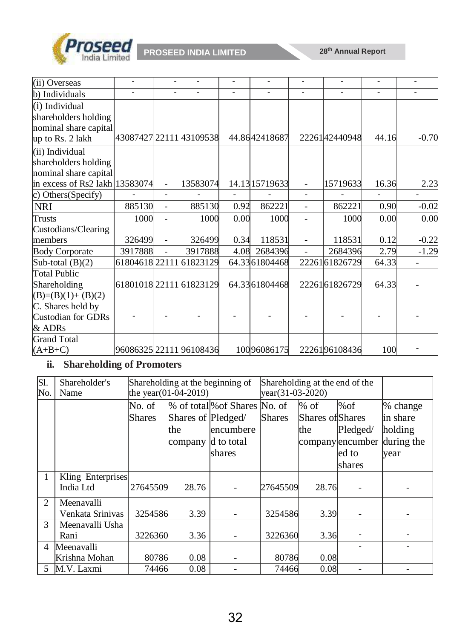

| (ii) Overseas                    |         |                |                         |      |                 |                          |               |       |         |
|----------------------------------|---------|----------------|-------------------------|------|-----------------|--------------------------|---------------|-------|---------|
| b) Individuals                   |         |                |                         |      |                 |                          |               |       |         |
| $(i)$ Individual                 |         |                |                         |      |                 |                          |               |       |         |
| shareholders holding             |         |                |                         |      |                 |                          |               |       |         |
| nominal share capital            |         |                |                         |      |                 |                          |               |       |         |
| up to Rs. 2 lakh                 |         |                | 43087427 22111 43109538 |      | 44.8642418687   |                          | 2226142440948 | 44.16 | $-0.70$ |
| (ii) Individual                  |         |                |                         |      |                 |                          |               |       |         |
| shareholders holding             |         |                |                         |      |                 |                          |               |       |         |
| nominal share capital            |         |                |                         |      |                 |                          |               |       |         |
| in excess of Rs2 lakh $13583074$ |         | $\blacksquare$ | 13583074                |      | 14.13 1571 9633 | $\overline{\phantom{0}}$ | 15719633      | 16.36 | 2.23    |
| c) Others (Specify)              |         |                |                         |      |                 |                          |               |       |         |
| <b>NRI</b>                       | 885130  |                | 885130                  | 0.92 | 862221          | $\overline{\phantom{0}}$ | 862221        | 0.90  | $-0.02$ |
| <b>Trusts</b>                    | 1000    |                | 1000                    | 0.00 | 1000            |                          | 1000          | 0.00  | 0.00    |
| Custodians/Clearing              |         |                |                         |      |                 |                          |               |       |         |
| members                          | 326499  |                | 326499                  | 0.34 | 118531          |                          | 118531        | 0.12  | $-0.22$ |
| <b>Body Corporate</b>            | 3917888 |                | 3917888                 | 4.08 | 2684396         |                          | 2684396       | 2.79  | $-1.29$ |
| Sub-total $(B)(2)$               |         |                | 61804618 22111 61823129 |      | 64.3361804468   |                          | 2226161826729 | 64.33 |         |
| <b>Total Public</b>              |         |                |                         |      |                 |                          |               |       |         |
| Shareholding                     |         |                | 61801018 22111 61823129 |      | 64.33 61804468  |                          | 2226161826729 | 64.33 |         |
| $(B)=(B)(1)+(B)(2)$              |         |                |                         |      |                 |                          |               |       |         |
| C. Shares held by                |         |                |                         |      |                 |                          |               |       |         |
| Custodian for GDRs               |         |                |                         |      |                 |                          |               |       |         |
| & ADRs                           |         |                |                         |      |                 |                          |               |       |         |
| <b>Grand Total</b>               |         |                |                         |      |                 |                          |               |       |         |
| $(A+B+C)$                        |         |                | 96086325 22111 96108436 |      | 10096086175     |                          | 2226196108436 | 100   |         |

### **ii. Shareholding of Promoters**

| S1.<br>No.     | Shareholder's<br>Name          |                         | the year $(01-04-2019)$              | Shareholding at the beginning of                                   | Shareholding at the end of the<br>$year(31-03-2020)$ |                                    |                                               |                                                       |
|----------------|--------------------------------|-------------------------|--------------------------------------|--------------------------------------------------------------------|------------------------------------------------------|------------------------------------|-----------------------------------------------|-------------------------------------------------------|
|                |                                | No. of<br><b>Shares</b> | Shares of Pledged/<br>the<br>company | % of total% of Shares No. of<br>lencumbere<br>d to total<br>shares | <b>Shares</b>                                        | $%$ of<br>Shares of Shares<br>lthe | %of<br>Pledged/<br>company encumber<br>led to | % change<br>in share<br>holding<br>during the<br>year |
|                |                                |                         |                                      |                                                                    |                                                      |                                    | Ishares                                       |                                                       |
| $\mathbf{1}$   | Kling Enterprises<br>India Ltd | 27645509                | 28.76                                |                                                                    | 27645509                                             | 28.76                              |                                               |                                                       |
| 2              | Meenavalli<br>Venkata Srinivas | 3254586                 | 3.39                                 |                                                                    | 3254586                                              | 3.39                               |                                               |                                                       |
| 3              | Meenavalli Usha<br>Rani        | 3226360                 | 3.36                                 |                                                                    | 3226360                                              | 3.36                               |                                               |                                                       |
| $\overline{4}$ | Meenavalli                     |                         |                                      |                                                                    |                                                      |                                    |                                               |                                                       |
|                | Krishna Mohan                  | 80786                   | 0.08                                 |                                                                    | 80786                                                | 0.08                               |                                               |                                                       |
| 5.             | M.V. Laxmi                     | 74466                   | 0.08                                 |                                                                    | 74466                                                | 0.08                               |                                               |                                                       |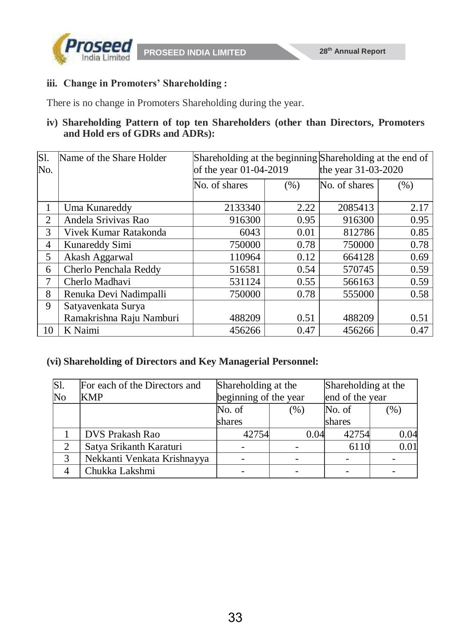

**PROSEED INDIA LIMITED** 28<sup>th</sup> Annual Report

## **iii. Change in Promoters' Shareholding :**

There is no change in Promoters Shareholding during the year.

### **iv) Shareholding Pattern of top ten Shareholders (other than Directors, Promoters and Hold ers of GDRs and ADRs):**

| S1.<br>No. | Name of the Share Holder | of the year 01-04-2019 |      | Shareholding at the beginning Shareholding at the end of<br>the year 31-03-2020 |      |
|------------|--------------------------|------------------------|------|---------------------------------------------------------------------------------|------|
|            |                          | No. of shares          | (% ) | No. of shares                                                                   | (% ) |
| 1          | Uma Kunareddy            | 2133340                | 2.22 | 2085413                                                                         | 2.17 |
| 2          | Andela Srivivas Rao      | 916300                 | 0.95 | 916300                                                                          | 0.95 |
| 3          | Vivek Kumar Ratakonda    | 6043                   | 0.01 | 812786                                                                          | 0.85 |
| 4          | Kunareddy Simi           | 750000                 | 0.78 | 750000                                                                          | 0.78 |
| 5          | Akash Aggarwal           | 110964                 | 0.12 | 664128                                                                          | 0.69 |
| 6          | Cherlo Penchala Reddy    | 516581                 | 0.54 | 570745                                                                          | 0.59 |
| 7          | Cherlo Madhavi           | 531124                 | 0.55 | 566163                                                                          | 0.59 |
| 8          | Renuka Devi Nadimpalli   | 750000                 | 0.78 | 555000                                                                          | 0.58 |
| 9          | Satyavenkata Surya       |                        |      |                                                                                 |      |
|            | Ramakrishna Raju Namburi | 488209                 | 0.51 | 488209                                                                          | 0.51 |
| 10         | K Naimi                  | 456266                 | 0.47 | 456266                                                                          | 0.47 |

#### **(vi) Shareholding of Directors and Key Managerial Personnel:**

| $\overline{SI}$        | For each of the Directors and | Shareholding at the |                       | Shareholding at the |                 |
|------------------------|-------------------------------|---------------------|-----------------------|---------------------|-----------------|
| $\overline{\text{No}}$ | <b>KMP</b>                    |                     | beginning of the year |                     | end of the year |
|                        |                               | No. of<br>(% )      |                       | No. of              | $(\% )$         |
|                        |                               | shares              |                       | shares              |                 |
|                        | DVS Prakash Rao               | 42754               | 0.04                  | 42754               | 0.04            |
| ∍                      | Satya Srikanth Karaturi       |                     |                       | 6110                | 0.01            |
| 3                      | Nekkanti Venkata Krishnayya   |                     |                       |                     |                 |
|                        | Chukka Lakshmi                |                     |                       |                     |                 |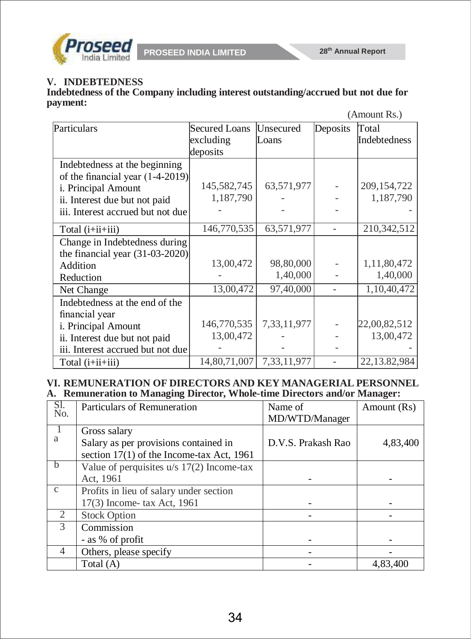

**PROSEED INDIA LIMITED** 28<sup>th</sup> Annual Report

# **V. INDEBTEDNESS**

**Indebtedness of the Company including interest outstanding/accrued but not due for payment:**

|                                    |                      |             |          | (Amount Rs.) |
|------------------------------------|----------------------|-------------|----------|--------------|
| Particulars                        | <b>Secured Loans</b> | Unsecured   | Deposits | Total        |
|                                    | excluding            | Loans       |          | Indebtedness |
|                                    | deposits             |             |          |              |
| Indebtedness at the beginning      |                      |             |          |              |
| of the financial year $(1-4-2019)$ |                      |             |          |              |
| i. Principal Amount                | 145,582,745          | 63,571,977  |          | 209,154,722  |
| ii. Interest due but not paid      | 1,187,790            |             |          | 1,187,790    |
| iii. Interest accrued but not due  |                      |             |          |              |
| Total $(i+i i+i i j)$              | 146,770,535          | 63,571,977  |          | 210,342,512  |
| Change in Indebtedness during      |                      |             |          |              |
| the financial year $(31-03-2020)$  |                      |             |          |              |
| Addition                           | 13,00,472            | 98,80,000   |          | 1,11,80,472  |
| Reduction                          |                      | 1,40,000    |          | 1,40,000     |
| Net Change                         | 13,00,472            | 97,40,000   |          | 1,10,40,472  |
| Indebtedness at the end of the     |                      |             |          |              |
| financial year                     |                      |             |          |              |
| i. Principal Amount                | 146,770,535          | 7,33,11,977 |          | 22,00,82,512 |
| ii. Interest due but not paid      | 13,00,472            |             |          | 13,00,472    |
| iii. Interest accrued but not due  |                      |             |          |              |
| Total $(i+i i+i i j)$              | 14,80,71,007         | 7,33,11,977 |          | 22,13.82,984 |

#### **VI. REMUNERATION OF DIRECTORS AND KEY MANAGERIAL PERSONNEL A. Remuneration to Managing Director, Whole-time Directors and/or Manager:**

| SI.<br>No.     | <b>Particulars of Remuneration</b>                    | Name of<br>MD/WTD/Manager | Amount (Rs) |
|----------------|-------------------------------------------------------|---------------------------|-------------|
| -1<br>a        | Gross salary<br>Salary as per provisions contained in | D.V.S. Prakash Rao        | 4,83,400    |
|                | section 17(1) of the Income-tax Act, 1961             |                           |             |
| - b            | Value of perquisites $u/s$ 17(2) Income-tax           |                           |             |
|                | Act, 1961                                             |                           |             |
| $\mathcal{C}$  | Profits in lieu of salary under section               |                           |             |
|                | 17(3) Income-tax Act, 1961                            |                           |             |
| $\overline{2}$ | <b>Stock Option</b>                                   |                           |             |
| 3              | Commission                                            |                           |             |
|                | - as % of profit                                      |                           |             |
| 4              | Others, please specify                                |                           |             |
|                | Total (A)                                             |                           | 4,83,400    |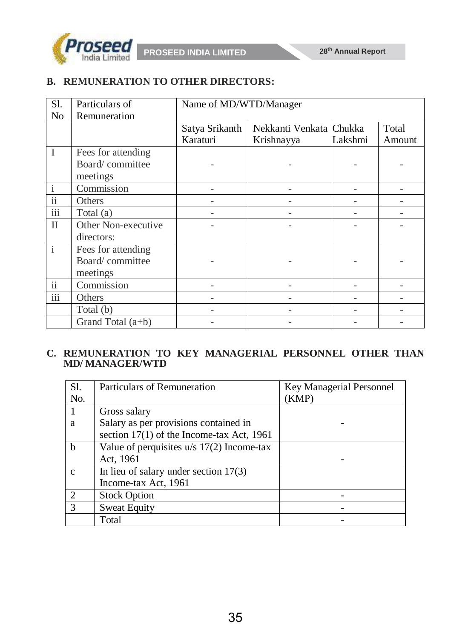

# **B. REMUNERATION TO OTHER DIRECTORS:**

| S1.                      | Particulars of      | Name of MD/WTD/Manager |                         |         |        |
|--------------------------|---------------------|------------------------|-------------------------|---------|--------|
| No                       | Remuneration        |                        |                         |         |        |
|                          |                     | Satya Srikanth         | Nekkanti Venkata Chukka |         | Total  |
|                          |                     | Karaturi               | Krishnayya              | Lakshmi | Amount |
| $\mathbf I$              | Fees for attending  |                        |                         |         |        |
|                          | Board/committee     |                        |                         |         |        |
|                          | meetings            |                        |                         |         |        |
| 1                        | Commission          |                        |                         |         |        |
| $\overline{\textbf{ii}}$ | Others              |                        |                         |         |        |
| iii                      | Total (a)           |                        |                         |         |        |
| $\mathbf{I}$             | Other Non-executive |                        |                         |         |        |
|                          | directors:          |                        |                         |         |        |
| $\mathbf{i}$             | Fees for attending  |                        |                         |         |        |
|                          | Board/committee     |                        |                         |         |        |
|                          | meetings            |                        |                         |         |        |
| $\overline{\textbf{ii}}$ | Commission          |                        |                         |         |        |
| $\overline{\text{iii}}$  | Others              |                        |                         |         |        |
|                          | Total (b)           |                        |                         |         |        |
|                          | Grand Total $(a+b)$ |                        |                         |         |        |

# **C. REMUNERATION TO KEY MANAGERIAL PERSONNEL OTHER THAN MD/ MANAGER/WTD**

| S1.            | <b>Particulars of Remuneration</b>          | Key Managerial Personnel |
|----------------|---------------------------------------------|--------------------------|
| No.            |                                             | (KMP)                    |
|                | Gross salary                                |                          |
| a              | Salary as per provisions contained in       |                          |
|                | section $17(1)$ of the Income-tax Act, 1961 |                          |
| b              | Value of perquisites $u/s$ 17(2) Income-tax |                          |
|                | Act, 1961                                   |                          |
| $\mathbf{c}$   | In lieu of salary under section $17(3)$     |                          |
|                | Income-tax Act, 1961                        |                          |
| $\overline{2}$ | <b>Stock Option</b>                         |                          |
| $\mathcal{R}$  | <b>Sweat Equity</b>                         |                          |
|                | Total                                       |                          |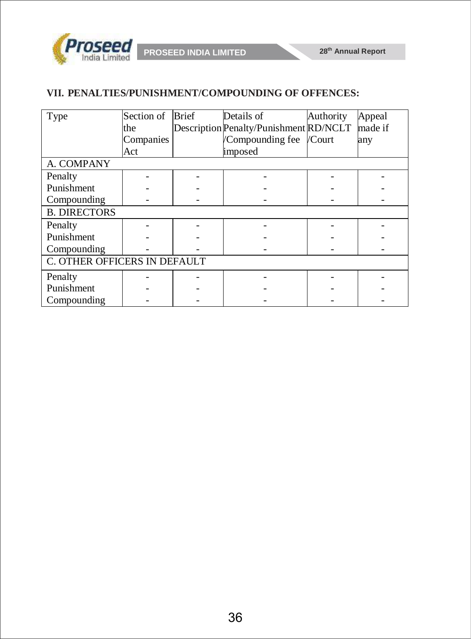

### **VII. PENALTIES/PUNISHMENT/COMPOUNDING OF OFFENCES:**

| Type                         | Section of | <b>Brief</b> | Details of                             | Authority | Appeal  |
|------------------------------|------------|--------------|----------------------------------------|-----------|---------|
|                              | the        |              | Description Penalty/Punishment RD/NCLT |           | made if |
|                              | Companies  |              | Compounding fee                        | /Court    | any     |
|                              | Act        |              | imposed                                |           |         |
| A. COMPANY                   |            |              |                                        |           |         |
| Penalty                      |            |              |                                        |           |         |
| Punishment                   |            |              |                                        |           |         |
| Compounding                  |            |              |                                        |           |         |
| <b>B. DIRECTORS</b>          |            |              |                                        |           |         |
| Penalty                      |            |              |                                        |           |         |
| Punishment                   |            |              |                                        |           |         |
| Compounding                  |            |              |                                        |           |         |
| C. OTHER OFFICERS IN DEFAULT |            |              |                                        |           |         |
| Penalty                      |            |              |                                        |           |         |
| Punishment                   |            |              |                                        |           |         |
| Compounding                  |            |              |                                        |           |         |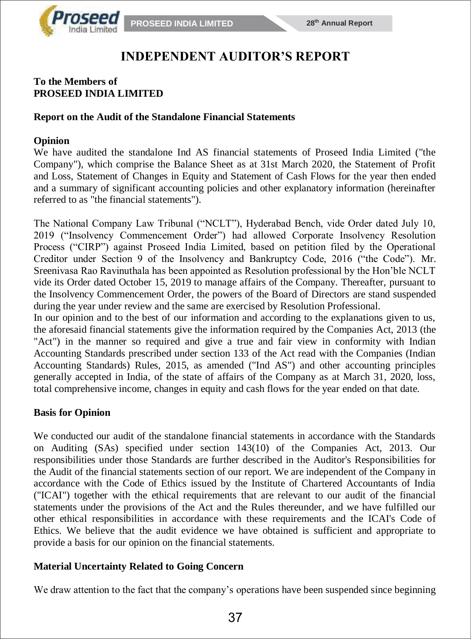

# **INDEPENDENT AUDITOR'S REPORT**

#### **To the Members of PROSEED INDIA LIMITED**

#### **Report on the Audit of the Standalone Financial Statements**

#### **Opinion**

We have audited the standalone Ind AS financial statements of Proseed India Limited ("the Company"), which comprise the Balance Sheet as at 31st March 2020, the Statement of Profit and Loss, Statement of Changes in Equity and Statement of Cash Flows for the year then ended and a summary of significant accounting policies and other explanatory information (hereinafter referred to as "the financial statements").

The National Company Law Tribunal ("NCLT"), Hyderabad Bench, vide Order dated July 10, 2019 ("Insolvency Commencement Order") had allowed Corporate Insolvency Resolution Process ("CIRP") against Proseed India Limited, based on petition filed by the Operational Creditor under Section 9 of the Insolvency and Bankruptcy Code, 2016 ("the Code"). Mr. Sreenivasa Rao Ravinuthala has been appointed as Resolution professional by the Hon'ble NCLT vide its Order dated October 15, 2019 to manage affairs of the Company. Thereafter, pursuant to the Insolvency Commencement Order, the powers of the Board of Directors are stand suspended during the year under review and the same are exercised by Resolution Professional.

In our opinion and to the best of our information and according to the explanations given to us, the aforesaid financial statements give the information required by the Companies Act, 2013 (the "Act") in the manner so required and give a true and fair view in conformity with Indian Accounting Standards prescribed under section 133 of the Act read with the Companies (Indian Accounting Standards) Rules, 2015, as amended ("Ind AS") and other accounting principles generally accepted in India, of the state of affairs of the Company as at March 31, 2020, loss, total comprehensive income, changes in equity and cash flows for the year ended on that date.

#### **Basis for Opinion**

We conducted our audit of the standalone financial statements in accordance with the Standards on Auditing (SAs) specified under section 143(10) of the Companies Act, 2013. Our responsibilities under those Standards are further described in the Auditor's Responsibilities for the Audit of the financial statements section of our report. We are independent of the Company in accordance with the Code of Ethics issued by the Institute of Chartered Accountants of India ("ICAI") together with the ethical requirements that are relevant to our audit of the financial statements under the provisions of the Act and the Rules thereunder, and we have fulfilled our other ethical responsibilities in accordance with these requirements and the ICAI's Code of Ethics. We believe that the audit evidence we have obtained is sufficient and appropriate to provide a basis for our opinion on the financial statements.

#### **Material Uncertainty Related to Going Concern**

We draw attention to the fact that the company's operations have been suspended since beginning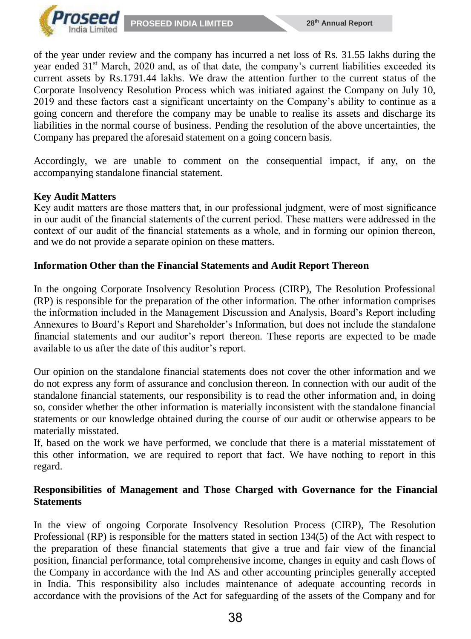

of the year under review and the company has incurred a net loss of Rs. 31.55 lakhs during the year ended 31<sup>st</sup> March, 2020 and, as of that date, the company's current liabilities exceeded its current assets by Rs.1791.44 lakhs. We draw the attention further to the current status of the Corporate Insolvency Resolution Process which was initiated against the Company on July 10, 2019 and these factors cast a significant uncertainty on the Company's ability to continue as a going concern and therefore the company may be unable to realise its assets and discharge its liabilities in the normal course of business. Pending the resolution of the above uncertainties, the Company has prepared the aforesaid statement on a going concern basis.

Accordingly, we are unable to comment on the consequential impact, if any, on the accompanying standalone financial statement.

#### **Key Audit Matters**

Key audit matters are those matters that, in our professional judgment, were of most significance in our audit of the financial statements of the current period. These matters were addressed in the context of our audit of the financial statements as a whole, and in forming our opinion thereon, and we do not provide a separate opinion on these matters.

### **Information Other than the Financial Statements and Audit Report Thereon**

In the ongoing Corporate Insolvency Resolution Process (CIRP), The Resolution Professional (RP) is responsible for the preparation of the other information. The other information comprises the information included in the Management Discussion and Analysis, Board's Report including Annexures to Board's Report and Shareholder's Information, but does not include the standalone financial statements and our auditor's report thereon. These reports are expected to be made available to us after the date of this auditor's report.

Our opinion on the standalone financial statements does not cover the other information and we do not express any form of assurance and conclusion thereon. In connection with our audit of the standalone financial statements, our responsibility is to read the other information and, in doing so, consider whether the other information is materially inconsistent with the standalone financial statements or our knowledge obtained during the course of our audit or otherwise appears to be materially misstated.

If, based on the work we have performed, we conclude that there is a material misstatement of this other information, we are required to report that fact. We have nothing to report in this regard.

### **Responsibilities of Management and Those Charged with Governance for the Financial Statements**

In the view of ongoing Corporate Insolvency Resolution Process (CIRP), The Resolution Professional (RP) is responsible for the matters stated in section 134(5) of the Act with respect to the preparation of these financial statements that give a true and fair view of the financial position, financial performance, total comprehensive income, changes in equity and cash flows of the Company in accordance with the Ind AS and other accounting principles generally accepted in India. This responsibility also includes maintenance of adequate accounting records in accordance with the provisions of the Act for safeguarding of the assets of the Company and for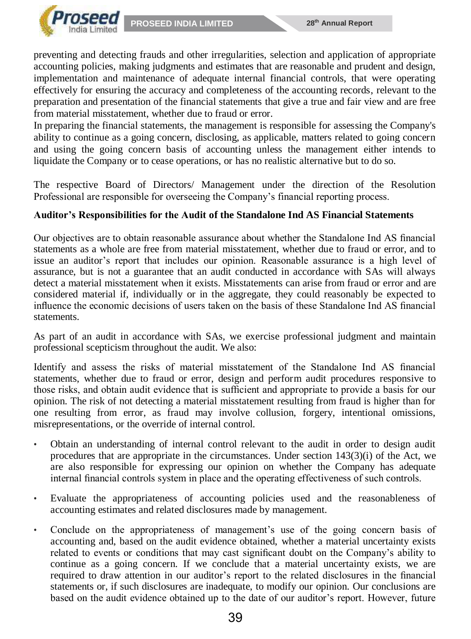

preventing and detecting frauds and other irregularities, selection and application of appropriate accounting policies, making judgments and estimates that are reasonable and prudent and design, implementation and maintenance of adequate internal financial controls, that were operating effectively for ensuring the accuracy and completeness of the accounting records, relevant to the preparation and presentation of the financial statements that give a true and fair view and are free from material misstatement, whether due to fraud or error.

In preparing the financial statements, the management is responsible for assessing the Company's ability to continue as a going concern, disclosing, as applicable, matters related to going concern and using the going concern basis of accounting unless the management either intends to liquidate the Company or to cease operations, or has no realistic alternative but to do so.

The respective Board of Directors/ Management under the direction of the Resolution Professional are responsible for overseeing the Company's financial reporting process.

### **Auditor's Responsibilities for the Audit of the Standalone Ind AS Financial Statements**

Our objectives are to obtain reasonable assurance about whether the Standalone Ind AS financial statements as a whole are free from material misstatement, whether due to fraud or error, and to issue an auditor's report that includes our opinion. Reasonable assurance is a high level of assurance, but is not a guarantee that an audit conducted in accordance with SAs will always detect a material misstatement when it exists. Misstatements can arise from fraud or error and are considered material if, individually or in the aggregate, they could reasonably be expected to influence the economic decisions of users taken on the basis of these Standalone Ind AS financial statements.

As part of an audit in accordance with SAs, we exercise professional judgment and maintain professional scepticism throughout the audit. We also:

Identify and assess the risks of material misstatement of the Standalone Ind AS financial statements, whether due to fraud or error, design and perform audit procedures responsive to those risks, and obtain audit evidence that is sufficient and appropriate to provide a basis for our opinion. The risk of not detecting a material misstatement resulting from fraud is higher than for one resulting from error, as fraud may involve collusion, forgery, intentional omissions, misrepresentations, or the override of internal control.

- Obtain an understanding of internal control relevant to the audit in order to design audit procedures that are appropriate in the circumstances. Under section 143(3)(i) of the Act, we are also responsible for expressing our opinion on whether the Company has adequate internal financial controls system in place and the operating effectiveness of such controls.
- Evaluate the appropriateness of accounting policies used and the reasonableness of accounting estimates and related disclosures made by management.
- Conclude on the appropriateness of management's use of the going concern basis of accounting and, based on the audit evidence obtained, whether a material uncertainty exists related to events or conditions that may cast significant doubt on the Company's ability to continue as a going concern. If we conclude that a material uncertainty exists, we are required to draw attention in our auditor's report to the related disclosures in the financial statements or, if such disclosures are inadequate, to modify our opinion. Our conclusions are based on the audit evidence obtained up to the date of our auditor's report. However, future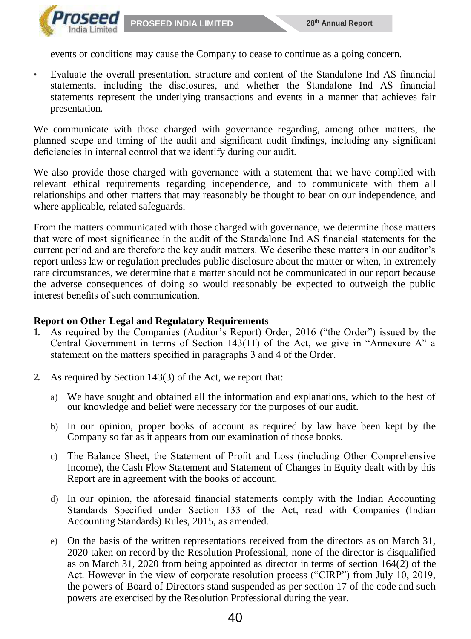

events or conditions may cause the Company to cease to continue as a going concern.

• Evaluate the overall presentation, structure and content of the Standalone Ind AS financial statements, including the disclosures, and whether the Standalone Ind AS financial statements represent the underlying transactions and events in a manner that achieves fair presentation.

We communicate with those charged with governance regarding, among other matters, the planned scope and timing of the audit and significant audit findings, including any significant deficiencies in internal control that we identify during our audit.

We also provide those charged with governance with a statement that we have complied with relevant ethical requirements regarding independence, and to communicate with them all relationships and other matters that may reasonably be thought to bear on our independence, and where applicable, related safeguards.

From the matters communicated with those charged with governance, we determine those matters that were of most significance in the audit of the Standalone Ind AS financial statements for the current period and are therefore the key audit matters. We describe these matters in our auditor's report unless law or regulation precludes public disclosure about the matter or when, in extremely rare circumstances, we determine that a matter should not be communicated in our report because the adverse consequences of doing so would reasonably be expected to outweigh the public interest benefits of such communication.

#### **Report on Other Legal and Regulatory Requirements**

- **1.** As required by the Companies (Auditor's Report) Order, 2016 ("the Order") issued by the Central Government in terms of Section 143(11) of the Act, we give in "Annexure A" a statement on the matters specified in paragraphs 3 and 4 of the Order.
- **2.** As required by Section 143(3) of the Act, we report that:
	- a) We have sought and obtained all the information and explanations, which to the best of our knowledge and belief were necessary for the purposes of our audit.
	- b) In our opinion, proper books of account as required by law have been kept by the Company so far as it appears from our examination of those books.
	- c) The Balance Sheet, the Statement of Profit and Loss (including Other Comprehensive Income), the Cash Flow Statement and Statement of Changes in Equity dealt with by this Report are in agreement with the books of account.
	- d) In our opinion, the aforesaid financial statements comply with the Indian Accounting Standards Specified under Section 133 of the Act, read with Companies (Indian Accounting Standards) Rules, 2015, as amended.
	- e) On the basis of the written representations received from the directors as on March 31, 2020 taken on record by the Resolution Professional, none of the director is disqualified as on March 31, 2020 from being appointed as director in terms of section 164(2) of the Act. However in the view of corporate resolution process ("CIRP") from July 10, 2019, the powers of Board of Directors stand suspended as per section 17 of the code and such powers are exercised by the Resolution Professional during the year.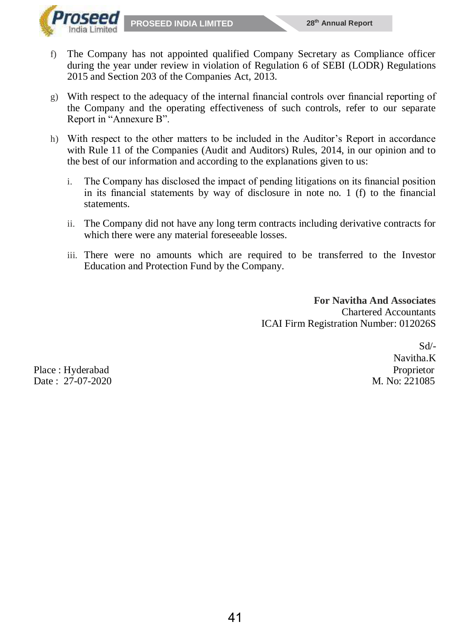

- f) The Company has not appointed qualified Company Secretary as Compliance officer during the year under review in violation of Regulation 6 of SEBI (LODR) Regulations 2015 and Section 203 of the Companies Act, 2013.
- g) With respect to the adequacy of the internal financial controls over financial reporting of the Company and the operating effectiveness of such controls, refer to our separate Report in "Annexure B".
- h) With respect to the other matters to be included in the Auditor's Report in accordance with Rule 11 of the Companies (Audit and Auditors) Rules, 2014, in our opinion and to the best of our information and according to the explanations given to us:
	- i. The Company has disclosed the impact of pending litigations on its financial position in its financial statements by way of disclosure in note no. 1 (f) to the financial statements.
	- ii. The Company did not have any long term contracts including derivative contracts for which there were any material foreseeable losses.
	- iii. There were no amounts which are required to be transferred to the Investor Education and Protection Fund by the Company.

 **For Navitha And Associates** Chartered Accountants ICAI Firm Registration Number: 012026S

Place : Hyderabad Proprietor Proprietor Proprietor Proprietor Proprietor Proprietor Proprietor Proprietor Proprietor Date : 27-07-2020 M. No: 221085

Sd/- Navitha.K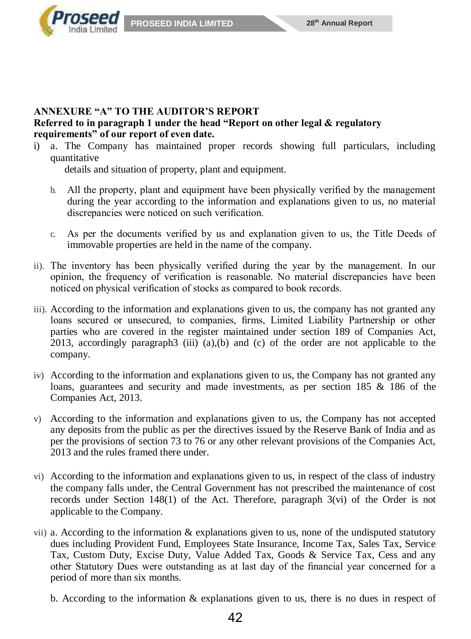

#### **ANNEXURE "A" TO THE AUDITOR'S REPORT Referred to in paragraph 1 under the head "Report on other legal & regulatory requirements" of our report of even date.**

i) a. The Company has maintained proper records showing full particulars, including quantitative

details and situation of property, plant and equipment.

- b. All the property, plant and equipment have been physically verified by the management during the year according to the information and explanations given to us, no material discrepancies were noticed on such verification.
- c. As per the documents verified by us and explanation given to us, the Title Deeds of immovable properties are held in the name of the company.
- ii). The inventory has been physically verified during the year by the management. In our opinion, the frequency of verification is reasonable. No material discrepancies have been noticed on physical verification of stocks as compared to book records.
- iii). According to the information and explanations given to us, the company has not granted any loans secured or unsecured, to companies, firms, Limited Liability Partnership or other parties who are covered in the register maintained under section 189 of Companies Act, 2013, accordingly paragraph3 (iii)  $(a)$ ,  $(b)$  and  $(c)$  of the order are not applicable to the company.
- iv) According to the information and explanations given to us, the Company has not granted any loans, guarantees and security and made investments, as per section 185 & 186 of the Companies Act, 2013.
- v) According to the information and explanations given to us, the Company has not accepted any deposits from the public as per the directives issued by the Reserve Bank of India and as per the provisions of section 73 to 76 or any other relevant provisions of the Companies Act, 2013 and the rules framed there under.
- vi) According to the information and explanations given to us, in respect of the class of industry the company falls under, the Central Government has not prescribed the maintenance of cost records under Section 148(1) of the Act. Therefore, paragraph 3(vi) of the Order is not applicable to the Company.
- vii) a. According to the information  $\&$  explanations given to us, none of the undisputed statutory dues including Provident Fund, Employees State Insurance, Income Tax, Sales Tax, Service Tax, Custom Duty, Excise Duty, Value Added Tax, Goods & Service Tax, Cess and any other Statutory Dues were outstanding as at last day of the financial year concerned for a period of more than six months.
	- b. According to the information  $\&$  explanations given to us, there is no dues in respect of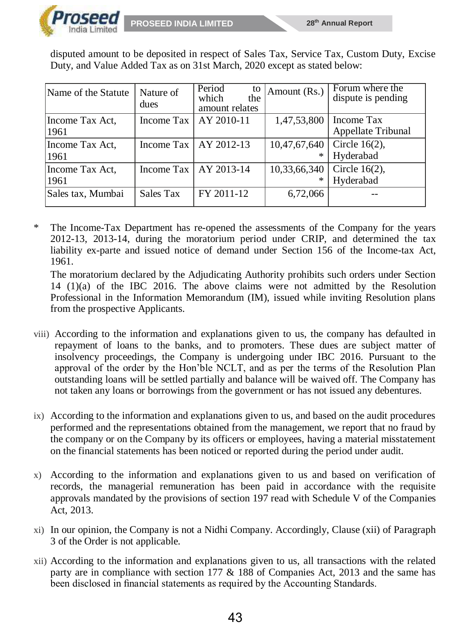

disputed amount to be deposited in respect of Sales Tax, Service Tax, Custom Duty, Excise Duty, and Value Added Tax as on 31st March, 2020 except as stated below:

| Name of the Statute     | Nature of<br>dues | Period<br>to<br>which<br>the<br>amount relates | Amount (Rs.)      | Forum where the<br>dispute is pending |
|-------------------------|-------------------|------------------------------------------------|-------------------|---------------------------------------|
| Income Tax Act,<br>1961 | Income Tax        | AY 2010-11                                     | 1,47,53,800       | Income Tax<br>Appellate Tribunal      |
| Income Tax Act,<br>1961 |                   | Income Tax $\vert$ AY 2012-13                  | 10,47,67,640<br>∗ | Circle $16(2)$ ,<br>Hyderabad         |
| Income Tax Act,<br>1961 |                   | Income Tax $\vert$ AY 2013-14                  | 10,33,66,340<br>∗ | Circle $16(2)$ ,<br>Hyderabad         |
| Sales tax, Mumbai       | Sales Tax         | FY 2011-12                                     | 6,72,066          |                                       |

\* The Income-Tax Department has re-opened the assessments of the Company for the years 2012-13, 2013-14, during the moratorium period under CRIP, and determined the tax liability ex-parte and issued notice of demand under Section 156 of the Income-tax Act, 1961.

The moratorium declared by the Adjudicating Authority prohibits such orders under Section 14 (1)(a) of the IBC 2016. The above claims were not admitted by the Resolution Professional in the Information Memorandum (IM), issued while inviting Resolution plans from the prospective Applicants.

- viii) According to the information and explanations given to us, the company has defaulted in repayment of loans to the banks, and to promoters. These dues are subject matter of insolvency proceedings, the Company is undergoing under IBC 2016. Pursuant to the approval of the order by the Hon'ble NCLT, and as per the terms of the Resolution Plan outstanding loans will be settled partially and balance will be waived off. The Company has not taken any loans or borrowings from the government or has not issued any debentures.
- ix) According to the information and explanations given to us, and based on the audit procedures performed and the representations obtained from the management, we report that no fraud by the company or on the Company by its officers or employees, having a material misstatement on the financial statements has been noticed or reported during the period under audit.
- x) According to the information and explanations given to us and based on verification of records, the managerial remuneration has been paid in accordance with the requisite approvals mandated by the provisions of section 197 read with Schedule V of the Companies Act, 2013.
- xi) In our opinion, the Company is not a Nidhi Company. Accordingly, Clause (xii) of Paragraph 3 of the Order is not applicable.
- xii) According to the information and explanations given to us, all transactions with the related party are in compliance with section 177 & 188 of Companies Act, 2013 and the same has been disclosed in financial statements as required by the Accounting Standards.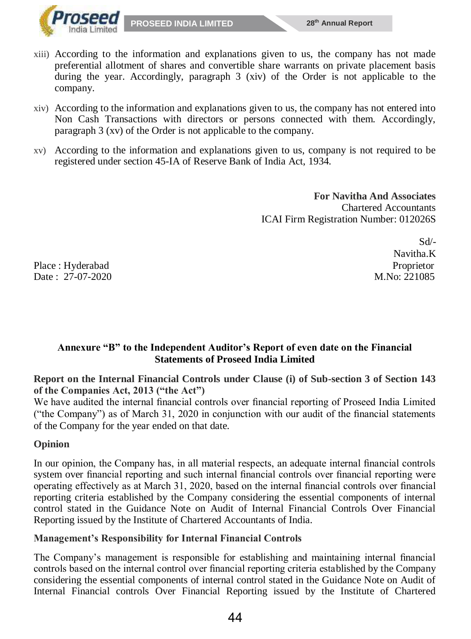

- xiii) According to the information and explanations given to us, the company has not made preferential allotment of shares and convertible share warrants on private placement basis during the year. Accordingly, paragraph 3 (xiv) of the Order is not applicable to the company.
- xiv) According to the information and explanations given to us, the company has not entered into Non Cash Transactions with directors or persons connected with them. Accordingly, paragraph 3 (xv) of the Order is not applicable to the company.
- xv) According to the information and explanations given to us, company is not required to be registered under section 45-IA of Reserve Bank of India Act, 1934.

 **For Navitha And Associates** Chartered Accountants ICAI Firm Registration Number: 012026S

Place : Hyderabad Proprietor Date : 27-07-2020 M.No: 221085

Sd/- Navitha.K

# **Annexure "B" to the Independent Auditor's Report of even date on the Financial Statements of Proseed India Limited**

**Report on the Internal Financial Controls under Clause (i) of Sub-section 3 of Section 143 of the Companies Act, 2013 ("the Act")**

We have audited the internal financial controls over financial reporting of Proseed India Limited ("the Company") as of March 31, 2020 in conjunction with our audit of the financial statements of the Company for the year ended on that date.

# **Opinion**

In our opinion, the Company has, in all material respects, an adequate internal financial controls system over financial reporting and such internal financial controls over financial reporting were operating effectively as at March 31, 2020, based on the internal financial controls over financial reporting criteria established by the Company considering the essential components of internal control stated in the Guidance Note on Audit of Internal Financial Controls Over Financial Reporting issued by the Institute of Chartered Accountants of India.

# **Management's Responsibility for Internal Financial Controls**

The Company's management is responsible for establishing and maintaining internal financial controls based on the internal control over financial reporting criteria established by the Company considering the essential components of internal control stated in the Guidance Note on Audit of Internal Financial controls Over Financial Reporting issued by the Institute of Chartered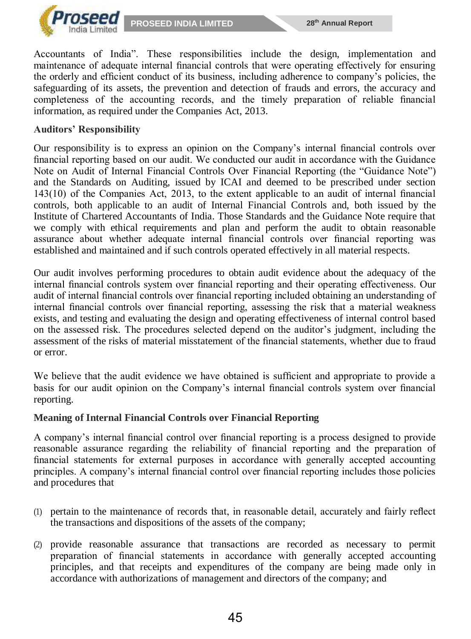

Accountants of India". These responsibilities include the design, implementation and maintenance of adequate internal financial controls that were operating effectively for ensuring the orderly and efficient conduct of its business, including adherence to company's policies, the safeguarding of its assets, the prevention and detection of frauds and errors, the accuracy and completeness of the accounting records, and the timely preparation of reliable financial information, as required under the Companies Act, 2013.

#### **Auditors' Responsibility**

Our responsibility is to express an opinion on the Company's internal financial controls over financial reporting based on our audit. We conducted our audit in accordance with the Guidance Note on Audit of Internal Financial Controls Over Financial Reporting (the "Guidance Note") and the Standards on Auditing, issued by ICAI and deemed to be prescribed under section 143(10) of the Companies Act, 2013, to the extent applicable to an audit of internal financial controls, both applicable to an audit of Internal Financial Controls and, both issued by the Institute of Chartered Accountants of India. Those Standards and the Guidance Note require that we comply with ethical requirements and plan and perform the audit to obtain reasonable assurance about whether adequate internal financial controls over financial reporting was established and maintained and if such controls operated effectively in all material respects.

Our audit involves performing procedures to obtain audit evidence about the adequacy of the internal financial controls system over financial reporting and their operating effectiveness. Our audit of internal financial controls over financial reporting included obtaining an understanding of internal financial controls over financial reporting, assessing the risk that a material weakness exists, and testing and evaluating the design and operating effectiveness of internal control based on the assessed risk. The procedures selected depend on the auditor's judgment, including the assessment of the risks of material misstatement of the financial statements, whether due to fraud or error.

We believe that the audit evidence we have obtained is sufficient and appropriate to provide a basis for our audit opinion on the Company's internal financial controls system over financial reporting.

#### **Meaning of Internal Financial Controls over Financial Reporting**

A company's internal financial control over financial reporting is a process designed to provide reasonable assurance regarding the reliability of financial reporting and the preparation of financial statements for external purposes in accordance with generally accepted accounting principles. A company's internal financial control over financial reporting includes those policies and procedures that

- (1) pertain to the maintenance of records that, in reasonable detail, accurately and fairly reflect the transactions and dispositions of the assets of the company;
- (2) provide reasonable assurance that transactions are recorded as necessary to permit preparation of financial statements in accordance with generally accepted accounting principles, and that receipts and expenditures of the company are being made only in accordance with authorizations of management and directors of the company; and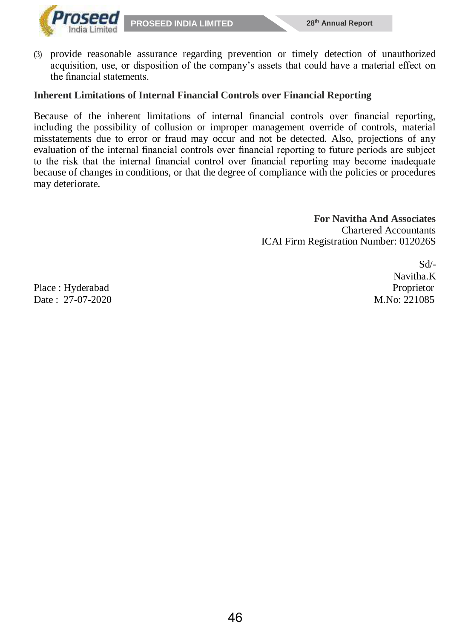

(3) provide reasonable assurance regarding prevention or timely detection of unauthorized acquisition, use, or disposition of the company's assets that could have a material effect on the financial statements.

#### **Inherent Limitations of Internal Financial Controls over Financial Reporting**

Because of the inherent limitations of internal financial controls over financial reporting, including the possibility of collusion or improper management override of controls, material misstatements due to error or fraud may occur and not be detected. Also, projections of any evaluation of the internal financial controls over financial reporting to future periods are subject to the risk that the internal financial control over financial reporting may become inadequate because of changes in conditions, or that the degree of compliance with the policies or procedures may deteriorate.

> **For Navitha And Associates** Chartered Accountants ICAI Firm Registration Number: 012026S

> > Sd/- Navitha.K

Place : Hyderabad Proprietor Date : 27-07-2020 M.No: 221085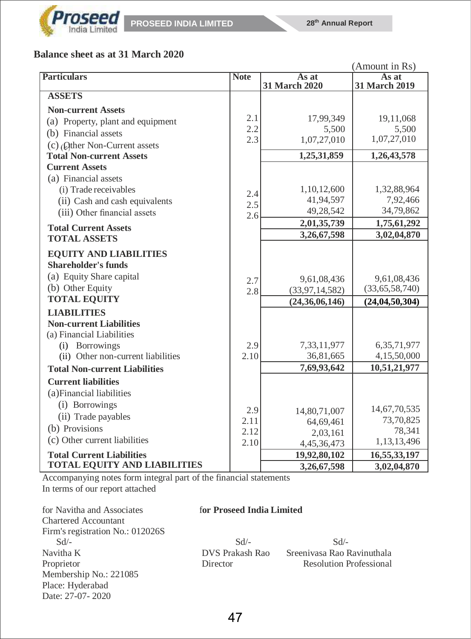

# **Balance sheet as at 31 March 2020**

|                                                                                                             |             |                                  | (Amount in Rs)                |
|-------------------------------------------------------------------------------------------------------------|-------------|----------------------------------|-------------------------------|
| <b>Particulars</b>                                                                                          | <b>Note</b> | As at<br>31 March 2020           | As at<br>31 March 2019        |
| <b>ASSETS</b>                                                                                               |             |                                  |                               |
| <b>Non-current Assets</b>                                                                                   |             |                                  |                               |
| (a) Property, plant and equipment                                                                           | 2.1         | 17,99,349                        | 19,11,068                     |
| (b) Financial assets                                                                                        | 2.2         | 5,500                            | 5,500                         |
| (c) (Qther Non-Current assets                                                                               | 2.3         | 1,07,27,010                      | 1,07,27,010                   |
| <b>Total Non-current Assets</b>                                                                             |             | 1,25,31,859                      | 1,26,43,578                   |
| <b>Current Assets</b>                                                                                       |             |                                  |                               |
| (a) Financial assets                                                                                        |             |                                  |                               |
| (i) Trade receivables                                                                                       | 2.4         | 1,10,12,600                      | 1,32,88,964                   |
| (ii) Cash and cash equivalents                                                                              | 2.5         | 41,94,597                        | 7,92,466                      |
| (iii) Other financial assets                                                                                | 2.6         | 49,28,542                        | 34,79,862                     |
| <b>Total Current Assets</b>                                                                                 |             | 2,01,35,739                      | 1,75,61,292                   |
| <b>TOTAL ASSETS</b>                                                                                         |             | 3,26,67,598                      | 3,02,04,870                   |
| <b>EQUITY AND LIABILITIES</b><br><b>Shareholder's funds</b><br>(a) Equity Share capital<br>(b) Other Equity | 2.7<br>2.8  | 9,61,08,436<br>(33, 97, 14, 582) | 9,61,08,436<br>(33,65,58,740) |
| <b>TOTAL EQUITY</b>                                                                                         |             | (24, 36, 06, 146)                | (24, 04, 50, 304)             |
| <b>LIABILITIES</b>                                                                                          |             |                                  |                               |
| <b>Non-current Liabilities</b><br>(a) Financial Liabilities                                                 |             |                                  |                               |
| (i) Borrowings                                                                                              | 2.9         | 7,33,11,977                      | 6,35,71,977                   |
| (ii) Other non-current liabilities                                                                          | 2.10        | 36,81,665                        | 4,15,50,000                   |
| <b>Total Non-current Liabilities</b>                                                                        |             | 7,69,93,642                      | 10,51,21,977                  |
| <b>Current liabilities</b><br>(a) Financial liabilities                                                     |             |                                  |                               |
| (i) Borrowings                                                                                              | 2.9         | 14,80,71,007                     | 14,67,70,535                  |
| (ii) Trade payables                                                                                         | 2.11        | 64,69,461                        | 73,70,825                     |
| (b) Provisions                                                                                              | 2.12        | 2,03,161                         | 78,341                        |
| (c) Other current liabilities                                                                               | 2.10        | 4,45,36,473                      | 1,13,13,496                   |
| <b>Total Current Liabilities</b>                                                                            |             | 19,92,80,102                     | 16,55,33,197                  |
| <b>TOTAL EQUITY AND LIABILITIES</b>                                                                         |             | 3,26,67,598                      | 3,02,04,870                   |

Accompanying notes form integral part of the financial statements In terms of our report attached

for Navitha and Associates f**or Proseed India Limited** Chartered Accountant Firm's registration No.: 012026S  $Sd$  -  $Sd$  -  $Sd$  -Navitha K DVS Prakash Rao Sreenivasa Rao Ravinuthala Proprietor **Director** Resolution Professional Membership No.: 221085 Place: Hyderabad Date: 27-07- 2020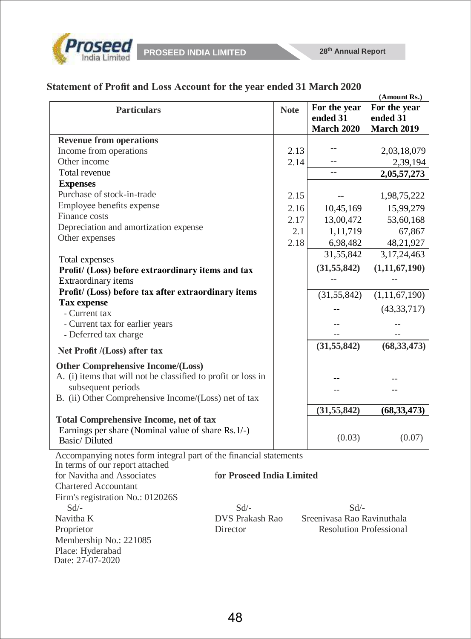

|  |  | Statement of Profit and Loss Account for the year ended 31 March 2020 |
|--|--|-----------------------------------------------------------------------|
|--|--|-----------------------------------------------------------------------|

|                                                                   |             |                   | (Amount Rs.)      |
|-------------------------------------------------------------------|-------------|-------------------|-------------------|
| <b>Particulars</b>                                                | <b>Note</b> | For the year      | For the year      |
|                                                                   |             | ended 31          | ended 31          |
|                                                                   |             | <b>March 2020</b> | <b>March 2019</b> |
| <b>Revenue from operations</b>                                    |             |                   |                   |
| Income from operations                                            | 2.13        |                   | 2,03,18,079       |
| Other income                                                      | 2.14        |                   | 2,39,194          |
| Total revenue                                                     |             |                   | 2,05,57,273       |
| <b>Expenses</b>                                                   |             |                   |                   |
| Purchase of stock-in-trade                                        | 2.15        |                   | 1,98,75,222       |
| Employee benefits expense                                         | 2.16        | 10,45,169         | 15,99,279         |
| Finance costs                                                     | 2.17        | 13,00,472         | 53,60,168         |
| Depreciation and amortization expense                             | 2.1         | 1,11,719          | 67,867            |
| Other expenses                                                    | 2.18        | 6,98,482          | 48,21,927         |
|                                                                   |             | 31,55,842         | 3, 17, 24, 463    |
| Total expenses                                                    |             |                   |                   |
| Profit/ (Loss) before extraordinary items and tax                 |             | (31, 55, 842)     | (1, 11, 67, 190)  |
| Extraordinary items                                               |             |                   |                   |
| Profit/ (Loss) before tax after extraordinary items               |             | (31, 55, 842)     | (1, 11, 67, 190)  |
| <b>Tax expense</b>                                                |             |                   | (43, 33, 717)     |
| - Current tax                                                     |             |                   |                   |
| - Current tax for earlier years                                   |             |                   |                   |
| - Deferred tax charge                                             |             |                   |                   |
| Net Profit /(Loss) after tax                                      |             | (31, 55, 842)     | (68, 33, 473)     |
| <b>Other Comprehensive Income/(Loss)</b>                          |             |                   |                   |
| A. (i) items that will not be classified to profit or loss in     |             |                   |                   |
| subsequent periods                                                |             |                   |                   |
| B. (ii) Other Comprehensive Income/(Loss) net of tax              |             |                   |                   |
|                                                                   |             | (31, 55, 842)     | (68, 33, 473)     |
| <b>Total Comprehensive Income, net of tax</b>                     |             |                   |                   |
| Earnings per share (Nominal value of share Rs. 1/-)               |             | (0.03)            | (0.07)            |
| Basic/Diluted                                                     |             |                   |                   |
| Accompanying notes form integral part of the financial statements |             |                   |                   |

In terms of our report attached for Navitha and Associates f**or Proseed India Limited** Chartered Accountant Firm's registration No.: 012026S  $Sd$  -  $Sd$  -  $Sd$  -  $Sd$  -Navitha K DVS Prakash Rao Sreenivasa Rao Ravinuthala Proprietor Director Resolution Professional Membership No.: 221085 Place: Hyderabad Date: 27-07-2020

# 48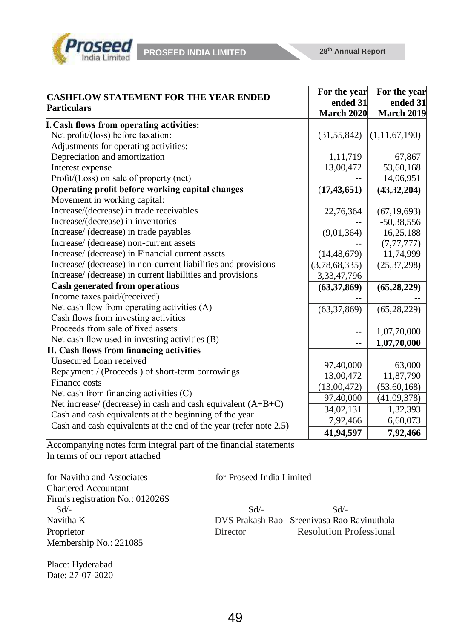

|                                                                   | For the year      | For the year      |
|-------------------------------------------------------------------|-------------------|-------------------|
| <b>CASHFLOW STATEMENT FOR THE YEAR ENDED</b>                      | ended 31          | ended 31          |
| <b>Particulars</b>                                                | <b>March 2020</b> | <b>March 2019</b> |
| <b>I.</b> Cash flows from operating activities:                   |                   |                   |
| Net profit/(loss) before taxation:                                | (31, 55, 842)     | (1, 11, 67, 190)  |
| Adjustments for operating activities:                             |                   |                   |
| Depreciation and amortization                                     | 1,11,719          | 67,867            |
| Interest expense                                                  | 13,00,472         | 53,60,168         |
| Profit/(Loss) on sale of property (net)                           |                   | 14,06,951         |
| Operating profit before working capital changes                   | (17, 43, 651)     | (43, 32, 204)     |
| Movement in working capital:                                      |                   |                   |
| Increase/(decrease) in trade receivables                          | 22,76,364         | (67, 19, 693)     |
| Increase/(decrease) in inventories                                |                   | $-50,38,556$      |
| Increase/ (decrease) in trade payables                            | (9,01,364)        | 16,25,188         |
| Increase/ (decrease) non-current assets                           |                   | (7, 77, 777)      |
| Increase/ (decrease) in Financial current assets                  | (14, 48, 679)     | 11,74,999         |
| Increase/ (decrease) in non-current liabilities and provisions    | (3,78,68,335)     | (25, 37, 298)     |
| Increase/ (decrease) in current liabilities and provisions        | 3,33,47,796       |                   |
| <b>Cash generated from operations</b>                             | (63, 37, 869)     | (65, 28, 229)     |
| Income taxes paid/(received)                                      |                   |                   |
| Net cash flow from operating activities (A)                       | (63, 37, 869)     | (65, 28, 229)     |
| Cash flows from investing activities                              |                   |                   |
| Proceeds from sale of fixed assets                                |                   | 1,07,70,000       |
| Net cash flow used in investing activities (B)                    |                   | 1,07,70,000       |
| II. Cash flows from financing activities                          |                   |                   |
| Unsecured Loan received                                           | 97,40,000         | 63,000            |
| Repayment / (Proceeds) of short-term borrowings                   | 13,00,472         | 11,87,790         |
| Finance costs                                                     | (13,00,472)       | (53, 60, 168)     |
| Net cash from financing activities (C)                            | 97,40,000         | (41,09,378)       |
| Net increase/ (decrease) in cash and cash equivalent $(A+B+C)$    | 34,02,131         | 1,32,393          |
| Cash and cash equivalents at the beginning of the year            | 7,92,466          | 6,60,073          |
| Cash and cash equivalents at the end of the year (refer note 2.5) | 41,94,597         | 7,92,466          |

Accompanying notes form integral part of the financial statements In terms of our report attached

for Navitha and Associates for Proseed India Limited Chartered Accountant Firm's registration No.: 012026S  $Sd$  -  $Sd$  -  $Sd$  -Navitha K DVS Prakash Rao Sreenivasa Rao Ravinuthala Proprietor Director Resolution Professional Membership No.: 221085

Place: Hyderabad Date: 27-07-2020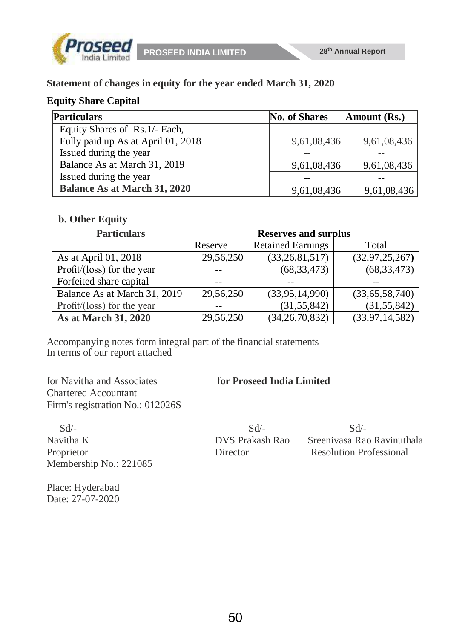



**Statement of changes in equity for the year ended March 31, 2020**

# **Equity Share Capital**

| <b>Particulars</b>                  | No. of Shares | Amount (Rs.) |
|-------------------------------------|---------------|--------------|
| Equity Shares of Rs. 1/- Each,      |               |              |
| Fully paid up As at April 01, 2018  | 9,61,08,436   | 9,61,08,436  |
| Issued during the year              |               |              |
| Balance As at March 31, 2019        | 9,61,08,436   | 9,61,08,436  |
| Issued during the year              |               |              |
| <b>Balance As at March 31, 2020</b> | 9,61,08,436   | 9,61,08,436  |

### **b. Other Equity**

| <b>Particulars</b>           |           | <b>Reserves and surplus</b> |                   |
|------------------------------|-----------|-----------------------------|-------------------|
|                              | Reserve   | <b>Retained Earnings</b>    | Total             |
| As at April 01, 2018         | 29,56,250 | (33, 26, 81, 517)           | (32, 97, 25, 267) |
| Profit/(loss) for the year   |           | (68, 33, 473)               | (68, 33, 473)     |
| Forfeited share capital      |           |                             |                   |
| Balance As at March 31, 2019 | 29,56,250 | (33,95,14,990)              | (33,65,58,740)    |
| Profit/(loss) for the year   |           | (31, 55, 842)               | (31, 55, 842)     |
| As at March 31, 2020         | 29,56,250 | (34, 26, 70, 832)           | (33, 97, 14, 582) |

Accompanying notes form integral part of the financial statements In terms of our report attached

for Navitha and Associates f**or Proseed India Limited** Chartered Accountant Firm's registration No.: 012026S

 Sd/- Sd/- Sd/- Navitha K DVS Prakash Rao Sreenivasa Rao Ravinuthala Membership No.: 221085

Place: Hyderabad Date: 27-07-2020

**Proprietor** Resolution Professional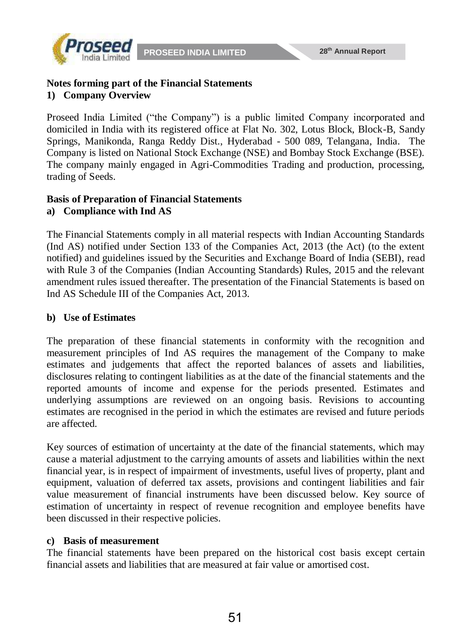



### **Notes forming part of the Financial Statements 1) Company Overview**

Proseed India Limited ("the Company") is a public limited Company incorporated and domiciled in India with its registered office at Flat No. 302, Lotus Block, Block-B, Sandy Springs, Manikonda, Ranga Reddy Dist., Hyderabad - 500 089, Telangana, India. The Company is listed on National Stock Exchange (NSE) and Bombay Stock Exchange (BSE). The company mainly engaged in Agri-Commodities Trading and production, processing, trading of Seeds.

#### **Basis of Preparation of Financial Statements a) Compliance with Ind AS**

The Financial Statements comply in all material respects with Indian Accounting Standards (Ind AS) notified under Section 133 of the Companies Act, 2013 (the Act) (to the extent notified) and guidelines issued by the Securities and Exchange Board of India (SEBI), read with Rule 3 of the Companies (Indian Accounting Standards) Rules, 2015 and the relevant amendment rules issued thereafter. The presentation of the Financial Statements is based on Ind AS Schedule III of the Companies Act, 2013.

# **b) Use of Estimates**

The preparation of these financial statements in conformity with the recognition and measurement principles of Ind AS requires the management of the Company to make estimates and judgements that affect the reported balances of assets and liabilities, disclosures relating to contingent liabilities as at the date of the financial statements and the reported amounts of income and expense for the periods presented. Estimates and underlying assumptions are reviewed on an ongoing basis. Revisions to accounting estimates are recognised in the period in which the estimates are revised and future periods are affected.

Key sources of estimation of uncertainty at the date of the financial statements, which may cause a material adjustment to the carrying amounts of assets and liabilities within the next financial year, is in respect of impairment of investments, useful lives of property, plant and equipment, valuation of deferred tax assets, provisions and contingent liabilities and fair value measurement of financial instruments have been discussed below. Key source of estimation of uncertainty in respect of revenue recognition and employee benefits have been discussed in their respective policies.

# **c) Basis of measurement**

The financial statements have been prepared on the historical cost basis except certain financial assets and liabilities that are measured at fair value or amortised cost.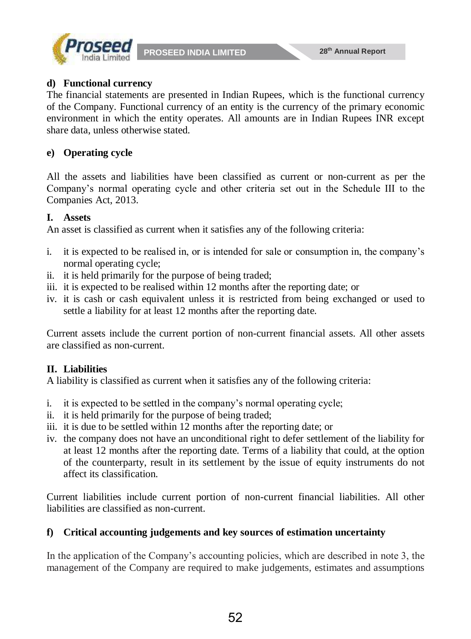



#### **d) Functional currency**

The financial statements are presented in Indian Rupees, which is the functional currency of the Company. Functional currency of an entity is the currency of the primary economic environment in which the entity operates. All amounts are in Indian Rupees INR except share data, unless otherwise stated.

# **e) Operating cycle**

All the assets and liabilities have been classified as current or non-current as per the Company's normal operating cycle and other criteria set out in the Schedule III to the Companies Act, 2013.

### **I. Assets**

An asset is classified as current when it satisfies any of the following criteria:

- i. it is expected to be realised in, or is intended for sale or consumption in, the company's normal operating cycle;
- ii. it is held primarily for the purpose of being traded;
- iii. it is expected to be realised within 12 months after the reporting date; or
- iv. it is cash or cash equivalent unless it is restricted from being exchanged or used to settle a liability for at least 12 months after the reporting date.

Current assets include the current portion of non-current financial assets. All other assets are classified as non-current.

# **II. Liabilities**

A liability is classified as current when it satisfies any of the following criteria:

- i. it is expected to be settled in the company's normal operating cycle;
- ii. it is held primarily for the purpose of being traded;
- iii. it is due to be settled within 12 months after the reporting date; or
- iv. the company does not have an unconditional right to defer settlement of the liability for at least 12 months after the reporting date. Terms of a liability that could, at the option of the counterparty, result in its settlement by the issue of equity instruments do not affect its classification.

Current liabilities include current portion of non-current financial liabilities. All other liabilities are classified as non-current.

# **f) Critical accounting judgements and key sources of estimation uncertainty**

In the application of the Company's accounting policies, which are described in note 3, the management of the Company are required to make judgements, estimates and assumptions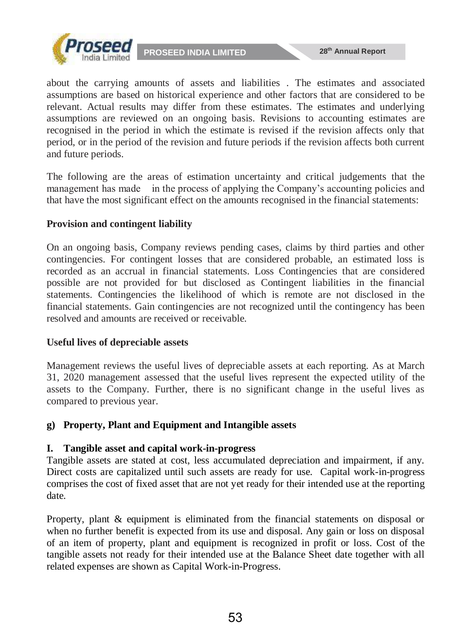



about the carrying amounts of assets and liabilities . The estimates and associated assumptions are based on historical experience and other factors that are considered to be relevant. Actual results may differ from these estimates. The estimates and underlying assumptions are reviewed on an ongoing basis. Revisions to accounting estimates are recognised in the period in which the estimate is revised if the revision affects only that period, or in the period of the revision and future periods if the revision affects both current and future periods.

The following are the areas of estimation uncertainty and critical judgements that the management has made in the process of applying the Company's accounting policies and that have the most significant effect on the amounts recognised in the financial statements:

# **Provision and contingent liability**

On an ongoing basis, Company reviews pending cases, claims by third parties and other contingencies. For contingent losses that are considered probable, an estimated loss is recorded as an accrual in financial statements. Loss Contingencies that are considered possible are not provided for but disclosed as Contingent liabilities in the financial statements. Contingencies the likelihood of which is remote are not disclosed in the financial statements. Gain contingencies are not recognized until the contingency has been resolved and amounts are received or receivable.

# **Useful lives of depreciable assets**

Management reviews the useful lives of depreciable assets at each reporting. As at March 31, 2020 management assessed that the useful lives represent the expected utility of the assets to the Company. Further, there is no significant change in the useful lives as compared to previous year.

# **g) Property, Plant and Equipment and Intangible assets**

# **I. Tangible asset and capital work-in-progress**

Tangible assets are stated at cost, less accumulated depreciation and impairment, if any. Direct costs are capitalized until such assets are ready for use. Capital work-in-progress comprises the cost of fixed asset that are not yet ready for their intended use at the reporting date.

Property, plant & equipment is eliminated from the financial statements on disposal or when no further benefit is expected from its use and disposal. Any gain or loss on disposal of an item of property, plant and equipment is recognized in profit or loss. Cost of the tangible assets not ready for their intended use at the Balance Sheet date together with all related expenses are shown as Capital Work-in-Progress.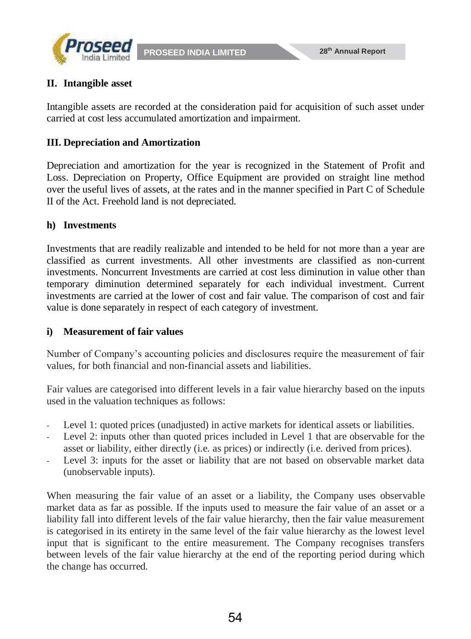

# **II. Intangible asset**

Intangible assets are recorded at the consideration paid for acquisition of such asset under carried at cost less accumulated amortization and impairment.

### **III. Depreciation and Amortization**

Depreciation and amortization for the year is recognized in the Statement of Profit and Loss. Depreciation on Property, Office Equipment are provided on straight line method over the useful lives of assets, at the rates and in the manner specified in Part C of Schedule II of the Act. Freehold land is not depreciated.

### **h) Investments**

Investments that are readily realizable and intended to be held for not more than a year are classified as current investments. All other investments are classified as non-current investments. Noncurrent Investments are carried at cost less diminution in value other than temporary diminution determined separately for each individual investment. Current investments are carried at the lower of cost and fair value. The comparison of cost and fair value is done separately in respect of each category of investment.

#### **i) Measurement of fair values**

Number of Company's accounting policies and disclosures require the measurement of fair values, for both financial and non-financial assets and liabilities.

Fair values are categorised into different levels in a fair value hierarchy based on the inputs used in the valuation techniques as follows:

- Level 1: quoted prices (unadjusted) in active markets for identical assets or liabilities.
- Level 2: inputs other than quoted prices included in Level 1 that are observable for the asset or liability, either directly (i.e. as prices) or indirectly (i.e. derived from prices).
- Level 3: inputs for the asset or liability that are not based on observable market data (unobservable inputs).

When measuring the fair value of an asset or a liability, the Company uses observable market data as far as possible. If the inputs used to measure the fair value of an asset or a liability fall into different levels of the fair value hierarchy, then the fair value measurement is categorised in its entirety in the same level of the fair value hierarchy as the lowest level input that is significant to the entire measurement. The Company recognises transfers between levels of the fair value hierarchy at the end of the reporting period during which the change has occurred.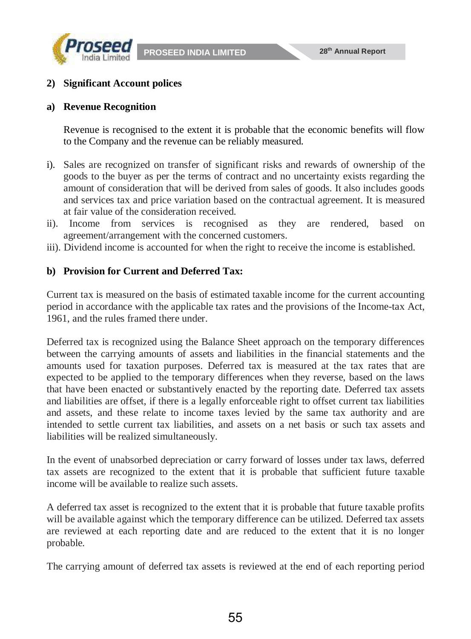



#### **2) Significant Account polices**

#### **a) Revenue Recognition**

Revenue is recognised to the extent it is probable that the economic benefits will flow to the Company and the revenue can be reliably measured.

- i). Sales are recognized on transfer of significant risks and rewards of ownership of the goods to the buyer as per the terms of contract and no uncertainty exists regarding the amount of consideration that will be derived from sales of goods. It also includes goods and services tax and price variation based on the contractual agreement. It is measured at fair value of the consideration received.
- ii). Income from services is recognised as they are rendered, based on agreement/arrangement with the concerned customers.
- iii). Dividend income is accounted for when the right to receive the income is established.

#### **b) Provision for Current and Deferred Tax:**

Current tax is measured on the basis of estimated taxable income for the current accounting period in accordance with the applicable tax rates and the provisions of the Income-tax Act, 1961, and the rules framed there under.

Deferred tax is recognized using the Balance Sheet approach on the temporary differences between the carrying amounts of assets and liabilities in the financial statements and the amounts used for taxation purposes. Deferred tax is measured at the tax rates that are expected to be applied to the temporary differences when they reverse, based on the laws that have been enacted or substantively enacted by the reporting date. Deferred tax assets and liabilities are offset, if there is a legally enforceable right to offset current tax liabilities and assets, and these relate to income taxes levied by the same tax authority and are intended to settle current tax liabilities, and assets on a net basis or such tax assets and liabilities will be realized simultaneously.

In the event of unabsorbed depreciation or carry forward of losses under tax laws, deferred tax assets are recognized to the extent that it is probable that sufficient future taxable income will be available to realize such assets.

A deferred tax asset is recognized to the extent that it is probable that future taxable profits will be available against which the temporary difference can be utilized. Deferred tax assets are reviewed at each reporting date and are reduced to the extent that it is no longer probable.

The carrying amount of deferred tax assets is reviewed at the end of each reporting period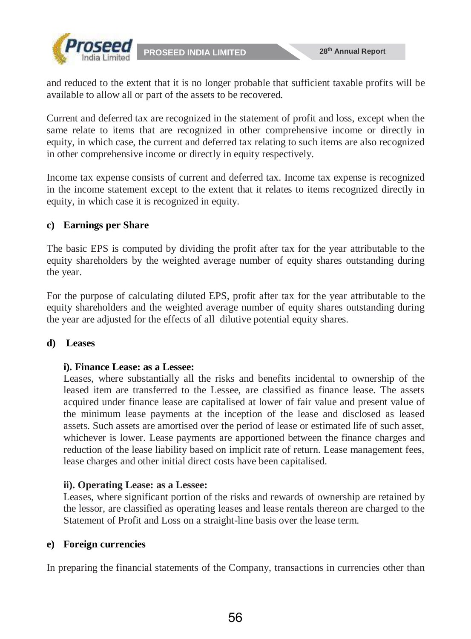

and reduced to the extent that it is no longer probable that sufficient taxable profits will be available to allow all or part of the assets to be recovered.

Current and deferred tax are recognized in the statement of profit and loss, except when the same relate to items that are recognized in other comprehensive income or directly in equity, in which case, the current and deferred tax relating to such items are also recognized in other comprehensive income or directly in equity respectively.

Income tax expense consists of current and deferred tax. Income tax expense is recognized in the income statement except to the extent that it relates to items recognized directly in equity, in which case it is recognized in equity.

### **c) Earnings per Share**

The basic EPS is computed by dividing the profit after tax for the year attributable to the equity shareholders by the weighted average number of equity shares outstanding during the year.

For the purpose of calculating diluted EPS, profit after tax for the year attributable to the equity shareholders and the weighted average number of equity shares outstanding during the year are adjusted for the effects of all dilutive potential equity shares.

#### **d) Leases**

#### **i). Finance Lease: as a Lessee:**

Leases, where substantially all the risks and benefits incidental to ownership of the leased item are transferred to the Lessee, are classified as finance lease. The assets acquired under finance lease are capitalised at lower of fair value and present value of the minimum lease payments at the inception of the lease and disclosed as leased assets. Such assets are amortised over the period of lease or estimated life of such asset, whichever is lower. Lease payments are apportioned between the finance charges and reduction of the lease liability based on implicit rate of return. Lease management fees, lease charges and other initial direct costs have been capitalised.

# **ii). Operating Lease: as a Lessee:**

Leases, where significant portion of the risks and rewards of ownership are retained by the lessor, are classified as operating leases and lease rentals thereon are charged to the Statement of Profit and Loss on a straight-line basis over the lease term.

#### **e) Foreign currencies**

In preparing the financial statements of the Company, transactions in currencies other than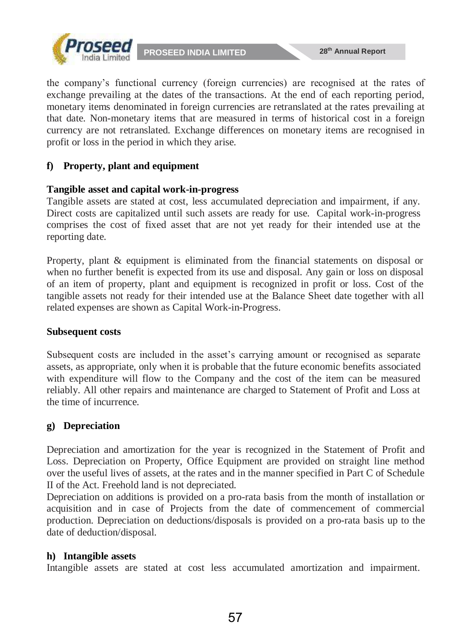

the company's functional currency (foreign currencies) are recognised at the rates of exchange prevailing at the dates of the transactions. At the end of each reporting period, monetary items denominated in foreign currencies are retranslated at the rates prevailing at that date. Non-monetary items that are measured in terms of historical cost in a foreign currency are not retranslated. Exchange differences on monetary items are recognised in profit or loss in the period in which they arise.

# **f) Property, plant and equipment**

### **Tangible asset and capital work-in-progress**

Tangible assets are stated at cost, less accumulated depreciation and impairment, if any. Direct costs are capitalized until such assets are ready for use. Capital work-in-progress comprises the cost of fixed asset that are not yet ready for their intended use at the reporting date.

Property, plant & equipment is eliminated from the financial statements on disposal or when no further benefit is expected from its use and disposal. Any gain or loss on disposal of an item of property, plant and equipment is recognized in profit or loss. Cost of the tangible assets not ready for their intended use at the Balance Sheet date together with all related expenses are shown as Capital Work-in-Progress.

#### **Subsequent costs**

Subsequent costs are included in the asset's carrying amount or recognised as separate assets, as appropriate, only when it is probable that the future economic benefits associated with expenditure will flow to the Company and the cost of the item can be measured reliably. All other repairs and maintenance are charged to Statement of Profit and Loss at the time of incurrence.

# **g) Depreciation**

Depreciation and amortization for the year is recognized in the Statement of Profit and Loss. Depreciation on Property, Office Equipment are provided on straight line method over the useful lives of assets, at the rates and in the manner specified in Part C of Schedule II of the Act. Freehold land is not depreciated.

Depreciation on additions is provided on a pro-rata basis from the month of installation or acquisition and in case of Projects from the date of commencement of commercial production. Depreciation on deductions/disposals is provided on a pro-rata basis up to the date of deduction/disposal.

# **h) Intangible assets**

Intangible assets are stated at cost less accumulated amortization and impairment.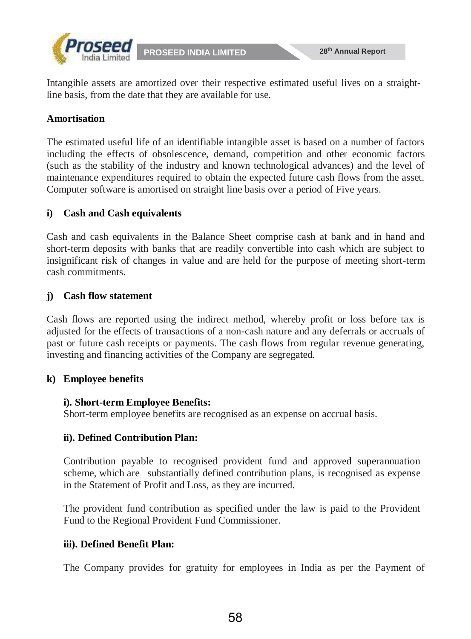

Intangible assets are amortized over their respective estimated useful lives on a straightline basis, from the date that they are available for use.

# **Amortisation**

The estimated useful life of an identifiable intangible asset is based on a number of factors including the effects of obsolescence, demand, competition and other economic factors (such as the stability of the industry and known technological advances) and the level of maintenance expenditures required to obtain the expected future cash flows from the asset. Computer software is amortised on straight line basis over a period of Five years.

### **i) Cash and Cash equivalents**

Cash and cash equivalents in the Balance Sheet comprise cash at bank and in hand and short-term deposits with banks that are readily convertible into cash which are subject to insignificant risk of changes in value and are held for the purpose of meeting short-term cash commitments.

#### **j) Cash flow statement**

Cash flows are reported using the indirect method, whereby profit or loss before tax is adjusted for the effects of transactions of a non-cash nature and any deferrals or accruals of past or future cash receipts or payments. The cash flows from regular revenue generating, investing and financing activities of the Company are segregated.

#### **k) Employee benefits**

#### **i). Short-term Employee Benefits:**

Short-term employee benefits are recognised as an expense on accrual basis.

# **ii). Defined Contribution Plan:**

Contribution payable to recognised provident fund and approved superannuation scheme, which are substantially defined contribution plans, is recognised as expense in the Statement of Profit and Loss, as they are incurred.

The provident fund contribution as specified under the law is paid to the Provident Fund to the Regional Provident Fund Commissioner.

# **iii). Defined Benefit Plan:**

The Company provides for gratuity for employees in India as per the Payment of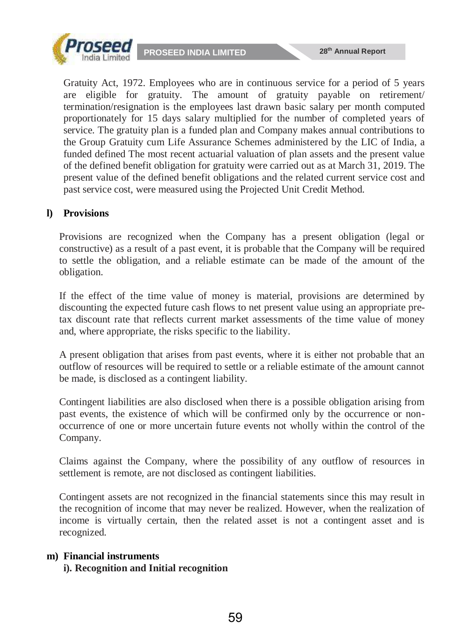

Gratuity Act, 1972. Employees who are in continuous service for a period of 5 years are eligible for gratuity. The amount of gratuity payable on retirement/ termination/resignation is the employees last drawn basic salary per month computed proportionately for 15 days salary multiplied for the number of completed years of service. The gratuity plan is a funded plan and Company makes annual contributions to the Group Gratuity cum Life Assurance Schemes administered by the LIC of India, a funded defined The most recent actuarial valuation of plan assets and the present value of the defined benefit obligation for gratuity were carried out as at March 31, 2019. The present value of the defined benefit obligations and the related current service cost and past service cost, were measured using the Projected Unit Credit Method.

# **l) Provisions**

Provisions are recognized when the Company has a present obligation (legal or constructive) as a result of a past event, it is probable that the Company will be required to settle the obligation, and a reliable estimate can be made of the amount of the obligation.

If the effect of the time value of money is material, provisions are determined by discounting the expected future cash flows to net present value using an appropriate pretax discount rate that reflects current market assessments of the time value of money and, where appropriate, the risks specific to the liability.

A present obligation that arises from past events, where it is either not probable that an outflow of resources will be required to settle or a reliable estimate of the amount cannot be made, is disclosed as a contingent liability.

Contingent liabilities are also disclosed when there is a possible obligation arising from past events, the existence of which will be confirmed only by the occurrence or nonoccurrence of one or more uncertain future events not wholly within the control of the Company.

Claims against the Company, where the possibility of any outflow of resources in settlement is remote, are not disclosed as contingent liabilities.

Contingent assets are not recognized in the financial statements since this may result in the recognition of income that may never be realized. However, when the realization of income is virtually certain, then the related asset is not a contingent asset and is recognized.

#### **m) Financial instruments**

#### **i). Recognition and Initial recognition**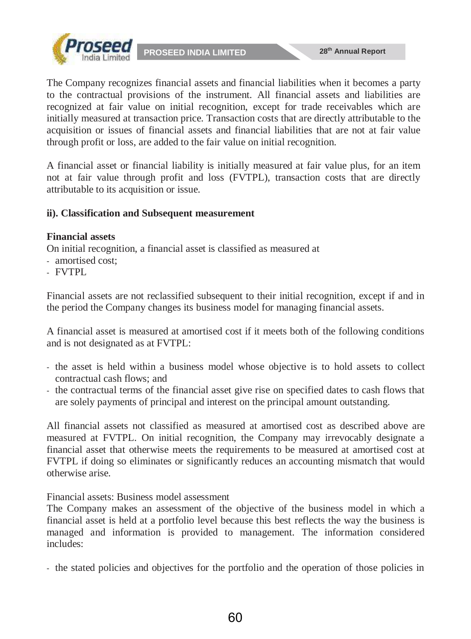

The Company recognizes financial assets and financial liabilities when it becomes a party to the contractual provisions of the instrument. All financial assets and liabilities are recognized at fair value on initial recognition, except for trade receivables which are initially measured at transaction price. Transaction costs that are directly attributable to the acquisition or issues of financial assets and financial liabilities that are not at fair value through profit or loss, are added to the fair value on initial recognition.

A financial asset or financial liability is initially measured at fair value plus, for an item not at fair value through profit and loss (FVTPL), transaction costs that are directly attributable to its acquisition or issue.

# **ii). Classification and Subsequent measurement**

#### **Financial assets**

On initial recognition, a financial asset is classified as measured at

- amortised cost;
- FVTPL

Financial assets are not reclassified subsequent to their initial recognition, except if and in the period the Company changes its business model for managing financial assets.

A financial asset is measured at amortised cost if it meets both of the following conditions and is not designated as at FVTPL:

- the asset is held within a business model whose objective is to hold assets to collect contractual cash flows; and
- the contractual terms of the financial asset give rise on specified dates to cash flows that are solely payments of principal and interest on the principal amount outstanding.

All financial assets not classified as measured at amortised cost as described above are measured at FVTPL. On initial recognition, the Company may irrevocably designate a financial asset that otherwise meets the requirements to be measured at amortised cost at FVTPL if doing so eliminates or significantly reduces an accounting mismatch that would otherwise arise.

Financial assets: Business model assessment

The Company makes an assessment of the objective of the business model in which a financial asset is held at a portfolio level because this best reflects the way the business is managed and information is provided to management. The information considered includes:

- the stated policies and objectives for the portfolio and the operation of those policies in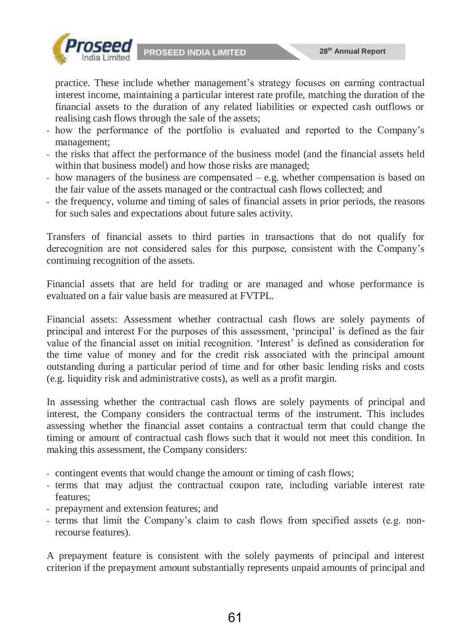



practice. These include whether management's strategy focuses on earning contractual interest income, maintaining a particular interest rate profile, matching the duration of the financial assets to the duration of any related liabilities or expected cash outflows or realising cash flows through the sale of the assets;

- how the performance of the portfolio is evaluated and reported to the Company's management;
- the risks that affect the performance of the business model (and the financial assets held within that business model) and how those risks are managed;
- how managers of the business are compensated e.g. whether compensation is based on the fair value of the assets managed or the contractual cash flows collected; and
- the frequency, volume and timing of sales of financial assets in prior periods, the reasons for such sales and expectations about future sales activity.

Transfers of financial assets to third parties in transactions that do not qualify for derecognition are not considered sales for this purpose, consistent with the Company's continuing recognition of the assets.

Financial assets that are held for trading or are managed and whose performance is evaluated on a fair value basis are measured at FVTPL.

Financial assets: Assessment whether contractual cash flows are solely payments of principal and interest For the purposes of this assessment, 'principal' is defined as the fair value of the financial asset on initial recognition. 'Interest' is defined as consideration for the time value of money and for the credit risk associated with the principal amount outstanding during a particular period of time and for other basic lending risks and costs (e.g. liquidity risk and administrative costs), as well as a profit margin.

In assessing whether the contractual cash flows are solely payments of principal and interest, the Company considers the contractual terms of the instrument. This includes assessing whether the financial asset contains a contractual term that could change the timing or amount of contractual cash flows such that it would not meet this condition. In making this assessment, the Company considers:

- contingent events that would change the amount or timing of cash flows;
- terms that may adjust the contractual coupon rate, including variable interest rate features;
- prepayment and extension features; and
- terms that limit the Company's claim to cash flows from specified assets (e.g. nonrecourse features).

A prepayment feature is consistent with the solely payments of principal and interest criterion if the prepayment amount substantially represents unpaid amounts of principal and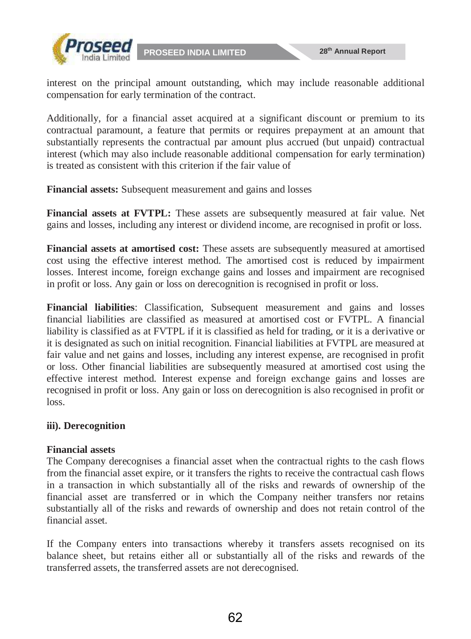



interest on the principal amount outstanding, which may include reasonable additional compensation for early termination of the contract.

Additionally, for a financial asset acquired at a significant discount or premium to its contractual paramount, a feature that permits or requires prepayment at an amount that substantially represents the contractual par amount plus accrued (but unpaid) contractual interest (which may also include reasonable additional compensation for early termination) is treated as consistent with this criterion if the fair value of

**Financial assets:** Subsequent measurement and gains and losses

**Financial assets at FVTPL:** These assets are subsequently measured at fair value. Net gains and losses, including any interest or dividend income, are recognised in profit or loss.

**Financial assets at amortised cost:** These assets are subsequently measured at amortised cost using the effective interest method. The amortised cost is reduced by impairment losses. Interest income, foreign exchange gains and losses and impairment are recognised in profit or loss. Any gain or loss on derecognition is recognised in profit or loss.

**Financial liabilities**: Classification, Subsequent measurement and gains and losses financial liabilities are classified as measured at amortised cost or FVTPL. A financial liability is classified as at FVTPL if it is classified as held for trading, or it is a derivative or it is designated as such on initial recognition. Financial liabilities at FVTPL are measured at fair value and net gains and losses, including any interest expense, are recognised in profit or loss. Other financial liabilities are subsequently measured at amortised cost using the effective interest method. Interest expense and foreign exchange gains and losses are recognised in profit or loss. Any gain or loss on derecognition is also recognised in profit or loss.

# **iii). Derecognition**

#### **Financial assets**

The Company derecognises a financial asset when the contractual rights to the cash flows from the financial asset expire, or it transfers the rights to receive the contractual cash flows in a transaction in which substantially all of the risks and rewards of ownership of the financial asset are transferred or in which the Company neither transfers nor retains substantially all of the risks and rewards of ownership and does not retain control of the financial asset.

If the Company enters into transactions whereby it transfers assets recognised on its balance sheet, but retains either all or substantially all of the risks and rewards of the transferred assets, the transferred assets are not derecognised.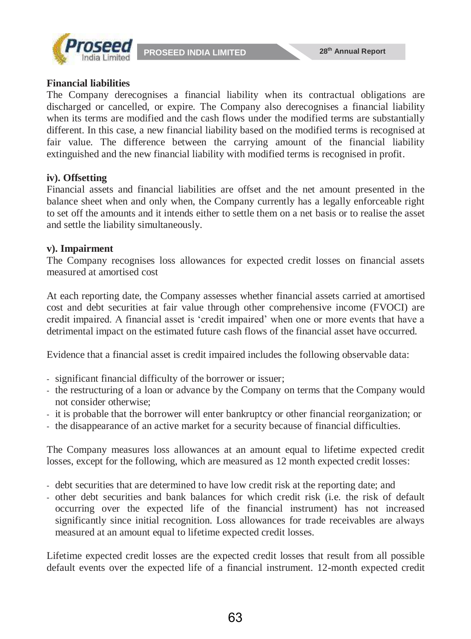

#### **Financial liabilities**

The Company derecognises a financial liability when its contractual obligations are discharged or cancelled, or expire. The Company also derecognises a financial liability when its terms are modified and the cash flows under the modified terms are substantially different. In this case, a new financial liability based on the modified terms is recognised at fair value. The difference between the carrying amount of the financial liability extinguished and the new financial liability with modified terms is recognised in profit.

#### **iv). Offsetting**

Financial assets and financial liabilities are offset and the net amount presented in the balance sheet when and only when, the Company currently has a legally enforceable right to set off the amounts and it intends either to settle them on a net basis or to realise the asset and settle the liability simultaneously.

### **v). Impairment**

The Company recognises loss allowances for expected credit losses on financial assets measured at amortised cost

At each reporting date, the Company assesses whether financial assets carried at amortised cost and debt securities at fair value through other comprehensive income (FVOCI) are credit impaired. A financial asset is 'credit impaired' when one or more events that have a detrimental impact on the estimated future cash flows of the financial asset have occurred.

Evidence that a financial asset is credit impaired includes the following observable data:

- significant financial difficulty of the borrower or issuer;
- the restructuring of a loan or advance by the Company on terms that the Company would not consider otherwise;
- it is probable that the borrower will enter bankruptcy or other financial reorganization; or
- the disappearance of an active market for a security because of financial difficulties.

The Company measures loss allowances at an amount equal to lifetime expected credit losses, except for the following, which are measured as 12 month expected credit losses:

- debt securities that are determined to have low credit risk at the reporting date; and
- other debt securities and bank balances for which credit risk (i.e. the risk of default occurring over the expected life of the financial instrument) has not increased significantly since initial recognition. Loss allowances for trade receivables are always measured at an amount equal to lifetime expected credit losses.

Lifetime expected credit losses are the expected credit losses that result from all possible default events over the expected life of a financial instrument. 12-month expected credit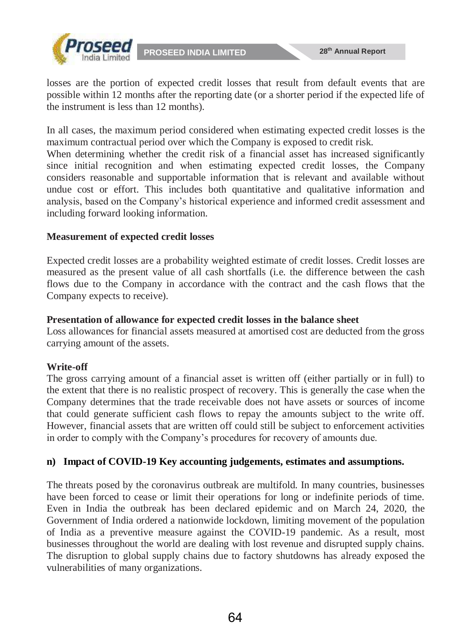

losses are the portion of expected credit losses that result from default events that are possible within 12 months after the reporting date (or a shorter period if the expected life of the instrument is less than 12 months).

In all cases, the maximum period considered when estimating expected credit losses is the maximum contractual period over which the Company is exposed to credit risk.

When determining whether the credit risk of a financial asset has increased significantly since initial recognition and when estimating expected credit losses, the Company considers reasonable and supportable information that is relevant and available without undue cost or effort. This includes both quantitative and qualitative information and analysis, based on the Company's historical experience and informed credit assessment and including forward looking information.

#### **Measurement of expected credit losses**

Expected credit losses are a probability weighted estimate of credit losses. Credit losses are measured as the present value of all cash shortfalls (i.e. the difference between the cash flows due to the Company in accordance with the contract and the cash flows that the Company expects to receive).

#### **Presentation of allowance for expected credit losses in the balance sheet**

Loss allowances for financial assets measured at amortised cost are deducted from the gross carrying amount of the assets.

# **Write-off**

The gross carrying amount of a financial asset is written off (either partially or in full) to the extent that there is no realistic prospect of recovery. This is generally the case when the Company determines that the trade receivable does not have assets or sources of income that could generate sufficient cash flows to repay the amounts subject to the write off. However, financial assets that are written off could still be subject to enforcement activities in order to comply with the Company's procedures for recovery of amounts due.

# **n) Impact of COVID-19 Key accounting judgements, estimates and assumptions.**

The threats posed by the coronavirus outbreak are multifold. In many countries, businesses have been forced to cease or limit their operations for long or indefinite periods of time. Even in India the outbreak has been declared epidemic and on March 24, 2020, the Government of India ordered a nationwide lockdown, limiting movement of the population of India as a preventive measure against the COVID-19 pandemic. As a result, most businesses throughout the world are dealing with lost revenue and disrupted supply chains. The disruption to global supply chains due to factory shutdowns has already exposed the vulnerabilities of many organizations.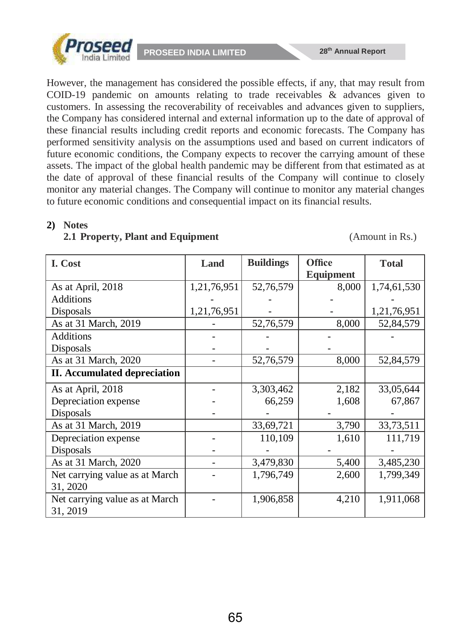



However, the management has considered the possible effects, if any, that may result from COID-19 pandemic on amounts relating to trade receivables & advances given to customers. In assessing the recoverability of receivables and advances given to suppliers, the Company has considered internal and external information up to the date of approval of these financial results including credit reports and economic forecasts. The Company has performed sensitivity analysis on the assumptions used and based on current indicators of future economic conditions, the Company expects to recover the carrying amount of these assets. The impact of the global health pandemic may be different from that estimated as at the date of approval of these financial results of the Company will continue to closely monitor any material changes. The Company will continue to monitor any material changes to future economic conditions and consequential impact on its financial results.

#### **2) Notes**

### **2.1 Property, Plant and Equipment** (Amount in Rs.)

| I. Cost                                    | Land        | <b>Buildings</b> | <b>Office</b><br><b>Equipment</b> | <b>Total</b> |
|--------------------------------------------|-------------|------------------|-----------------------------------|--------------|
| As at April, 2018                          | 1,21,76,951 | 52,76,579        | 8,000                             | 1,74,61,530  |
| <b>Additions</b>                           |             |                  |                                   |              |
| Disposals                                  | 1,21,76,951 |                  |                                   | 1,21,76,951  |
| As at 31 March, 2019                       |             | 52,76,579        | 8,000                             | 52,84,579    |
| <b>Additions</b>                           |             |                  |                                   |              |
| Disposals                                  |             |                  |                                   |              |
| As at 31 March, 2020                       |             | 52,76,579        | 8,000                             | 52,84,579    |
| <b>II.</b> Accumulated depreciation        |             |                  |                                   |              |
| As at April, 2018                          |             | 3,303,462        | 2,182                             | 33,05,644    |
| Depreciation expense                       |             | 66,259           | 1,608                             | 67,867       |
| Disposals                                  |             |                  |                                   |              |
| As at 31 March, 2019                       |             | 33,69,721        | 3,790                             | 33,73,511    |
| Depreciation expense                       |             | 110,109          | 1,610                             | 111,719      |
| Disposals                                  |             |                  |                                   |              |
| As at 31 March, 2020                       |             | 3,479,830        | 5,400                             | 3,485,230    |
| Net carrying value as at March             |             | 1,796,749        | 2,600                             | 1,799,349    |
| 31, 2020                                   |             |                  |                                   |              |
| Net carrying value as at March<br>31, 2019 |             | 1,906,858        | 4,210                             | 1,911,068    |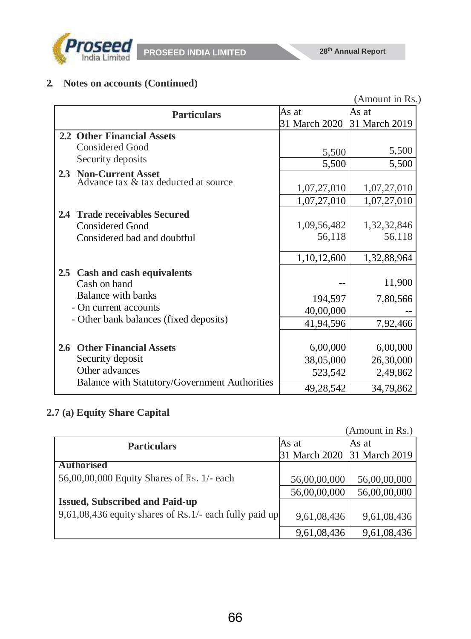

# **2. Notes on accounts (Continued)**

|                                               |               | (Amount in Rs.) |
|-----------------------------------------------|---------------|-----------------|
| <b>Particulars</b>                            | As at         | As at           |
|                                               | 31 March 2020 | 31 March 2019   |
| 2.2 Other Financial Assets                    |               |                 |
| <b>Considered Good</b>                        | 5,500         | 5,500           |
| Security deposits                             | 5,500         | 5,500           |
| 2.3 Non-Current Asset                         |               |                 |
| Advance tax & tax deducted at source          | 1,07,27,010   | 1,07,27,010     |
|                                               | 1,07,27,010   | 1,07,27,010     |
| 2.4 Trade receivables Secured                 |               |                 |
| Considered Good                               | 1,09,56,482   | 1,32,32,846     |
| Considered bad and doubtful                   | 56,118        | 56,118          |
|                                               |               |                 |
|                                               | 1,10,12,600   | 1,32,88,964     |
| 2.5 Cash and cash equivalents                 |               |                 |
| Cash on hand                                  |               | 11,900          |
| Balance with banks                            | 194,597       | 7,80,566        |
| - On current accounts                         | 40,00,000     |                 |
| - Other bank balances (fixed deposits)        | 41,94,596     | 7,92,466        |
|                                               |               |                 |
| 2.6 Other Financial Assets                    | 6,00,000      | 6,00,000        |
| Security deposit                              | 38,05,000     | 26,30,000       |
| Other advances                                | 523,542       | 2,49,862        |
| Balance with Statutory/Government Authorities | 49,28,542     | 34,79,862       |

# **2.7 (a) Equity Share Capital**

|                                                        |               | (Amount in Rs.) |
|--------------------------------------------------------|---------------|-----------------|
| <b>Particulars</b>                                     | lAs at        | As at           |
|                                                        | 31 March 2020 | 31 March 2019   |
| <b>Authorised</b>                                      |               |                 |
| 56,00,00,000 Equity Shares of Rs. 1/- each             | 56,00,00,000  | 56,00,00,000    |
|                                                        | 56,00,00,000  | 56,00,00,000    |
| <b>Issued, Subscribed and Paid-up</b>                  |               |                 |
| 9,61,08,436 equity shares of Rs.1/- each fully paid up | 9,61,08,436   | 9,61,08,436     |
|                                                        | 9,61,08,436   | 9,61,08,436     |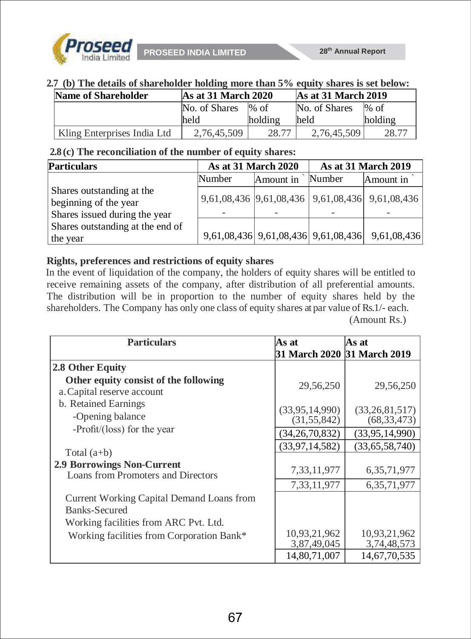

#### **2.7 (b) The details of shareholder holding more than 5% equity shares is set below:**

| Name of Shareholder         | $As$ at 31 March 2020 |         | As at 31 March 2019 |         |
|-----------------------------|-----------------------|---------|---------------------|---------|
|                             | No. of Shares         | $\%$ of | No. of Shares       | $\%$ of |
|                             | held                  | holding | lheld               | holding |
| Kling Enterprises India Ltd | 2,76,45,509           | 28.77   | 2.76.45.509         |         |

### **2.8 (c) The reconciliation of the number of equity shares:**

| <b>Particulars</b>                                                                  | <b>As at 31 March 2020</b> |           | <b>As at 31 March 2019</b> |                                                 |
|-------------------------------------------------------------------------------------|----------------------------|-----------|----------------------------|-------------------------------------------------|
|                                                                                     | Number                     | Amount in | Number                     | Amount in                                       |
| Shares outstanding at the<br>beginning of the year<br>Shares issued during the year |                            |           |                            | 9,61,08,436 9,61,08,436 9,61,08,436 9,61,08,436 |
| Shares outstanding at the end of<br>the year                                        |                            |           |                            | 9,61,08,436 9,61,08,436 9,61,08,436 9,61,08,436 |

### **Rights, preferences and restrictions of equity shares**

In the event of liquidation of the company, the holders of equity shares will be entitled to receive remaining assets of the company, after distribution of all preferential amounts. The distribution will be in proportion to the number of equity shares held by the shareholders. The Company has only one class of equity shares at par value of Rs.1/- each. (Amount Rs.)

| <b>Particulars</b>                                                      | As at                              | As at                           |
|-------------------------------------------------------------------------|------------------------------------|---------------------------------|
|                                                                         |                                    | 31 March 2020 31 March 2019     |
| 2.8 Other Equity                                                        |                                    |                                 |
| Other equity consist of the following<br>a. Capital reserve account     | 29,56,250                          | 29,56,250                       |
| b. Retained Earnings<br>-Opening balance                                | (33, 95, 14, 990)<br>(31, 55, 842) | (33,26,81,517)<br>(68, 33, 473) |
| -Profit/(loss) for the year                                             | (34, 26, 70, 832)                  | (33, 95, 14, 990)               |
| Total $(a+b)$                                                           | (33, 97, 14, 582)                  | (33,65,58,740)                  |
| <b>2.9 Borrowings Non-Current</b><br>Loans from Promoters and Directors | 7,33,11,977                        | 6, 35, 71, 977                  |
|                                                                         | 7,33,11,977                        | 6, 35, 71, 977                  |
| Current Working Capital Demand Loans from<br>Banks-Secured              |                                    |                                 |
| Working facilities from ARC Pvt. Ltd.                                   |                                    |                                 |
| Working facilities from Corporation Bank*                               | 10,93,21,962<br>3,87,49,045        | 10,93,21,962<br>3,74,48,573     |
|                                                                         | 14,80,71,007                       | 14,67,70,535                    |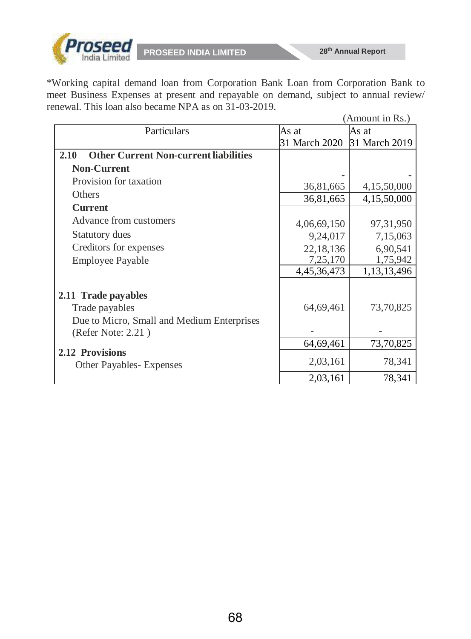

\*Working capital demand loan from Corporation Bank Loan from Corporation Bank to meet Business Expenses at present and repayable on demand, subject to annual review/ renewal. This loan also became NPA as on 31-03-2019.

|                                                      |               | (Amount in Rs.) |
|------------------------------------------------------|---------------|-----------------|
| Particulars                                          | As at         | As at           |
|                                                      | 31 March 2020 | 31 March 2019   |
| <b>Other Current Non-current liabilities</b><br>2.10 |               |                 |
| <b>Non-Current</b>                                   |               |                 |
| Provision for taxation                               | 36,81,665     | 4,15,50,000     |
| <b>Others</b>                                        | 36,81,665     | 4,15,50,000     |
| <b>Current</b>                                       |               |                 |
| Advance from customers                               | 4,06,69,150   | 97, 31, 950     |
| <b>Statutory dues</b>                                | 9,24,017      | 7,15,063        |
| Creditors for expenses                               | 22,18,136     | 6,90,541        |
| <b>Employee Payable</b>                              | 7,25,170      | 1,75,942        |
|                                                      | 4,45,36,473   | 1,13,13,496     |
| 2.11 Trade payables                                  |               |                 |
| Trade payables                                       | 64,69,461     | 73,70,825       |
| Due to Micro, Small and Medium Enterprises           |               |                 |
| (Refer Note: 2.21)                                   |               |                 |
|                                                      | 64,69,461     | 73,70,825       |
| 2.12 Provisions<br><b>Other Payables- Expenses</b>   | 2,03,161      | 78,341          |
|                                                      | 2,03,161      | 78,341          |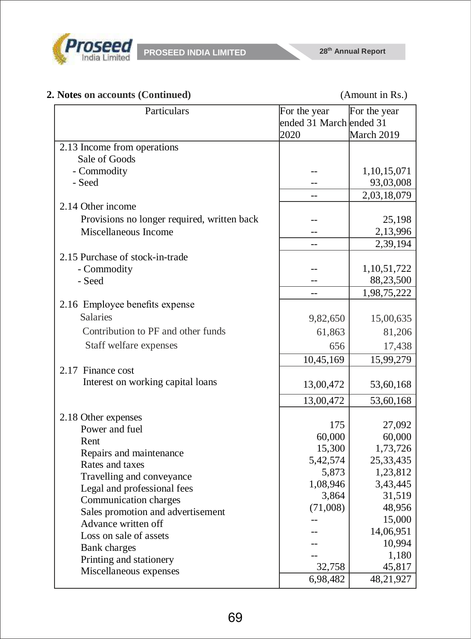

# **2. Notes on accounts (Continued)** (Amount in Rs.)

| Particulars                                 | For the year            | For the year |
|---------------------------------------------|-------------------------|--------------|
|                                             | ended 31 March ended 31 |              |
|                                             | 2020                    | March 2019   |
| 2.13 Income from operations                 |                         |              |
| Sale of Goods                               |                         |              |
| - Commodity                                 |                         | 1,10,15,071  |
| - Seed                                      | --                      | 93,03,008    |
|                                             | $-$                     | 2,03,18,079  |
| 2.14 Other income                           |                         |              |
| Provisions no longer required, written back |                         | 25,198       |
| Miscellaneous Income                        |                         | 2,13,996     |
|                                             | $-$                     | 2,39,194     |
| 2.15 Purchase of stock-in-trade             |                         |              |
| - Commodity                                 |                         | 1,10,51,722  |
| - Seed                                      |                         | 88,23,500    |
|                                             | $-$                     | 1,98,75,222  |
| 2.16 Employee benefits expense              |                         |              |
| <b>Salaries</b>                             | 9,82,650                | 15,00,635    |
| Contribution to PF and other funds          | 61,863                  | 81,206       |
| Staff welfare expenses                      | 656                     | 17,438       |
|                                             | 10,45,169               | 15,99,279    |
| 2.17 Finance cost                           |                         |              |
| Interest on working capital loans           |                         |              |
|                                             | 13,00,472               | 53,60,168    |
|                                             | 13,00,472               | 53,60,168    |
| 2.18 Other expenses                         |                         |              |
| Power and fuel                              | 175                     | 27,092       |
| Rent                                        | 60,000                  | 60,000       |
| Repairs and maintenance                     | 15,300                  | 1,73,726     |
| Rates and taxes                             | 5,42,574                | 25, 33, 435  |
| Travelling and conveyance                   | 5,873                   | 1,23,812     |
| Legal and professional fees                 | 1,08,946                | 3,43,445     |
| Communication charges                       | 3,864                   | 31,519       |
| Sales promotion and advertisement           | (71,008)                | 48,956       |
| Advance written off                         |                         | 15,000       |
| Loss on sale of assets                      |                         | 14,06,951    |
| <b>Bank</b> charges                         |                         | 10,994       |
| Printing and stationery                     |                         | 1,180        |
| Miscellaneous expenses                      | 32,758                  | 45,817       |
|                                             | 6,98,482                | 48,21,927    |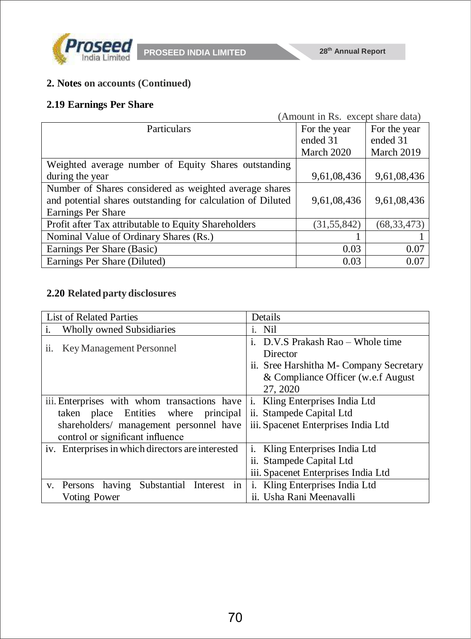

# **2. Notes on accounts (Continued)**

# **2.19 Earnings Per Share**

| (Amount in Rs. except share data)                           |               |               |
|-------------------------------------------------------------|---------------|---------------|
| <b>Particulars</b>                                          | For the year  | For the year  |
|                                                             | ended 31      | ended 31      |
|                                                             | March 2020    | March 2019    |
| Weighted average number of Equity Shares outstanding        |               |               |
| during the year                                             | 9,61,08,436   | 9,61,08,436   |
| Number of Shares considered as weighted average shares      |               |               |
| and potential shares outstanding for calculation of Diluted | 9,61,08,436   | 9,61,08,436   |
| Earnings Per Share                                          |               |               |
| Profit after Tax attributable to Equity Shareholders        | (31, 55, 842) | (68, 33, 473) |
| Nominal Value of Ordinary Shares (Rs.)                      |               |               |
| Earnings Per Share (Basic)                                  | 0.03          | 0.07          |
| Earnings Per Share (Diluted)                                | 0.03          | 0.07          |

## **2.20 Related party disclosures**

| <b>List of Related Parties</b>                    | Details                                       |  |
|---------------------------------------------------|-----------------------------------------------|--|
| i.<br><b>Wholly owned Subsidiaries</b>            | i. Nil                                        |  |
| Key Management Personnel<br>$\overline{11}$ .     | i. D.V.S Prakash Rao – Whole time<br>Director |  |
|                                                   | ii. Sree Harshitha M- Company Secretary       |  |
|                                                   | & Compliance Officer (w.e.f August)           |  |
|                                                   | 27, 2020                                      |  |
| iii. Enterprises with whom transactions have      | i. Kling Enterprises India Ltd                |  |
| taken place Entities where principal              | ii. Stampede Capital Ltd                      |  |
| shareholders/ management personnel have           | iii. Spacenet Enterprises India Ltd           |  |
| control or significant influence                  |                                               |  |
| iv. Enterprises in which directors are interested | <i>i.</i> Kling Enterprises India Ltd         |  |
|                                                   | ii. Stampede Capital Ltd                      |  |
|                                                   | iii. Spacenet Enterprises India Ltd           |  |
| Substantial Interest in<br>having<br>v. Persons   | i. Kling Enterprises India Ltd                |  |
| <b>Voting Power</b>                               | ii. Usha Rani Meenavalli                      |  |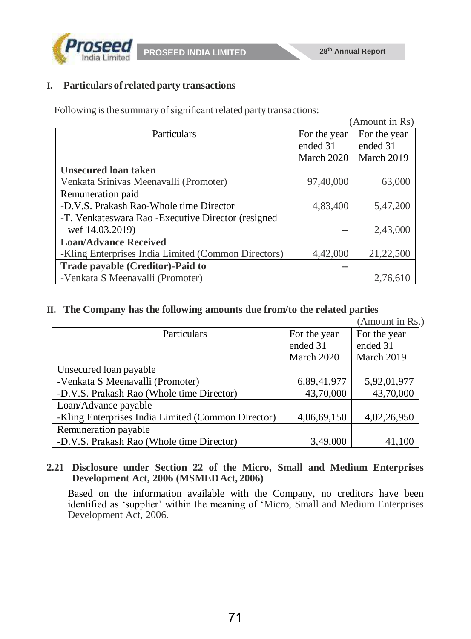

**PROSEED INDIA LIMITED 28th Annual Report**

## **I. Particulars of related party transactions**

Following is the summary of significant related party transactions:

|                                                       |              | (Amount in Rs) |
|-------------------------------------------------------|--------------|----------------|
| Particulars                                           | For the year | For the year   |
|                                                       | ended 31     | ended 31       |
|                                                       | March 2020   | March 2019     |
| <b>Unsecured loan taken</b>                           |              |                |
| Venkata Srinivas Meenavalli (Promoter)                | 97,40,000    | 63,000         |
| Remuneration paid                                     |              |                |
| -D.V.S. Prakash Rao-Whole time Director               | 4,83,400     | 5,47,200       |
| -T. Venkates wara Rao - Executive Director (resigned) |              |                |
| wef 14.03.2019)                                       |              | 2,43,000       |
| <b>Loan/Advance Received</b>                          |              |                |
| -Kling Enterprises India Limited (Common Directors)   | 4,42,000     | 21,22,500      |
| Trade payable (Creditor)-Paid to                      |              |                |
| -Venkata S Meenavalli (Promoter)                      |              | 2,76,610       |

## **II. The Company has the following amounts due from/to the related parties**

|                                                    |              | (Amount in Rs.) |
|----------------------------------------------------|--------------|-----------------|
| Particulars                                        | For the year | For the year    |
|                                                    | ended 31     | ended 31        |
|                                                    | March 2020   | March 2019      |
| Unsecured loan payable                             |              |                 |
| -Venkata S Meenavalli (Promoter)                   | 6,89,41,977  | 5,92,01,977     |
| -D.V.S. Prakash Rao (Whole time Director)          | 43,70,000    | 43,70,000       |
| Loan/Advance payable                               |              |                 |
| -Kling Enterprises India Limited (Common Director) | 4,06,69,150  | 4,02,26,950     |
| Remuneration payable                               |              |                 |
| -D.V.S. Prakash Rao (Whole time Director)          | 3,49,000     | 41,100          |

## **2.21 Disclosure under Section 22 of the Micro, Small and Medium Enterprises Development Act, 2006 (MSMEDAct, 2006)**

Based on the information available with the Company, no creditors have been identified as 'supplier' within the meaning of 'Micro, Small and Medium Enterprises Development Act, 2006.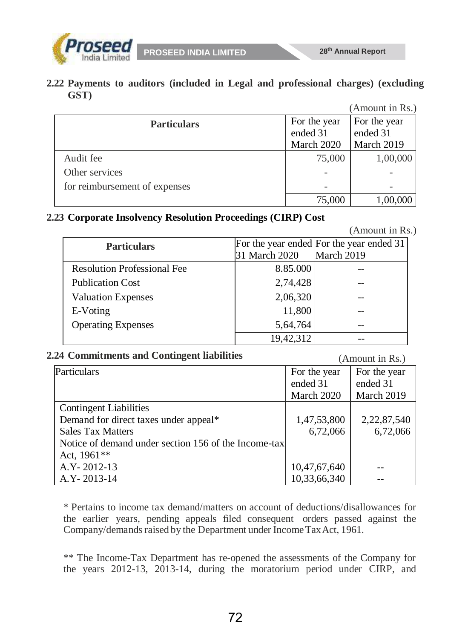

**2.22 Payments to auditors (included in Legal and professional charges) (excluding GST)**

|                               |              | (Amount in Rs.) |
|-------------------------------|--------------|-----------------|
| <b>Particulars</b>            | For the year | For the year    |
|                               | ended 31     | ended 31        |
|                               | March 2020   | March 2019      |
| Audit fee                     | 75,000       | 1,00,000        |
| Other services                |              |                 |
| for reimbursement of expenses |              |                 |
|                               | 75,000       | 1,00,000        |

## **2.23 Corporate Insolvency Resolution Proceedings (CIRP) Cost**

(Amount in Rs.)

| <b>Particulars</b>                 |               | [For the year ended For the year ended 31] |
|------------------------------------|---------------|--------------------------------------------|
|                                    | 31 March 2020 | March 2019                                 |
| <b>Resolution Professional Fee</b> | 8.85.000      |                                            |
| <b>Publication Cost</b>            | 2,74,428      |                                            |
| <b>Valuation Expenses</b>          | 2,06,320      |                                            |
| E-Voting                           | 11,800        |                                            |
| <b>Operating Expenses</b>          | 5,64,764      | --                                         |
|                                    | 19,42,312     |                                            |

## **2.24 Commitments and Contingent liabilities** (Amount in Rs.)

|                                                      |              | $(1 \text{ min} \circ \text{min} \cdot \text{min} \cdot \text{min})$ |
|------------------------------------------------------|--------------|----------------------------------------------------------------------|
| Particulars                                          | For the year | For the year                                                         |
|                                                      | ended 31     | ended 31                                                             |
|                                                      | March 2020   | March 2019                                                           |
| <b>Contingent Liabilities</b>                        |              |                                                                      |
| Demand for direct taxes under appeal*                | 1,47,53,800  | 2,22,87,540                                                          |
| <b>Sales Tax Matters</b>                             | 6,72,066     | 6,72,066                                                             |
| Notice of demand under section 156 of the Income-tax |              |                                                                      |
| Act, 1961**                                          |              |                                                                      |
| A.Y - 2012-13                                        | 10,47,67,640 |                                                                      |
| A.Y - 2013-14                                        | 10,33,66,340 |                                                                      |

\* Pertains to income tax demand/matters on account of deductions/disallowances for the earlier years, pending appeals filed consequent orders passed against the Company/demands raised by the Department under Income Tax Act, 1961.

\*\* The Income-Tax Department has re-opened the assessments of the Company for the years 2012-13, 2013-14, during the moratorium period under CIRP, and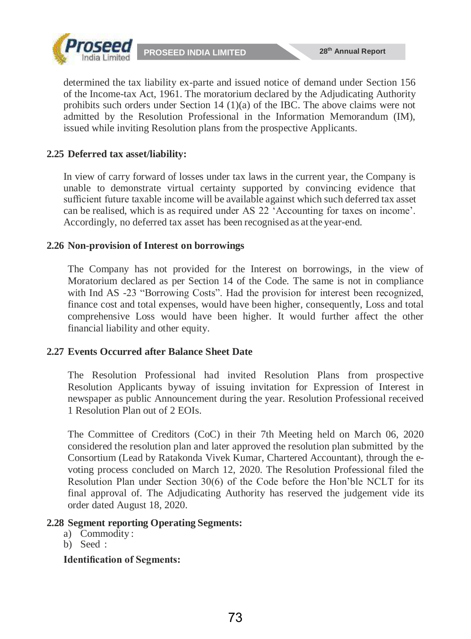**PROSEED INDIA LIMITED 28th Annual Report**



determined the tax liability ex-parte and issued notice of demand under Section 156 of the Income-tax Act, 1961. The moratorium declared by the Adjudicating Authority prohibits such orders under Section 14  $(1)(a)$  of the IBC. The above claims were not admitted by the Resolution Professional in the Information Memorandum (IM), issued while inviting Resolution plans from the prospective Applicants.

## **2.25 Deferred tax asset/liability:**

In view of carry forward of losses under tax laws in the current year, the Company is unable to demonstrate virtual certainty supported by convincing evidence that sufficient future taxable income will be available against which such deferred tax asset can be realised, which is as required under AS 22 'Accounting for taxes on income'. Accordingly, no deferred tax asset has been recognised as atthe year-end.

### **2.26 Non-provision of Interest on borrowings**

The Company has not provided for the Interest on borrowings, in the view of Moratorium declared as per Section 14 of the Code. The same is not in compliance with Ind AS -23 "Borrowing Costs". Had the provision for interest been recognized, finance cost and total expenses, would have been higher, consequently, Loss and total comprehensive Loss would have been higher. It would further affect the other financial liability and other equity.

## **2.27 Events Occurred after Balance Sheet Date**

The Resolution Professional had invited Resolution Plans from prospective Resolution Applicants byway of issuing invitation for Expression of Interest in newspaper as public Announcement during the year. Resolution Professional received 1 Resolution Plan out of 2 EOIs.

The Committee of Creditors (CoC) in their 7th Meeting held on March 06, 2020 considered the resolution plan and later approved the resolution plan submitted by the Consortium (Lead by Ratakonda Vivek Kumar, Chartered Accountant), through the evoting process concluded on March 12, 2020. The Resolution Professional filed the Resolution Plan under Section 30(6) of the Code before the Hon'ble NCLT for its final approval of. The Adjudicating Authority has reserved the judgement vide its order dated August 18, 2020.

#### **2.28 Segment reporting Operating Segments:**

- a) Commodity :
- b) Seed :

#### **Identification of Segments:**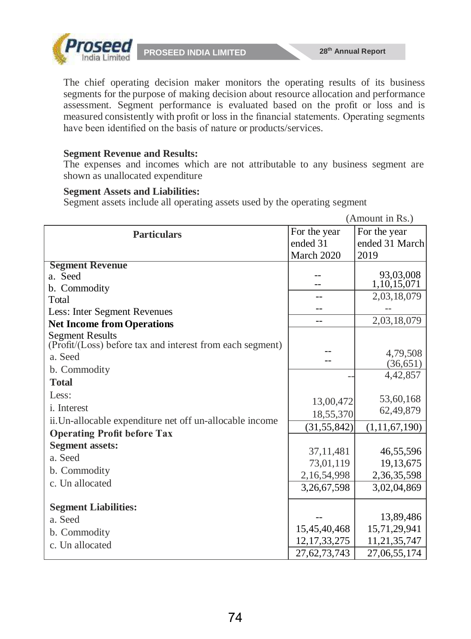

**PROSEED INDIA LIMITED** 28<sup>th</sup> Annual Report

The chief operating decision maker monitors the operating results of its business segments for the purpose of making decision about resource allocation and performance assessment. Segment performance is evaluated based on the profit or loss and is measured consistently with profit or loss in the financial statements. Operating segments have been identified on the basis of nature or products/services.

### **Segment Revenue and Results:**

The expenses and incomes which are not attributable to any business segment are shown as unallocated expenditure

### **Segment Assets and Liabilities:**

Segment assets include all operating assets used by the operating segment

|                                                           |                 | (Amount in Rs.)             |
|-----------------------------------------------------------|-----------------|-----------------------------|
| <b>Particulars</b>                                        | For the year    | For the year                |
|                                                           | ended 31        | ended 31 March              |
|                                                           | March 2020      | 2019                        |
| <b>Segment Revenue</b>                                    |                 |                             |
| a. Seed                                                   |                 | 93,03,008<br>1, 10, 15, 071 |
| b. Commodity                                              |                 | 2,03,18,079                 |
| Total                                                     |                 |                             |
| Less: Inter Segment Revenues                              |                 |                             |
| <b>Net Income from Operations</b>                         |                 | 2,03,18,079                 |
| <b>Segment Results</b>                                    |                 |                             |
| (Profit/(Loss) before tax and interest from each segment) |                 | 4,79,508                    |
| a. Seed                                                   |                 | (36, 651)                   |
| b. Commodity                                              |                 | 4,42,857                    |
| <b>Total</b>                                              |                 |                             |
| Less:                                                     | 13,00,472       | 53,60,168                   |
| <i>i</i> . Interest                                       | 18,55,370       | 62,49,879                   |
| ii. Un-allocable expenditure net off un-allocable income  |                 |                             |
| <b>Operating Profit before Tax</b>                        | (31, 55, 842)   | (1, 11, 67, 190)            |
| <b>Segment assets:</b>                                    |                 |                             |
| a. Seed                                                   | 37,11,481       | 46,55,596                   |
| b. Commodity                                              | 73,01,119       | 19,13,675                   |
| c. Un allocated                                           | 2,16,54,998     | 2,36,35,598                 |
|                                                           | 3,26,67,598     | 3,02,04,869                 |
| <b>Segment Liabilities:</b>                               |                 |                             |
| a. Seed                                                   |                 | 13,89,486                   |
| b. Commodity                                              | 15,45,40,468    | 15,71,29,941                |
| c. Un allocated                                           | 12, 17, 33, 275 | 11,21,35,747                |
|                                                           | 27,62,73,743    | 27,06,55,174                |